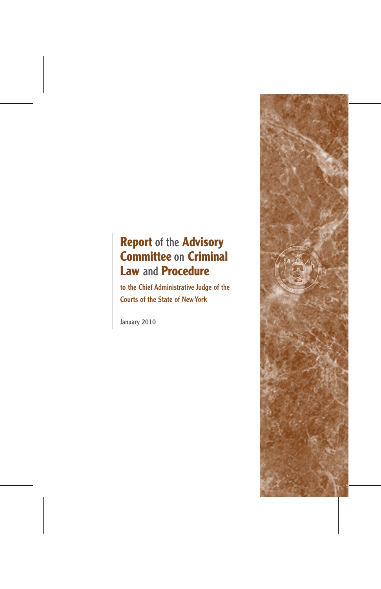# **Report** of the **Advisory Committee** on **Criminal Law** and **Procedure**

to the Chief Administrative Judge of the Courts of the State of NewYork

January 2010

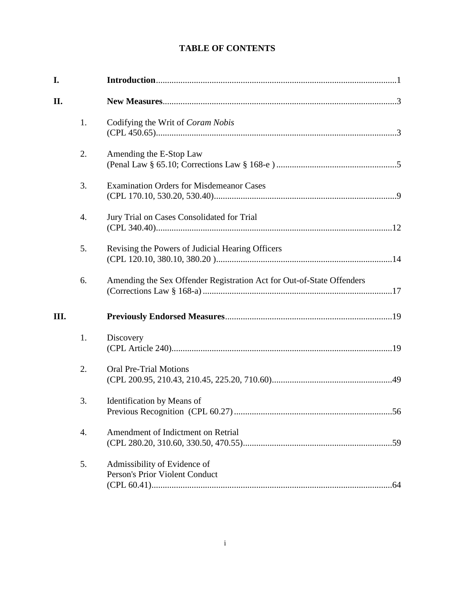# **TABLE OF CONTENTS**

| I.   |                  |                                                                       |
|------|------------------|-----------------------------------------------------------------------|
| II.  |                  |                                                                       |
|      | 1.               | Codifying the Writ of Coram Nobis                                     |
|      | 2.               | Amending the E-Stop Law                                               |
|      | 3.               | <b>Examination Orders for Misdemeanor Cases</b>                       |
|      | $\overline{4}$ . | Jury Trial on Cases Consolidated for Trial                            |
|      | 5.               | Revising the Powers of Judicial Hearing Officers                      |
|      | 6.               | Amending the Sex Offender Registration Act for Out-of-State Offenders |
| III. |                  |                                                                       |
|      | 1.               | Discovery                                                             |
|      | 2.               | <b>Oral Pre-Trial Motions</b>                                         |
|      | 3.               | Identification by Means of                                            |
|      | 4.               | Amendment of Indictment on Retrial                                    |
|      | 5.               | Admissibility of Evidence of<br>Person's Prior Violent Conduct        |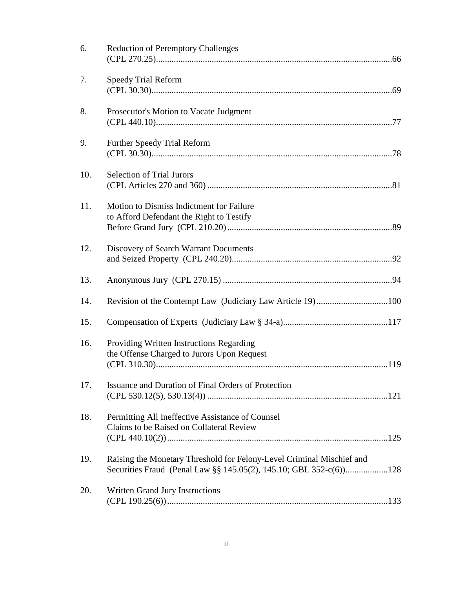| 6.  | <b>Reduction of Peremptory Challenges</b>                                                                                                  |
|-----|--------------------------------------------------------------------------------------------------------------------------------------------|
| 7.  | <b>Speedy Trial Reform</b>                                                                                                                 |
| 8.  | Prosecutor's Motion to Vacate Judgment                                                                                                     |
| 9.  | <b>Further Speedy Trial Reform</b>                                                                                                         |
| 10. | <b>Selection of Trial Jurors</b>                                                                                                           |
| 11. | Motion to Dismiss Indictment for Failure<br>to Afford Defendant the Right to Testify                                                       |
| 12. | Discovery of Search Warrant Documents                                                                                                      |
| 13. |                                                                                                                                            |
| 14. |                                                                                                                                            |
| 15. |                                                                                                                                            |
| 16. | Providing Written Instructions Regarding<br>the Offense Charged to Jurors Upon Request                                                     |
| 17. | Issuance and Duration of Final Orders of Protection                                                                                        |
| 18. | Permitting All Ineffective Assistance of Counsel<br>Claims to be Raised on Collateral Review                                               |
| 19. | Raising the Monetary Threshold for Felony-Level Criminal Mischief and<br>Securities Fraud (Penal Law §§ 145.05(2), 145.10; GBL 352-c(6)128 |
| 20. | Written Grand Jury Instructions                                                                                                            |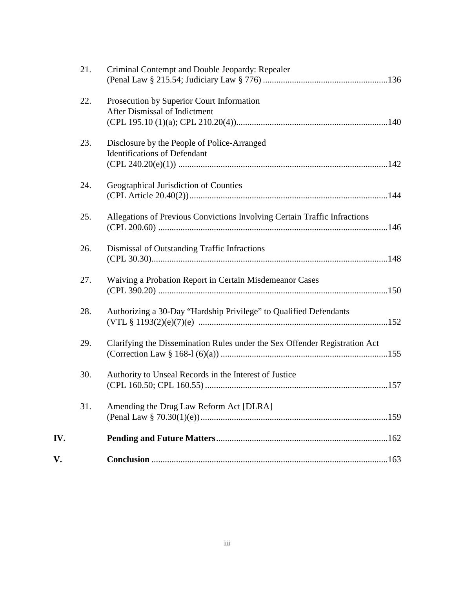| V.  |     |                                                                                    |
|-----|-----|------------------------------------------------------------------------------------|
| IV. |     |                                                                                    |
|     | 31. | Amending the Drug Law Reform Act [DLRA]                                            |
|     | 30. | Authority to Unseal Records in the Interest of Justice                             |
|     | 29. | Clarifying the Dissemination Rules under the Sex Offender Registration Act         |
|     | 28. | Authorizing a 30-Day "Hardship Privilege" to Qualified Defendants                  |
|     | 27. | Waiving a Probation Report in Certain Misdemeanor Cases                            |
|     | 26. | Dismissal of Outstanding Traffic Infractions                                       |
|     | 25. | Allegations of Previous Convictions Involving Certain Traffic Infractions          |
|     | 24. | Geographical Jurisdiction of Counties                                              |
|     | 23. | Disclosure by the People of Police-Arranged<br><b>Identifications of Defendant</b> |
|     | 22. | Prosecution by Superior Court Information<br>After Dismissal of Indictment         |
|     | 21. | Criminal Contempt and Double Jeopardy: Repealer                                    |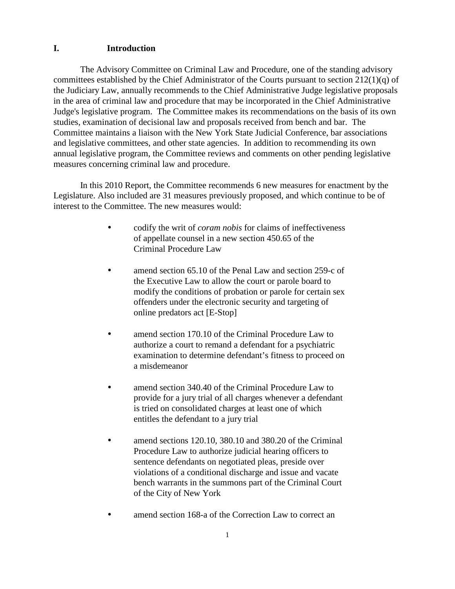# **I. Introduction**

The Advisory Committee on Criminal Law and Procedure, one of the standing advisory committees established by the Chief Administrator of the Courts pursuant to section 212(1)(q) of the Judiciary Law, annually recommends to the Chief Administrative Judge legislative proposals in the area of criminal law and procedure that may be incorporated in the Chief Administrative Judge's legislative program. The Committee makes its recommendations on the basis of its own studies, examination of decisional law and proposals received from bench and bar. The Committee maintains a liaison with the New York State Judicial Conference, bar associations and legislative committees, and other state agencies. In addition to recommending its own annual legislative program, the Committee reviews and comments on other pending legislative measures concerning criminal law and procedure.

In this 2010 Report, the Committee recommends 6 new measures for enactment by the Legislature. Also included are 31 measures previously proposed, and which continue to be of interest to the Committee. The new measures would:

- codify the writ of *coram nobis* for claims of ineffectiveness of appellate counsel in a new section 450.65 of the Criminal Procedure Law
- amend section 65.10 of the Penal Law and section 259-c of the Executive Law to allow the court or parole board to modify the conditions of probation or parole for certain sex offenders under the electronic security and targeting of online predators act [E-Stop]
- amend section 170.10 of the Criminal Procedure Law to authorize a court to remand a defendant for a psychiatric examination to determine defendant's fitness to proceed on a misdemeanor
- amend section 340.40 of the Criminal Procedure Law to provide for a jury trial of all charges whenever a defendant is tried on consolidated charges at least one of which entitles the defendant to a jury trial
- amend sections 120.10, 380.10 and 380.20 of the Criminal Procedure Law to authorize judicial hearing officers to sentence defendants on negotiated pleas, preside over violations of a conditional discharge and issue and vacate bench warrants in the summons part of the Criminal Court of the City of New York
- amend section 168-a of the Correction Law to correct an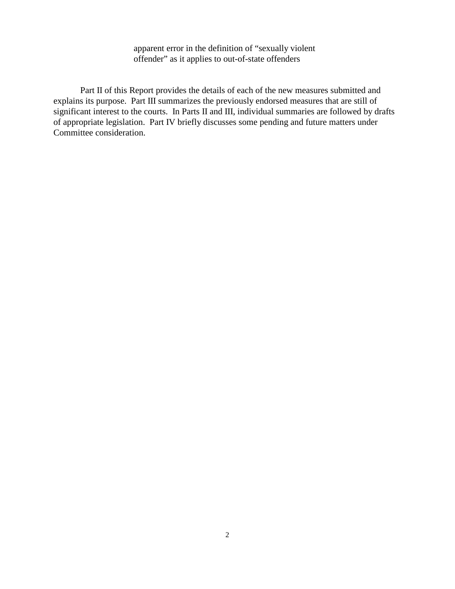apparent error in the definition of "sexually violent offender" as it applies to out-of-state offenders

Part II of this Report provides the details of each of the new measures submitted and explains its purpose. Part III summarizes the previously endorsed measures that are still of significant interest to the courts. In Parts II and III, individual summaries are followed by drafts of appropriate legislation. Part IV briefly discusses some pending and future matters under Committee consideration.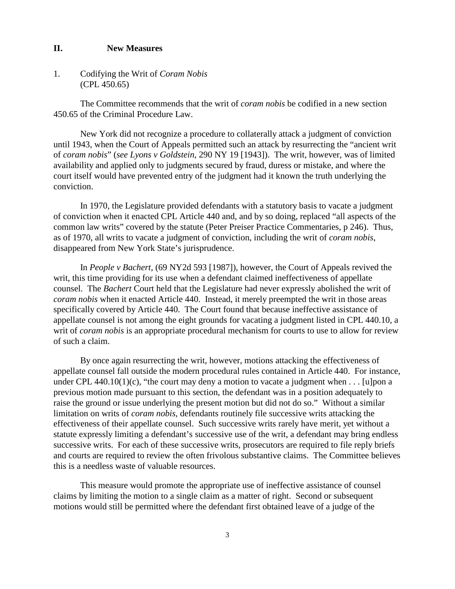### **II. New Measures**

1. Codifying the Writ of *Coram Nobis* (CPL 450.65)

The Committee recommends that the writ of *coram nobis* be codified in a new section 450.65 of the Criminal Procedure Law.

New York did not recognize a procedure to collaterally attack a judgment of conviction until 1943, when the Court of Appeals permitted such an attack by resurrecting the "ancient writ of *coram nobis*" (*see Lyons v Goldstein*, 290 NY 19 [1943]). The writ, however, was of limited availability and applied only to judgments secured by fraud, duress or mistake, and where the court itself would have prevented entry of the judgment had it known the truth underlying the conviction.

In 1970, the Legislature provided defendants with a statutory basis to vacate a judgment of conviction when it enacted CPL Article 440 and, and by so doing, replaced "all aspects of the common law writs" covered by the statute (Peter Preiser Practice Commentaries, p 246). Thus, as of 1970, all writs to vacate a judgment of conviction, including the writ of *coram nobis*, disappeared from New York State's jurisprudence.

In *People v Bachert*, (69 NY2d 593 [1987]), however, the Court of Appeals revived the writ, this time providing for its use when a defendant claimed ineffectiveness of appellate counsel. The *Bachert* Court held that the Legislature had never expressly abolished the writ of *coram nobis* when it enacted Article 440. Instead, it merely preempted the writ in those areas specifically covered by Article 440. The Court found that because ineffective assistance of appellate counsel is not among the eight grounds for vacating a judgment listed in CPL 440.10, a writ of *coram nobis* is an appropriate procedural mechanism for courts to use to allow for review of such a claim.

By once again resurrecting the writ, however, motions attacking the effectiveness of appellate counsel fall outside the modern procedural rules contained in Article 440. For instance, under CPL 440.10(1)(c), "the court may deny a motion to vacate a judgment when  $\dots$  [u]pon a previous motion made pursuant to this section, the defendant was in a position adequately to raise the ground or issue underlying the present motion but did not do so." Without a similar limitation on writs of *coram nobis*, defendants routinely file successive writs attacking the effectiveness of their appellate counsel. Such successive writs rarely have merit, yet without a statute expressly limiting a defendant's successive use of the writ, a defendant may bring endless successive writs. For each of these successive writs, prosecutors are required to file reply briefs and courts are required to review the often frivolous substantive claims. The Committee believes this is a needless waste of valuable resources.

This measure would promote the appropriate use of ineffective assistance of counsel claims by limiting the motion to a single claim as a matter of right. Second or subsequent motions would still be permitted where the defendant first obtained leave of a judge of the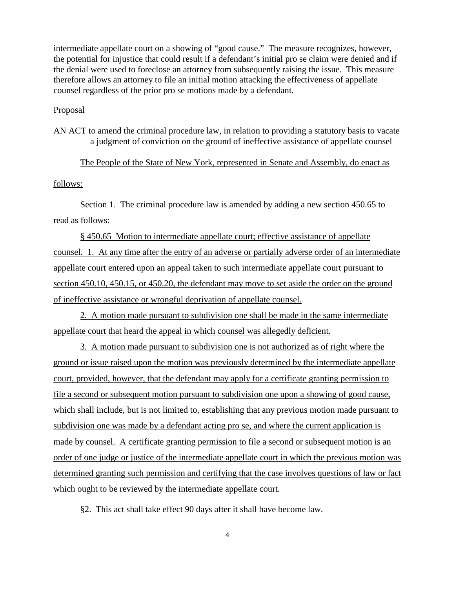intermediate appellate court on a showing of "good cause." The measure recognizes, however, the potential for injustice that could result if a defendant's initial pro se claim were denied and if the denial were used to foreclose an attorney from subsequently raising the issue. This measure therefore allows an attorney to file an initial motion attacking the effectiveness of appellate counsel regardless of the prior pro se motions made by a defendant.

### Proposal

AN ACT to amend the criminal procedure law, in relation to providing a statutory basis to vacate a judgment of conviction on the ground of ineffective assistance of appellate counsel

# The People of the State of New York, represented in Senate and Assembly, do enact as

# follows:

Section 1. The criminal procedure law is amended by adding a new section 450.65 to read as follows:

§ 450.65 Motion to intermediate appellate court; effective assistance of appellate counsel. 1. At any time after the entry of an adverse or partially adverse order of an intermediate appellate court entered upon an appeal taken to such intermediate appellate court pursuant to section 450.10, 450.15, or 450.20, the defendant may move to set aside the order on the ground of ineffective assistance or wrongful deprivation of appellate counsel.

2. A motion made pursuant to subdivision one shall be made in the same intermediate appellate court that heard the appeal in which counsel was allegedly deficient.

3. A motion made pursuant to subdivision one is not authorized as of right where the ground or issue raised upon the motion was previously determined by the intermediate appellate court, provided, however, that the defendant may apply for a certificate granting permission to file a second or subsequent motion pursuant to subdivision one upon a showing of good cause, which shall include, but is not limited to, establishing that any previous motion made pursuant to subdivision one was made by a defendant acting pro se, and where the current application is made by counsel. A certificate granting permission to file a second or subsequent motion is an order of one judge or justice of the intermediate appellate court in which the previous motion was determined granting such permission and certifying that the case involves questions of law or fact which ought to be reviewed by the intermediate appellate court.

§2. This act shall take effect 90 days after it shall have become law.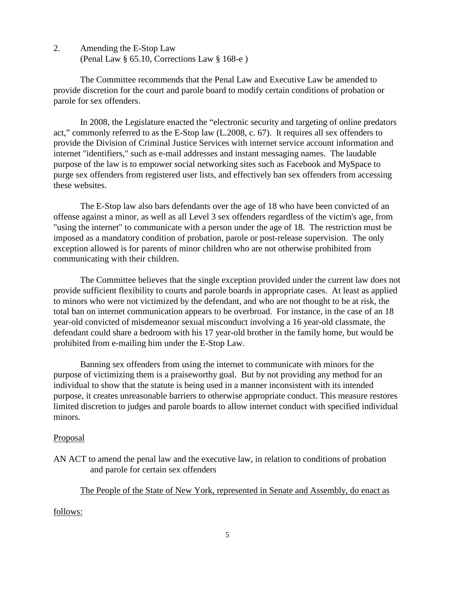2. Amending the E-Stop Law (Penal Law § 65.10, Corrections Law § 168-e )

The Committee recommends that the Penal Law and Executive Law be amended to provide discretion for the court and parole board to modify certain conditions of probation or parole for sex offenders.

In 2008, the Legislature enacted the "electronic security and targeting of online predators act," commonly referred to as the E-Stop law (L.2008, c. 67). It requires all sex offenders to provide the Division of Criminal Justice Services with internet service account information and internet "identifiers," such as e-mail addresses and instant messaging names. The laudable purpose of the law is to empower social networking sites such as Facebook and MySpace to purge sex offenders from registered user lists, and effectively ban sex offenders from accessing these websites.

The E-Stop law also bars defendants over the age of 18 who have been convicted of an offense against a minor, as well as all Level 3 sex offenders regardless of the victim's age, from "using the internet" to communicate with a person under the age of 18. The restriction must be imposed as a mandatory condition of probation, parole or post-release supervision. The only exception allowed is for parents of minor children who are not otherwise prohibited from communicating with their children.

The Committee believes that the single exception provided under the current law does not provide sufficient flexibility to courts and parole boards in appropriate cases. At least as applied to minors who were not victimized by the defendant, and who are not thought to be at risk, the total ban on internet communication appears to be overbroad. For instance, in the case of an 18 year-old convicted of misdemeanor sexual misconduct involving a 16 year-old classmate, the defendant could share a bedroom with his 17 year-old brother in the family home, but would be prohibited from e-mailing him under the E-Stop Law.

Banning sex offenders from using the internet to communicate with minors for the purpose of victimizing them is a praiseworthy goal. But by not providing any method for an individual to show that the statute is being used in a manner inconsistent with its intended purpose, it creates unreasonable barriers to otherwise appropriate conduct. This measure restores limited discretion to judges and parole boards to allow internet conduct with specified individual minors.

# Proposal

AN ACT to amend the penal law and the executive law, in relation to conditions of probation and parole for certain sex offenders

The People of the State of New York, represented in Senate and Assembly, do enact as

# follows: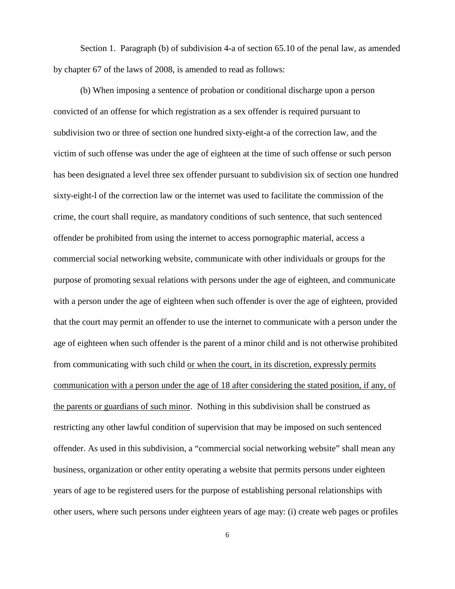Section 1. Paragraph (b) of subdivision 4-a of section 65.10 of the penal law, as amended by chapter 67 of the laws of 2008, is amended to read as follows:

(b) When imposing a sentence of probation or conditional discharge upon a person convicted of an offense for which registration as a sex offender is required pursuant to subdivision two or three of section one hundred sixty-eight-a of the correction law, and the victim of such offense was under the age of eighteen at the time of such offense or such person has been designated a level three sex offender pursuant to subdivision six of section one hundred sixty-eight-l of the correction law or the internet was used to facilitate the commission of the crime, the court shall require, as mandatory conditions of such sentence, that such sentenced offender be prohibited from using the internet to access pornographic material, access a commercial social networking website, communicate with other individuals or groups for the purpose of promoting sexual relations with persons under the age of eighteen, and communicate with a person under the age of eighteen when such offender is over the age of eighteen, provided that the court may permit an offender to use the internet to communicate with a person under the age of eighteen when such offender is the parent of a minor child and is not otherwise prohibited from communicating with such child or when the court, in its discretion, expressly permits communication with a person under the age of 18 after considering the stated position, if any, of the parents or guardians of such minor. Nothing in this subdivision shall be construed as restricting any other lawful condition of supervision that may be imposed on such sentenced offender. As used in this subdivision, a "commercial social networking website" shall mean any business, organization or other entity operating a website that permits persons under eighteen years of age to be registered users for the purpose of establishing personal relationships with other users, where such persons under eighteen years of age may: (i) create web pages or profiles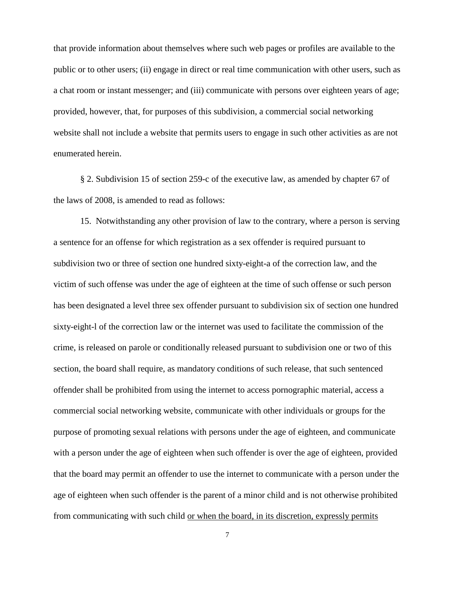that provide information about themselves where such web pages or profiles are available to the public or to other users; (ii) engage in direct or real time communication with other users, such as a chat room or instant messenger; and (iii) communicate with persons over eighteen years of age; provided, however, that, for purposes of this subdivision, a commercial social networking website shall not include a website that permits users to engage in such other activities as are not enumerated herein.

§ 2. Subdivision 15 of section 259-c of the executive law, as amended by chapter 67 of the laws of 2008, is amended to read as follows:

15. Notwithstanding any other provision of law to the contrary, where a person is serving a sentence for an offense for which registration as a sex offender is required pursuant to subdivision two or three of section one hundred sixty-eight-a of the correction law, and the victim of such offense was under the age of eighteen at the time of such offense or such person has been designated a level three sex offender pursuant to subdivision six of section one hundred sixty-eight-l of the correction law or the internet was used to facilitate the commission of the crime, is released on parole or conditionally released pursuant to subdivision one or two of this section, the board shall require, as mandatory conditions of such release, that such sentenced offender shall be prohibited from using the internet to access pornographic material, access a commercial social networking website, communicate with other individuals or groups for the purpose of promoting sexual relations with persons under the age of eighteen, and communicate with a person under the age of eighteen when such offender is over the age of eighteen, provided that the board may permit an offender to use the internet to communicate with a person under the age of eighteen when such offender is the parent of a minor child and is not otherwise prohibited from communicating with such child or when the board, in its discretion, expressly permits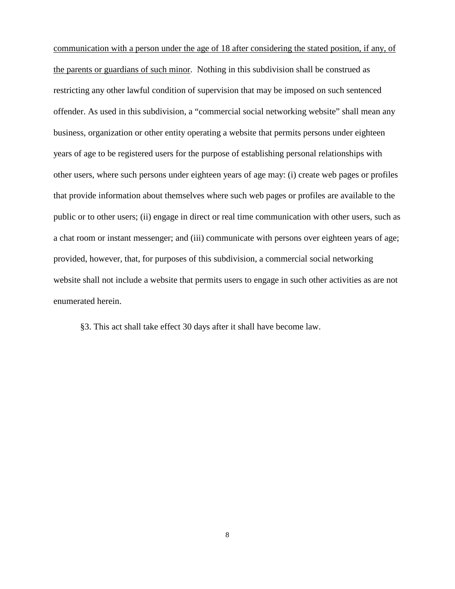communication with a person under the age of 18 after considering the stated position, if any, of the parents or guardians of such minor. Nothing in this subdivision shall be construed as restricting any other lawful condition of supervision that may be imposed on such sentenced offender. As used in this subdivision, a "commercial social networking website" shall mean any business, organization or other entity operating a website that permits persons under eighteen years of age to be registered users for the purpose of establishing personal relationships with other users, where such persons under eighteen years of age may: (i) create web pages or profiles that provide information about themselves where such web pages or profiles are available to the public or to other users; (ii) engage in direct or real time communication with other users, such as a chat room or instant messenger; and (iii) communicate with persons over eighteen years of age; provided, however, that, for purposes of this subdivision, a commercial social networking website shall not include a website that permits users to engage in such other activities as are not enumerated herein.

§3. This act shall take effect 30 days after it shall have become law.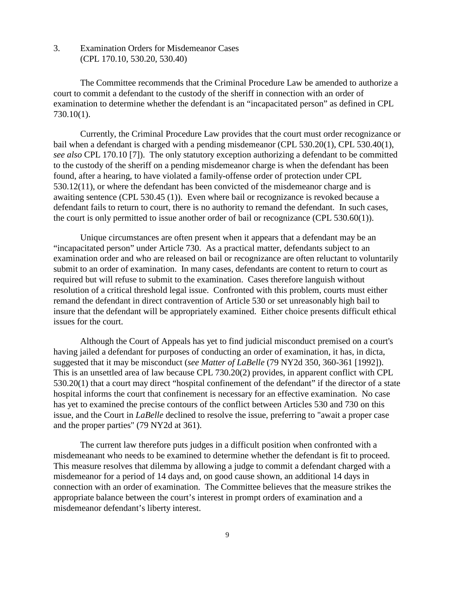3. Examination Orders for Misdemeanor Cases (CPL 170.10, 530.20, 530.40)

The Committee recommends that the Criminal Procedure Law be amended to authorize a court to commit a defendant to the custody of the sheriff in connection with an order of examination to determine whether the defendant is an "incapacitated person" as defined in CPL 730.10(1).

Currently, the Criminal Procedure Law provides that the court must order recognizance or bail when a defendant is charged with a pending misdemeanor (CPL 530.20(1), CPL 530.40(1), *see also* CPL 170.10 [7]). The only statutory exception authorizing a defendant to be committed to the custody of the sheriff on a pending misdemeanor charge is when the defendant has been found, after a hearing, to have violated a family-offense order of protection under CPL 530.12(11), or where the defendant has been convicted of the misdemeanor charge and is awaiting sentence (CPL 530.45 (1)). Even where bail or recognizance is revoked because a defendant fails to return to court, there is no authority to remand the defendant. In such cases, the court is only permitted to issue another order of bail or recognizance (CPL 530.60(1)).

Unique circumstances are often present when it appears that a defendant may be an "incapacitated person" under Article 730. As a practical matter, defendants subject to an examination order and who are released on bail or recognizance are often reluctant to voluntarily submit to an order of examination. In many cases, defendants are content to return to court as required but will refuse to submit to the examination. Cases therefore languish without resolution of a critical threshold legal issue. Confronted with this problem, courts must either remand the defendant in direct contravention of Article 530 or set unreasonably high bail to insure that the defendant will be appropriately examined. Either choice presents difficult ethical issues for the court.

Although the Court of Appeals has yet to find judicial misconduct premised on a court's having jailed a defendant for purposes of conducting an order of examination, it has, in dicta, suggested that it may be misconduct (*see Matter of LaBelle* (79 NY2d 350, 360-361 [1992]). This is an unsettled area of law because CPL 730.20(2) provides, in apparent conflict with CPL 530.20(1) that a court may direct "hospital confinement of the defendant" if the director of a state hospital informs the court that confinement is necessary for an effective examination. No case has yet to examined the precise contours of the conflict between Articles 530 and 730 on this issue, and the Court in *LaBelle* declined to resolve the issue, preferring to "await a proper case and the proper parties" (79 NY2d at 361).

The current law therefore puts judges in a difficult position when confronted with a misdemeanant who needs to be examined to determine whether the defendant is fit to proceed. This measure resolves that dilemma by allowing a judge to commit a defendant charged with a misdemeanor for a period of 14 days and, on good cause shown, an additional 14 days in connection with an order of examination. The Committee believes that the measure strikes the appropriate balance between the court's interest in prompt orders of examination and a misdemeanor defendant's liberty interest.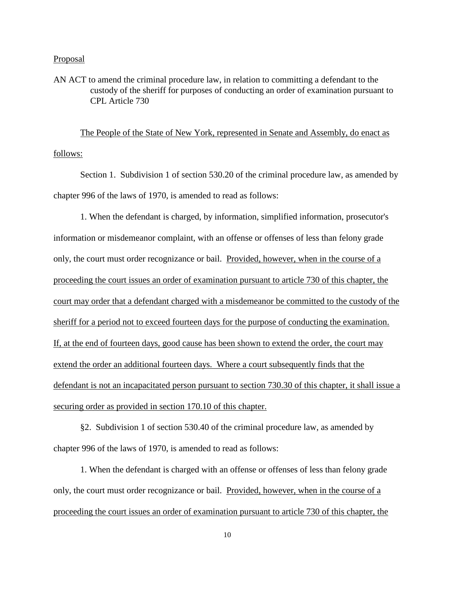### **Proposal**

AN ACT to amend the criminal procedure law, in relation to committing a defendant to the custody of the sheriff for purposes of conducting an order of examination pursuant to CPL Article 730

The People of the State of New York, represented in Senate and Assembly, do enact as follows:

Section 1. Subdivision 1 of section 530.20 of the criminal procedure law, as amended by chapter 996 of the laws of 1970, is amended to read as follows:

1. When the defendant is charged, by information, simplified information, prosecutor's information or misdemeanor complaint, with an offense or offenses of less than felony grade only, the court must order recognizance or bail. Provided, however, when in the course of a proceeding the court issues an order of examination pursuant to article 730 of this chapter, the court may order that a defendant charged with a misdemeanor be committed to the custody of the sheriff for a period not to exceed fourteen days for the purpose of conducting the examination. If, at the end of fourteen days, good cause has been shown to extend the order, the court may extend the order an additional fourteen days. Where a court subsequently finds that the defendant is not an incapacitated person pursuant to section 730.30 of this chapter, it shall issue a securing order as provided in section 170.10 of this chapter.

§2. Subdivision 1 of section 530.40 of the criminal procedure law, as amended by chapter 996 of the laws of 1970, is amended to read as follows:

1. When the defendant is charged with an offense or offenses of less than felony grade only, the court must order recognizance or bail. Provided, however, when in the course of a proceeding the court issues an order of examination pursuant to article 730 of this chapter, the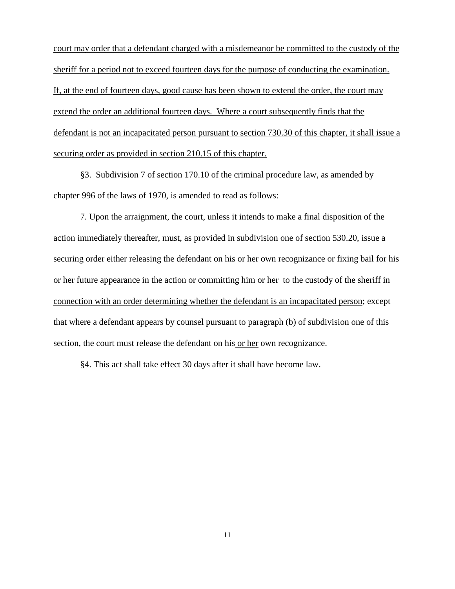court may order that a defendant charged with a misdemeanor be committed to the custody of the sheriff for a period not to exceed fourteen days for the purpose of conducting the examination. If, at the end of fourteen days, good cause has been shown to extend the order, the court may extend the order an additional fourteen days. Where a court subsequently finds that the defendant is not an incapacitated person pursuant to section 730.30 of this chapter, it shall issue a securing order as provided in section 210.15 of this chapter.

§3. Subdivision 7 of section 170.10 of the criminal procedure law, as amended by chapter 996 of the laws of 1970, is amended to read as follows:

7. Upon the arraignment, the court, unless it intends to make a final disposition of the action immediately thereafter, must, as provided in subdivision one of section 530.20, issue a securing order either releasing the defendant on his or her own recognizance or fixing bail for his or her future appearance in the action or committing him or her to the custody of the sheriff in connection with an order determining whether the defendant is an incapacitated person; except that where a defendant appears by counsel pursuant to paragraph (b) of subdivision one of this section, the court must release the defendant on his or her own recognizance.

§4. This act shall take effect 30 days after it shall have become law.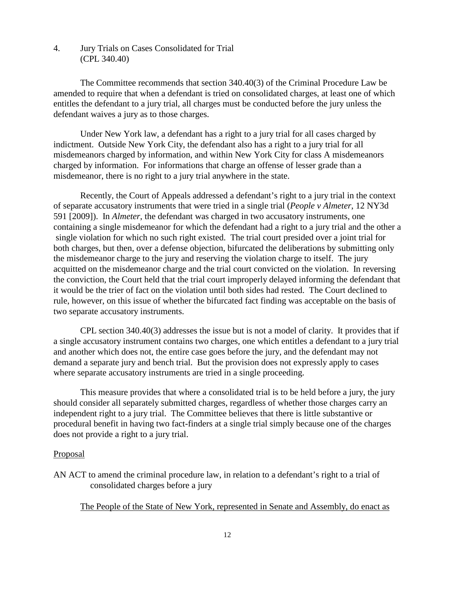# 4. Jury Trials on Cases Consolidated for Trial (CPL 340.40)

The Committee recommends that section 340.40(3) of the Criminal Procedure Law be amended to require that when a defendant is tried on consolidated charges, at least one of which entitles the defendant to a jury trial, all charges must be conducted before the jury unless the defendant waives a jury as to those charges.

Under New York law, a defendant has a right to a jury trial for all cases charged by indictment. Outside New York City, the defendant also has a right to a jury trial for all misdemeanors charged by information, and within New York City for class A misdemeanors charged by information. For informations that charge an offense of lesser grade than a misdemeanor, there is no right to a jury trial anywhere in the state.

Recently, the Court of Appeals addressed a defendant's right to a jury trial in the context of separate accusatory instruments that were tried in a single trial (*People v Almeter*, 12 NY3d 591 [2009]). In *Almeter*, the defendant was charged in two accusatory instruments, one containing a single misdemeanor for which the defendant had a right to a jury trial and the other a single violation for which no such right existed. The trial court presided over a joint trial for both charges, but then, over a defense objection, bifurcated the deliberations by submitting only the misdemeanor charge to the jury and reserving the violation charge to itself. The jury acquitted on the misdemeanor charge and the trial court convicted on the violation. In reversing the conviction, the Court held that the trial court improperly delayed informing the defendant that it would be the trier of fact on the violation until both sides had rested. The Court declined to rule, however, on this issue of whether the bifurcated fact finding was acceptable on the basis of two separate accusatory instruments.

CPL section 340.40(3) addresses the issue but is not a model of clarity. It provides that if a single accusatory instrument contains two charges, one which entitles a defendant to a jury trial and another which does not, the entire case goes before the jury, and the defendant may not demand a separate jury and bench trial. But the provision does not expressly apply to cases where separate accusatory instruments are tried in a single proceeding.

This measure provides that where a consolidated trial is to be held before a jury, the jury should consider all separately submitted charges, regardless of whether those charges carry an independent right to a jury trial. The Committee believes that there is little substantive or procedural benefit in having two fact-finders at a single trial simply because one of the charges does not provide a right to a jury trial.

### Proposal

AN ACT to amend the criminal procedure law, in relation to a defendant's right to a trial of consolidated charges before a jury

The People of the State of New York, represented in Senate and Assembly, do enact as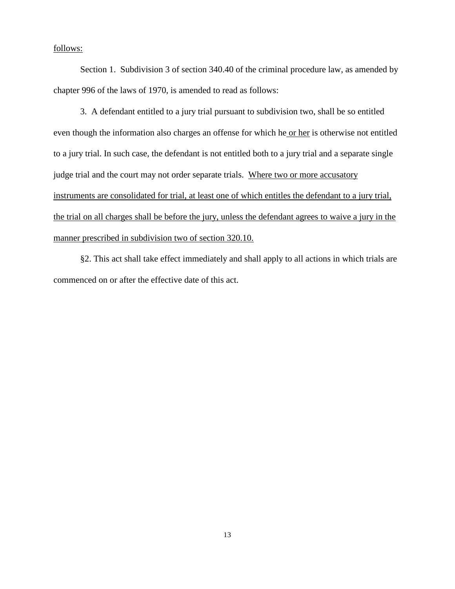# follows:

Section 1. Subdivision 3 of section 340.40 of the criminal procedure law, as amended by chapter 996 of the laws of 1970, is amended to read as follows:

3. A defendant entitled to a jury trial pursuant to subdivision two, shall be so entitled even though the information also charges an offense for which he or her is otherwise not entitled to a jury trial. In such case, the defendant is not entitled both to a jury trial and a separate single judge trial and the court may not order separate trials. Where two or more accusatory instruments are consolidated for trial, at least one of which entitles the defendant to a jury trial, the trial on all charges shall be before the jury, unless the defendant agrees to waive a jury in the manner prescribed in subdivision two of section 320.10.

§2. This act shall take effect immediately and shall apply to all actions in which trials are commenced on or after the effective date of this act.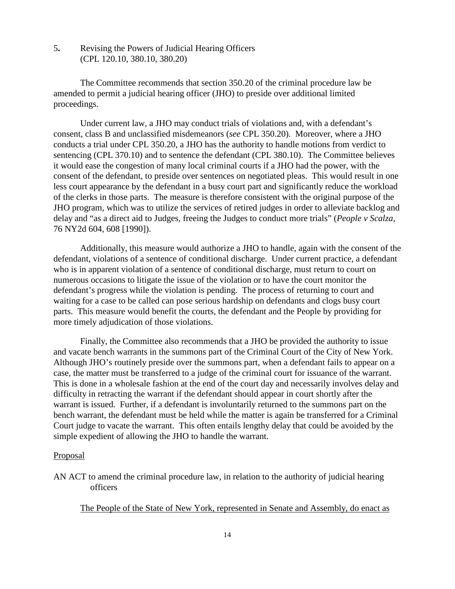5**.** Revising the Powers of Judicial Hearing Officers (CPL 120.10, 380.10, 380.20)

The Committee recommends that section 350.20 of the criminal procedure law be amended to permit a judicial hearing officer (JHO) to preside over additional limited proceedings.

Under current law, a JHO may conduct trials of violations and, with a defendant's consent, class B and unclassified misdemeanors (*see* CPL 350.20). Moreover, where a JHO conducts a trial under CPL 350.20, a JHO has the authority to handle motions from verdict to sentencing (CPL 370.10) and to sentence the defendant (CPL 380.10). The Committee believes it would ease the congestion of many local criminal courts if a JHO had the power, with the consent of the defendant, to preside over sentences on negotiated pleas. This would result in one less court appearance by the defendant in a busy court part and significantly reduce the workload of the clerks in those parts. The measure is therefore consistent with the original purpose of the JHO program, which was to utilize the services of retired judges in order to alleviate backlog and delay and "as a direct aid to Judges, freeing the Judges to conduct more trials" (*People v Scalza*, 76 NY2d 604, 608 [1990]).

Additionally, this measure would authorize a JHO to handle, again with the consent of the defendant, violations of a sentence of conditional discharge. Under current practice, a defendant who is in apparent violation of a sentence of conditional discharge, must return to court on numerous occasions to litigate the issue of the violation or to have the court monitor the defendant's progress while the violation is pending. The process of returning to court and waiting for a case to be called can pose serious hardship on defendants and clogs busy court parts. This measure would benefit the courts, the defendant and the People by providing for more timely adjudication of those violations.

Finally, the Committee also recommends that a JHO be provided the authority to issue and vacate bench warrants in the summons part of the Criminal Court of the City of New York. Although JHO's routinely preside over the summons part, when a defendant fails to appear on a case, the matter must be transferred to a judge of the criminal court for issuance of the warrant. This is done in a wholesale fashion at the end of the court day and necessarily involves delay and difficulty in retracting the warrant if the defendant should appear in court shortly after the warrant is issued. Further, if a defendant is involuntarily returned to the summons part on the bench warrant, the defendant must be held while the matter is again be transferred for a Criminal Court judge to vacate the warrant. This often entails lengthy delay that could be avoided by the simple expedient of allowing the JHO to handle the warrant.

### **Proposal**

AN ACT to amend the criminal procedure law, in relation to the authority of judicial hearing officers

The People of the State of New York, represented in Senate and Assembly, do enact as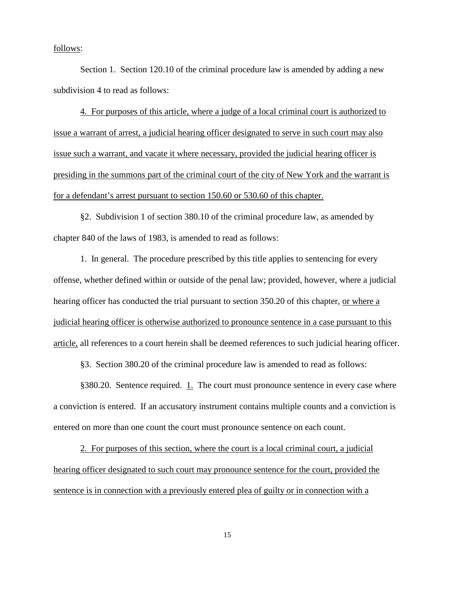follows:

Section 1. Section 120.10 of the criminal procedure law is amended by adding a new subdivision 4 to read as follows:

4. For purposes of this article, where a judge of a local criminal court is authorized to issue a warrant of arrest, a judicial hearing officer designated to serve in such court may also issue such a warrant, and vacate it where necessary, provided the judicial hearing officer is presiding in the summons part of the criminal court of the city of New York and the warrant is for a defendant's arrest pursuant to section 150.60 or 530.60 of this chapter.

§2. Subdivision 1 of section 380.10 of the criminal procedure law, as amended by chapter 840 of the laws of 1983, is amended to read as follows:

1. In general. The procedure prescribed by this title applies to sentencing for every offense, whether defined within or outside of the penal law; provided, however, where a judicial hearing officer has conducted the trial pursuant to section 350.20 of this chapter, or where a judicial hearing officer is otherwise authorized to pronounce sentence in a case pursuant to this article, all references to a court herein shall be deemed references to such judicial hearing officer.

§3. Section 380.20 of the criminal procedure law is amended to read as follows:

§380.20. Sentence required. 1. The court must pronounce sentence in every case where a conviction is entered. If an accusatory instrument contains multiple counts and a conviction is entered on more than one count the court must pronounce sentence on each count.

2. For purposes of this section, where the court is a local criminal court, a judicial hearing officer designated to such court may pronounce sentence for the court, provided the sentence is in connection with a previously entered plea of guilty or in connection with a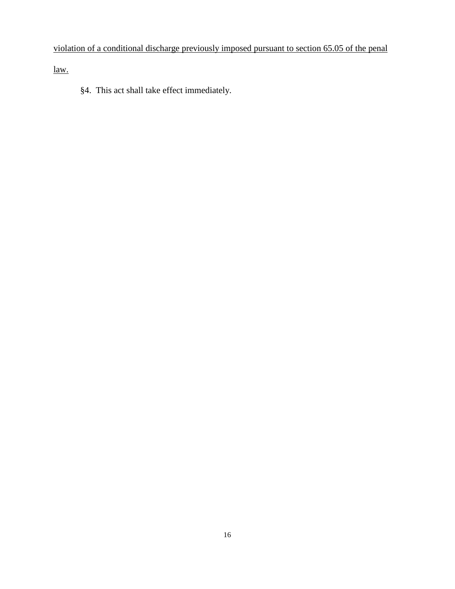# violation of a conditional discharge previously imposed pursuant to section 65.05 of the penal

law.

§4. This act shall take effect immediately.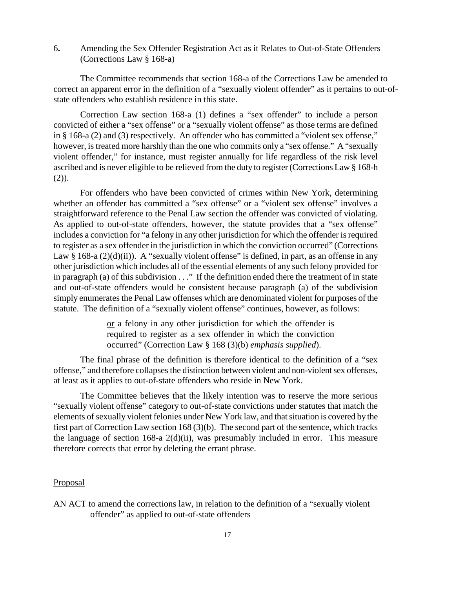6**.** Amending the Sex Offender Registration Act as it Relates to Out-of-State Offenders (Corrections Law § 168-a)

The Committee recommends that section 168-a of the Corrections Law be amended to correct an apparent error in the definition of a "sexually violent offender" as it pertains to out-ofstate offenders who establish residence in this state.

Correction Law section 168-a (1) defines a "sex offender" to include a person convicted of either a "sex offense" or a "sexually violent offense" as those terms are defined in § 168-a (2) and (3) respectively. An offender who has committed a "violent sex offense," however, is treated more harshly than the one who commits only a "sex offense." A "sexually violent offender," for instance, must register annually for life regardless of the risk level ascribed and is never eligible to be relieved from the duty to register (Corrections Law § 168-h (2)).

For offenders who have been convicted of crimes within New York, determining whether an offender has committed a "sex offense" or a "violent sex offense" involves a straightforward reference to the Penal Law section the offender was convicted of violating. As applied to out-of-state offenders, however, the statute provides that a "sex offense" includes a conviction for "a felony in any other jurisdiction for which the offender is required to register as a sex offender in the jurisdiction in which the conviction occurred" (Corrections Law  $\S$  168-a (2)(d)(ii)). A "sexually violent offense" is defined, in part, as an offense in any other jurisdiction which includes all of the essential elements of any such felony provided for in paragraph (a) of this subdivision . . ." If the definition ended there the treatment of in state and out-of-state offenders would be consistent because paragraph (a) of the subdivision simply enumerates the Penal Law offenses which are denominated violent for purposes of the statute. The definition of a "sexually violent offense" continues, however, as follows:

> or a felony in any other jurisdiction for which the offender is required to register as a sex offender in which the conviction occurred" (Correction Law § 168 (3)(b) *emphasis supplied*).

The final phrase of the definition is therefore identical to the definition of a "sex offense," and therefore collapses the distinction between violent and non-violent sex offenses, at least as it applies to out-of-state offenders who reside in New York.

The Committee believes that the likely intention was to reserve the more serious "sexually violent offense" category to out-of-state convictions under statutes that match the elements of sexually violent felonies under New York law, and that situation is covered by the first part of Correction Law section 168 (3)(b). The second part of the sentence, which tracks the language of section 168-a 2(d)(ii), was presumably included in error. This measure therefore corrects that error by deleting the errant phrase.

### Proposal

AN ACT to amend the corrections law, in relation to the definition of a "sexually violent offender" as applied to out-of-state offenders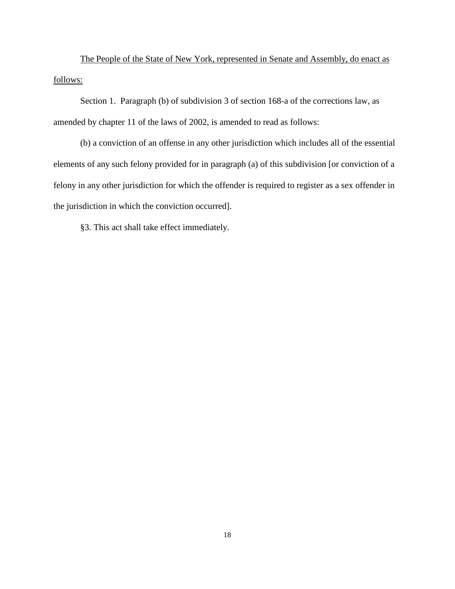The People of the State of New York, represented in Senate and Assembly, do enact as follows:

Section 1. Paragraph (b) of subdivision 3 of section 168-a of the corrections law, as amended by chapter 11 of the laws of 2002, is amended to read as follows:

(b) a conviction of an offense in any other jurisdiction which includes all of the essential elements of any such felony provided for in paragraph (a) of this subdivision [or conviction of a felony in any other jurisdiction for which the offender is required to register as a sex offender in the jurisdiction in which the conviction occurred].

§3. This act shall take effect immediately.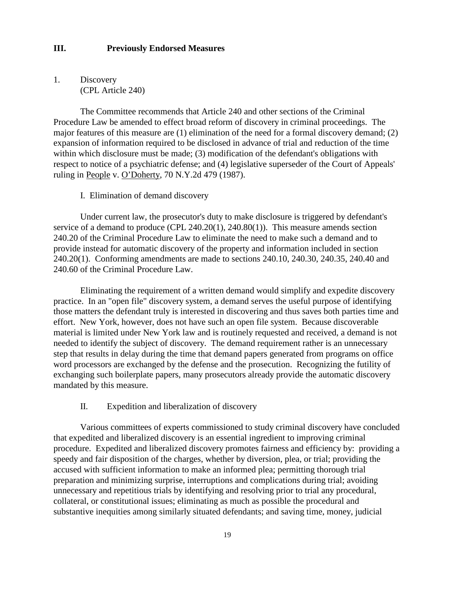# **III. Previously Endorsed Measures**

1. Discovery (CPL Article 240)

The Committee recommends that Article 240 and other sections of the Criminal Procedure Law be amended to effect broad reform of discovery in criminal proceedings. The major features of this measure are (1) elimination of the need for a formal discovery demand; (2) expansion of information required to be disclosed in advance of trial and reduction of the time within which disclosure must be made; (3) modification of the defendant's obligations with respect to notice of a psychiatric defense; and (4) legislative superseder of the Court of Appeals' ruling in People v. O'Doherty, 70 N.Y.2d 479 (1987).

### I. Elimination of demand discovery

Under current law, the prosecutor's duty to make disclosure is triggered by defendant's service of a demand to produce (CPL 240.20(1), 240.80(1)). This measure amends section 240.20 of the Criminal Procedure Law to eliminate the need to make such a demand and to provide instead for automatic discovery of the property and information included in section 240.20(1). Conforming amendments are made to sections 240.10, 240.30, 240.35, 240.40 and 240.60 of the Criminal Procedure Law.

Eliminating the requirement of a written demand would simplify and expedite discovery practice. In an "open file" discovery system, a demand serves the useful purpose of identifying those matters the defendant truly is interested in discovering and thus saves both parties time and effort. New York, however, does not have such an open file system. Because discoverable material is limited under New York law and is routinely requested and received, a demand is not needed to identify the subject of discovery. The demand requirement rather is an unnecessary step that results in delay during the time that demand papers generated from programs on office word processors are exchanged by the defense and the prosecution. Recognizing the futility of exchanging such boilerplate papers, many prosecutors already provide the automatic discovery mandated by this measure.

# II. Expedition and liberalization of discovery

Various committees of experts commissioned to study criminal discovery have concluded that expedited and liberalized discovery is an essential ingredient to improving criminal procedure. Expedited and liberalized discovery promotes fairness and efficiency by: providing a speedy and fair disposition of the charges, whether by diversion, plea, or trial; providing the accused with sufficient information to make an informed plea; permitting thorough trial preparation and minimizing surprise, interruptions and complications during trial; avoiding unnecessary and repetitious trials by identifying and resolving prior to trial any procedural, collateral, or constitutional issues; eliminating as much as possible the procedural and substantive inequities among similarly situated defendants; and saving time, money, judicial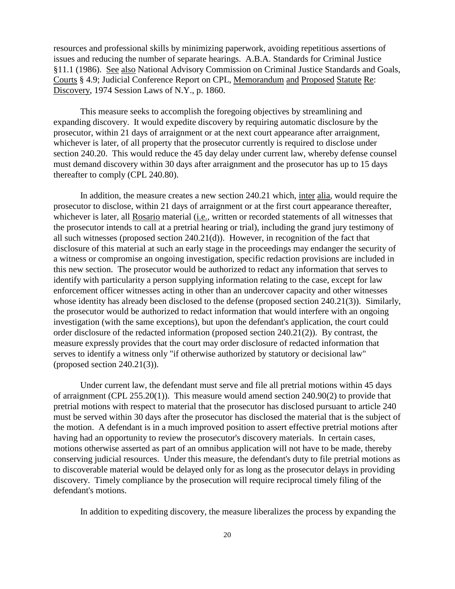resources and professional skills by minimizing paperwork, avoiding repetitious assertions of issues and reducing the number of separate hearings. A.B.A. Standards for Criminal Justice §11.1 (1986). See also National Advisory Commission on Criminal Justice Standards and Goals, Courts § 4.9; Judicial Conference Report on CPL, Memorandum and Proposed Statute Re: Discovery, 1974 Session Laws of N.Y., p. 1860.

This measure seeks to accomplish the foregoing objectives by streamlining and expanding discovery. It would expedite discovery by requiring automatic disclosure by the prosecutor, within 21 days of arraignment or at the next court appearance after arraignment, whichever is later, of all property that the prosecutor currently is required to disclose under section 240.20. This would reduce the 45 day delay under current law, whereby defense counsel must demand discovery within 30 days after arraignment and the prosecutor has up to 15 days thereafter to comply (CPL 240.80).

In addition, the measure creates a new section 240.21 which, inter alia, would require the prosecutor to disclose, within 21 days of arraignment or at the first court appearance thereafter, whichever is later, all Rosario material (i.e., written or recorded statements of all witnesses that the prosecutor intends to call at a pretrial hearing or trial), including the grand jury testimony of all such witnesses (proposed section 240.21(d)). However, in recognition of the fact that disclosure of this material at such an early stage in the proceedings may endanger the security of a witness or compromise an ongoing investigation, specific redaction provisions are included in this new section. The prosecutor would be authorized to redact any information that serves to identify with particularity a person supplying information relating to the case, except for law enforcement officer witnesses acting in other than an undercover capacity and other witnesses whose identity has already been disclosed to the defense (proposed section 240.21(3)). Similarly, the prosecutor would be authorized to redact information that would interfere with an ongoing investigation (with the same exceptions), but upon the defendant's application, the court could order disclosure of the redacted information (proposed section 240.21(2)). By contrast, the measure expressly provides that the court may order disclosure of redacted information that serves to identify a witness only "if otherwise authorized by statutory or decisional law" (proposed section 240.21(3)).

Under current law, the defendant must serve and file all pretrial motions within 45 days of arraignment (CPL 255.20(1)). This measure would amend section 240.90(2) to provide that pretrial motions with respect to material that the prosecutor has disclosed pursuant to article 240 must be served within 30 days after the prosecutor has disclosed the material that is the subject of the motion. A defendant is in a much improved position to assert effective pretrial motions after having had an opportunity to review the prosecutor's discovery materials. In certain cases, motions otherwise asserted as part of an omnibus application will not have to be made, thereby conserving judicial resources. Under this measure, the defendant's duty to file pretrial motions as to discoverable material would be delayed only for as long as the prosecutor delays in providing discovery. Timely compliance by the prosecution will require reciprocal timely filing of the defendant's motions.

In addition to expediting discovery, the measure liberalizes the process by expanding the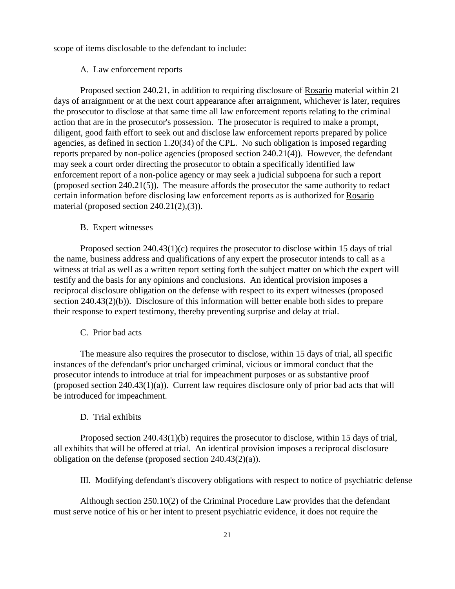scope of items disclosable to the defendant to include:

### A. Law enforcement reports

Proposed section 240.21, in addition to requiring disclosure of Rosario material within 21 days of arraignment or at the next court appearance after arraignment, whichever is later, requires the prosecutor to disclose at that same time all law enforcement reports relating to the criminal action that are in the prosecutor's possession. The prosecutor is required to make a prompt, diligent, good faith effort to seek out and disclose law enforcement reports prepared by police agencies, as defined in section 1.20(34) of the CPL. No such obligation is imposed regarding reports prepared by non-police agencies (proposed section 240.21(4)). However, the defendant may seek a court order directing the prosecutor to obtain a specifically identified law enforcement report of a non-police agency or may seek a judicial subpoena for such a report (proposed section 240.21(5)). The measure affords the prosecutor the same authority to redact certain information before disclosing law enforcement reports as is authorized for Rosario material (proposed section 240.21(2),(3)).

#### B. Expert witnesses

Proposed section 240.43(1)(c) requires the prosecutor to disclose within 15 days of trial the name, business address and qualifications of any expert the prosecutor intends to call as a witness at trial as well as a written report setting forth the subject matter on which the expert will testify and the basis for any opinions and conclusions. An identical provision imposes a reciprocal disclosure obligation on the defense with respect to its expert witnesses (proposed section 240.43(2)(b)). Disclosure of this information will better enable both sides to prepare their response to expert testimony, thereby preventing surprise and delay at trial.

### C. Prior bad acts

The measure also requires the prosecutor to disclose, within 15 days of trial, all specific instances of the defendant's prior uncharged criminal, vicious or immoral conduct that the prosecutor intends to introduce at trial for impeachment purposes or as substantive proof (proposed section 240.43(1)(a)). Current law requires disclosure only of prior bad acts that will be introduced for impeachment.

# D. Trial exhibits

Proposed section 240.43(1)(b) requires the prosecutor to disclose, within 15 days of trial, all exhibits that will be offered at trial. An identical provision imposes a reciprocal disclosure obligation on the defense (proposed section  $240.43(2)(a)$ ).

III. Modifying defendant's discovery obligations with respect to notice of psychiatric defense

Although section 250.10(2) of the Criminal Procedure Law provides that the defendant must serve notice of his or her intent to present psychiatric evidence, it does not require the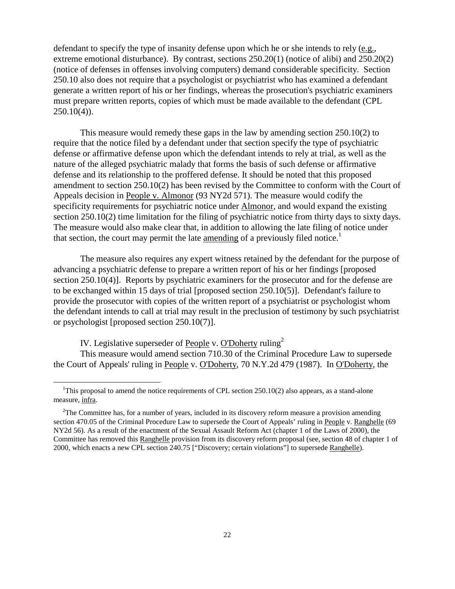defendant to specify the type of insanity defense upon which he or she intends to rely (e.g., extreme emotional disturbance). By contrast, sections 250.20(1) (notice of alibi) and 250.20(2) (notice of defenses in offenses involving computers) demand considerable specificity. Section 250.10 also does not require that a psychologist or psychiatrist who has examined a defendant generate a written report of his or her findings, whereas the prosecution's psychiatric examiners must prepare written reports, copies of which must be made available to the defendant (CPL  $250.10(4)$ .

This measure would remedy these gaps in the law by amending section 250.10(2) to require that the notice filed by a defendant under that section specify the type of psychiatric defense or affirmative defense upon which the defendant intends to rely at trial, as well as the nature of the alleged psychiatric malady that forms the basis of such defense or affirmative defense and its relationship to the proffered defense. It should be noted that this proposed amendment to section 250.10(2) has been revised by the Committee to conform with the Court of Appeals decision in People v. Almonor (93 NY2d 571). The measure would codify the specificity requirements for psychiatric notice under **Almonor**, and would expand the existing section 250.10(2) time limitation for the filing of psychiatric notice from thirty days to sixty days. The measure would also make clear that, in addition to allowing the late filing of notice under that section, the court may permit the late amending of a previously filed notice.<sup>1</sup>

The measure also requires any expert witness retained by the defendant for the purpose of advancing a psychiatric defense to prepare a written report of his or her findings [proposed section 250.10(4)]. Reports by psychiatric examiners for the prosecutor and for the defense are to be exchanged within 15 days of trial [proposed section 250.10(5)]. Defendant's failure to provide the prosecutor with copies of the written report of a psychiatrist or psychologist whom the defendant intends to call at trial may result in the preclusion of testimony by such psychiatrist or psychologist [proposed section 250.10(7)].

IV. Legislative superseder of People v. O'Doherty ruling<sup>2</sup>

l

This measure would amend section 710.30 of the Criminal Procedure Law to supersede the Court of Appeals' ruling in People v. O'Doherty, 70 N.Y.2d 479 (1987). In O'Doherty, the

<sup>&</sup>lt;sup>1</sup>This proposal to amend the notice requirements of CPL section  $250.10(2)$  also appears, as a stand-alone measure, infra.

 $2$ The Committee has, for a number of years, included in its discovery reform measure a provision amending section 470.05 of the Criminal Procedure Law to supersede the Court of Appeals' ruling in People v. Ranghelle (69 NY2d 56). As a result of the enactment of the Sexual Assault Reform Act (chapter 1 of the Laws of 2000), the Committee has removed this Ranghelle provision from its discovery reform proposal (see, section 48 of chapter 1 of 2000, which enacts a new CPL section 240.75 ["Discovery; certain violations"] to supersede Ranghelle).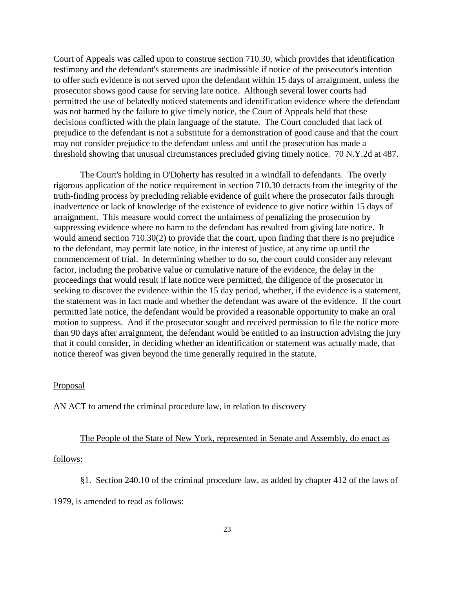Court of Appeals was called upon to construe section 710.30, which provides that identification testimony and the defendant's statements are inadmissible if notice of the prosecutor's intention to offer such evidence is not served upon the defendant within 15 days of arraignment, unless the prosecutor shows good cause for serving late notice. Although several lower courts had permitted the use of belatedly noticed statements and identification evidence where the defendant was not harmed by the failure to give timely notice, the Court of Appeals held that these decisions conflicted with the plain language of the statute. The Court concluded that lack of prejudice to the defendant is not a substitute for a demonstration of good cause and that the court may not consider prejudice to the defendant unless and until the prosecution has made a threshold showing that unusual circumstances precluded giving timely notice. 70 N.Y.2d at 487.

The Court's holding in O'Doherty has resulted in a windfall to defendants. The overly rigorous application of the notice requirement in section 710.30 detracts from the integrity of the truth-finding process by precluding reliable evidence of guilt where the prosecutor fails through inadvertence or lack of knowledge of the existence of evidence to give notice within 15 days of arraignment. This measure would correct the unfairness of penalizing the prosecution by suppressing evidence where no harm to the defendant has resulted from giving late notice. It would amend section 710.30(2) to provide that the court, upon finding that there is no prejudice to the defendant, may permit late notice, in the interest of justice, at any time up until the commencement of trial. In determining whether to do so, the court could consider any relevant factor, including the probative value or cumulative nature of the evidence, the delay in the proceedings that would result if late notice were permitted, the diligence of the prosecutor in seeking to discover the evidence within the 15 day period, whether, if the evidence is a statement. the statement was in fact made and whether the defendant was aware of the evidence. If the court permitted late notice, the defendant would be provided a reasonable opportunity to make an oral motion to suppress. And if the prosecutor sought and received permission to file the notice more than 90 days after arraignment, the defendant would be entitled to an instruction advising the jury that it could consider, in deciding whether an identification or statement was actually made, that notice thereof was given beyond the time generally required in the statute.

### Proposal

AN ACT to amend the criminal procedure law, in relation to discovery

# The People of the State of New York, represented in Senate and Assembly, do enact as

### follows:

§1. Section 240.10 of the criminal procedure law, as added by chapter 412 of the laws of

1979, is amended to read as follows: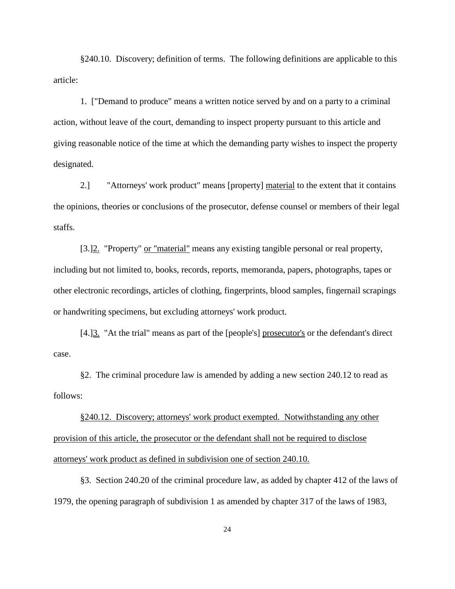§240.10. Discovery; definition of terms. The following definitions are applicable to this article:

1. ["Demand to produce" means a written notice served by and on a party to a criminal action, without leave of the court, demanding to inspect property pursuant to this article and giving reasonable notice of the time at which the demanding party wishes to inspect the property designated.

2.] "Attorneys' work product" means [property] material to the extent that it contains the opinions, theories or conclusions of the prosecutor, defense counsel or members of their legal staffs.

[3.]<sup>2</sup>. "Property" or "material" means any existing tangible personal or real property, including but not limited to, books, records, reports, memoranda, papers, photographs, tapes or other electronic recordings, articles of clothing, fingerprints, blood samples, fingernail scrapings or handwriting specimens, but excluding attorneys' work product.

[4.]<sup>3</sup>. "At the trial" means as part of the [people's] prosecutor's or the defendant's direct case.

§2. The criminal procedure law is amended by adding a new section 240.12 to read as follows:

§240.12. Discovery; attorneys' work product exempted. Notwithstanding any other provision of this article, the prosecutor or the defendant shall not be required to disclose attorneys' work product as defined in subdivision one of section 240.10.

§3. Section 240.20 of the criminal procedure law, as added by chapter 412 of the laws of 1979, the opening paragraph of subdivision 1 as amended by chapter 317 of the laws of 1983,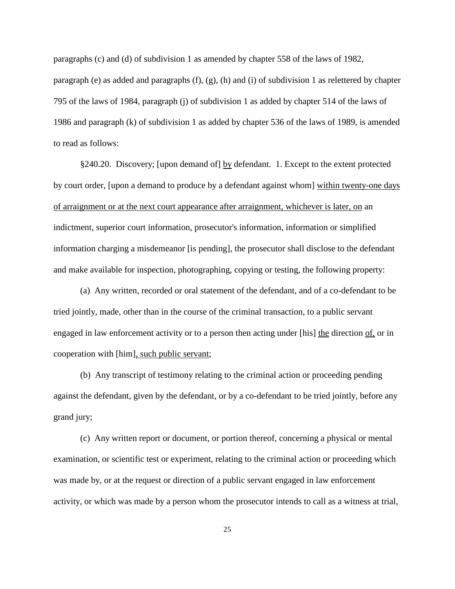paragraphs (c) and (d) of subdivision 1 as amended by chapter 558 of the laws of 1982, paragraph (e) as added and paragraphs (f), (g), (h) and (i) of subdivision 1 as relettered by chapter 795 of the laws of 1984, paragraph (j) of subdivision 1 as added by chapter 514 of the laws of 1986 and paragraph (k) of subdivision 1 as added by chapter 536 of the laws of 1989, is amended to read as follows:

§240.20. Discovery; [upon demand of] by defendant. 1. Except to the extent protected by court order, [upon a demand to produce by a defendant against whom] within twenty-one days of arraignment or at the next court appearance after arraignment, whichever is later, on an indictment, superior court information, prosecutor's information, information or simplified information charging a misdemeanor [is pending], the prosecutor shall disclose to the defendant and make available for inspection, photographing, copying or testing, the following property:

(a) Any written, recorded or oral statement of the defendant, and of a co-defendant to be tried jointly, made, other than in the course of the criminal transaction, to a public servant engaged in law enforcement activity or to a person then acting under [his] the direction of, or in cooperation with [him], such public servant;

(b) Any transcript of testimony relating to the criminal action or proceeding pending against the defendant, given by the defendant, or by a co-defendant to be tried jointly, before any grand jury;

(c) Any written report or document, or portion thereof, concerning a physical or mental examination, or scientific test or experiment, relating to the criminal action or proceeding which was made by, or at the request or direction of a public servant engaged in law enforcement activity, or which was made by a person whom the prosecutor intends to call as a witness at trial,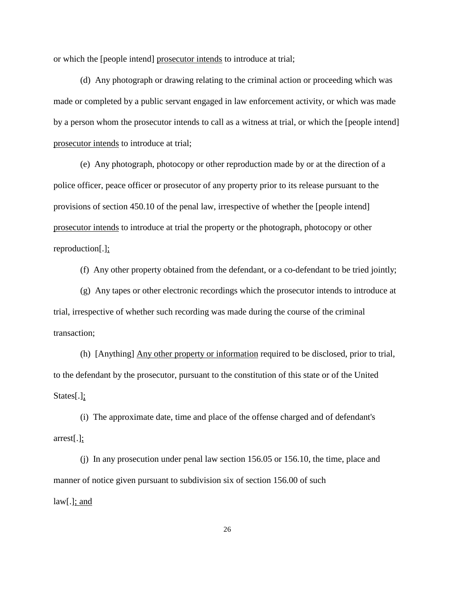or which the [people intend] prosecutor intends to introduce at trial;

(d) Any photograph or drawing relating to the criminal action or proceeding which was made or completed by a public servant engaged in law enforcement activity, or which was made by a person whom the prosecutor intends to call as a witness at trial, or which the [people intend] prosecutor intends to introduce at trial;

(e) Any photograph, photocopy or other reproduction made by or at the direction of a police officer, peace officer or prosecutor of any property prior to its release pursuant to the provisions of section 450.10 of the penal law, irrespective of whether the [people intend] prosecutor intends to introduce at trial the property or the photograph, photocopy or other reproduction[.];

(f) Any other property obtained from the defendant, or a co-defendant to be tried jointly;

(g) Any tapes or other electronic recordings which the prosecutor intends to introduce at trial, irrespective of whether such recording was made during the course of the criminal transaction;

(h) [Anything] Any other property or information required to be disclosed, prior to trial, to the defendant by the prosecutor, pursuant to the constitution of this state or of the United States[.];

(i) The approximate date, time and place of the offense charged and of defendant's arrest[.];

(j) In any prosecution under penal law section 156.05 or 156.10, the time, place and manner of notice given pursuant to subdivision six of section 156.00 of such  $law[.]$ ; and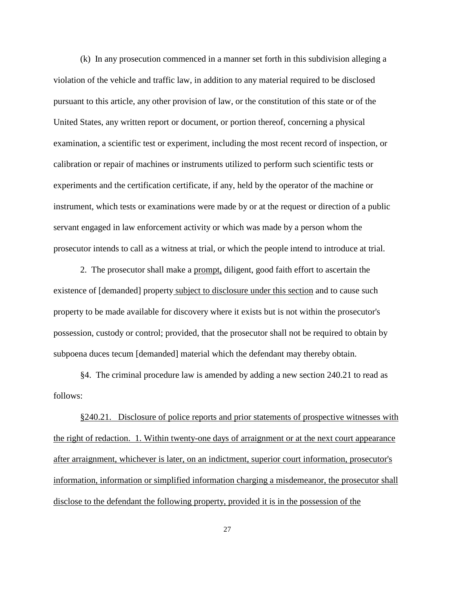(k) In any prosecution commenced in a manner set forth in this subdivision alleging a violation of the vehicle and traffic law, in addition to any material required to be disclosed pursuant to this article, any other provision of law, or the constitution of this state or of the United States, any written report or document, or portion thereof, concerning a physical examination, a scientific test or experiment, including the most recent record of inspection, or calibration or repair of machines or instruments utilized to perform such scientific tests or experiments and the certification certificate, if any, held by the operator of the machine or instrument, which tests or examinations were made by or at the request or direction of a public servant engaged in law enforcement activity or which was made by a person whom the prosecutor intends to call as a witness at trial, or which the people intend to introduce at trial.

2. The prosecutor shall make a prompt, diligent, good faith effort to ascertain the existence of [demanded] property subject to disclosure under this section and to cause such property to be made available for discovery where it exists but is not within the prosecutor's possession, custody or control; provided, that the prosecutor shall not be required to obtain by subpoena duces tecum [demanded] material which the defendant may thereby obtain.

§4. The criminal procedure law is amended by adding a new section 240.21 to read as follows:

§240.21. Disclosure of police reports and prior statements of prospective witnesses with the right of redaction. 1. Within twenty-one days of arraignment or at the next court appearance after arraignment, whichever is later, on an indictment, superior court information, prosecutor's information, information or simplified information charging a misdemeanor, the prosecutor shall disclose to the defendant the following property, provided it is in the possession of the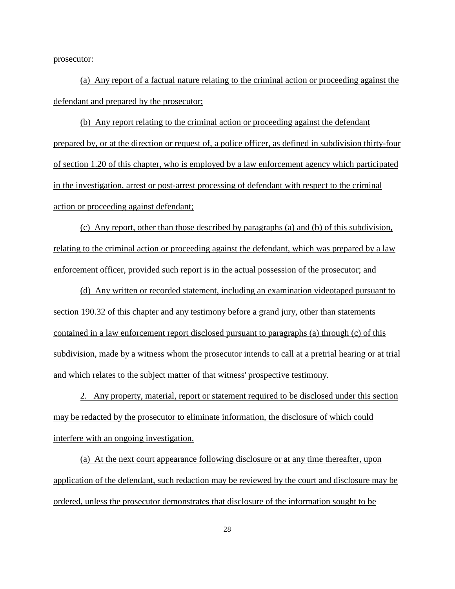prosecutor:

(a) Any report of a factual nature relating to the criminal action or proceeding against the defendant and prepared by the prosecutor;

(b) Any report relating to the criminal action or proceeding against the defendant prepared by, or at the direction or request of, a police officer, as defined in subdivision thirty-four of section 1.20 of this chapter, who is employed by a law enforcement agency which participated in the investigation, arrest or post-arrest processing of defendant with respect to the criminal action or proceeding against defendant;

(c) Any report, other than those described by paragraphs (a) and (b) of this subdivision, relating to the criminal action or proceeding against the defendant, which was prepared by a law enforcement officer, provided such report is in the actual possession of the prosecutor; and

(d) Any written or recorded statement, including an examination videotaped pursuant to section 190.32 of this chapter and any testimony before a grand jury, other than statements contained in a law enforcement report disclosed pursuant to paragraphs (a) through (c) of this subdivision, made by a witness whom the prosecutor intends to call at a pretrial hearing or at trial and which relates to the subject matter of that witness' prospective testimony.

2. Any property, material, report or statement required to be disclosed under this section may be redacted by the prosecutor to eliminate information, the disclosure of which could interfere with an ongoing investigation.

(a) At the next court appearance following disclosure or at any time thereafter, upon application of the defendant, such redaction may be reviewed by the court and disclosure may be ordered, unless the prosecutor demonstrates that disclosure of the information sought to be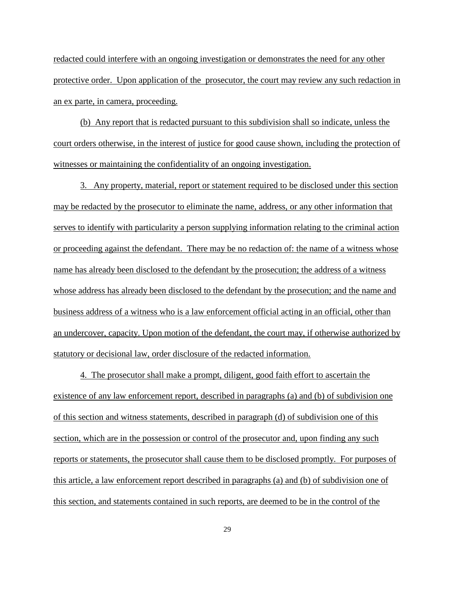redacted could interfere with an ongoing investigation or demonstrates the need for any other protective order. Upon application of the prosecutor, the court may review any such redaction in an ex parte, in camera, proceeding.

(b) Any report that is redacted pursuant to this subdivision shall so indicate, unless the court orders otherwise, in the interest of justice for good cause shown, including the protection of witnesses or maintaining the confidentiality of an ongoing investigation.

3. Any property, material, report or statement required to be disclosed under this section may be redacted by the prosecutor to eliminate the name, address, or any other information that serves to identify with particularity a person supplying information relating to the criminal action or proceeding against the defendant. There may be no redaction of: the name of a witness whose name has already been disclosed to the defendant by the prosecution; the address of a witness whose address has already been disclosed to the defendant by the prosecution; and the name and business address of a witness who is a law enforcement official acting in an official, other than an undercover, capacity. Upon motion of the defendant, the court may, if otherwise authorized by statutory or decisional law, order disclosure of the redacted information.

4. The prosecutor shall make a prompt, diligent, good faith effort to ascertain the existence of any law enforcement report, described in paragraphs (a) and (b) of subdivision one of this section and witness statements, described in paragraph (d) of subdivision one of this section, which are in the possession or control of the prosecutor and, upon finding any such reports or statements, the prosecutor shall cause them to be disclosed promptly. For purposes of this article, a law enforcement report described in paragraphs (a) and (b) of subdivision one of this section, and statements contained in such reports, are deemed to be in the control of the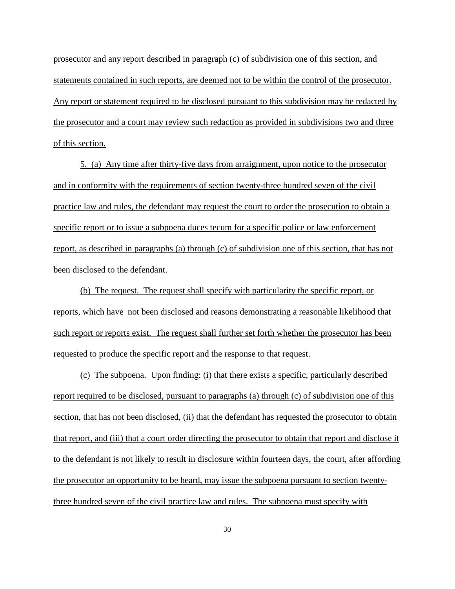prosecutor and any report described in paragraph (c) of subdivision one of this section, and statements contained in such reports, are deemed not to be within the control of the prosecutor. Any report or statement required to be disclosed pursuant to this subdivision may be redacted by the prosecutor and a court may review such redaction as provided in subdivisions two and three of this section.

5. (a) Any time after thirty-five days from arraignment, upon notice to the prosecutor and in conformity with the requirements of section twenty-three hundred seven of the civil practice law and rules, the defendant may request the court to order the prosecution to obtain a specific report or to issue a subpoena duces tecum for a specific police or law enforcement report, as described in paragraphs (a) through (c) of subdivision one of this section, that has not been disclosed to the defendant.

(b) The request. The request shall specify with particularity the specific report, or reports, which have not been disclosed and reasons demonstrating a reasonable likelihood that such report or reports exist. The request shall further set forth whether the prosecutor has been requested to produce the specific report and the response to that request.

(c) The subpoena. Upon finding: (i) that there exists a specific, particularly described report required to be disclosed, pursuant to paragraphs (a) through (c) of subdivision one of this section, that has not been disclosed, (ii) that the defendant has requested the prosecutor to obtain that report, and (iii) that a court order directing the prosecutor to obtain that report and disclose it to the defendant is not likely to result in disclosure within fourteen days, the court, after affording the prosecutor an opportunity to be heard, may issue the subpoena pursuant to section twentythree hundred seven of the civil practice law and rules. The subpoena must specify with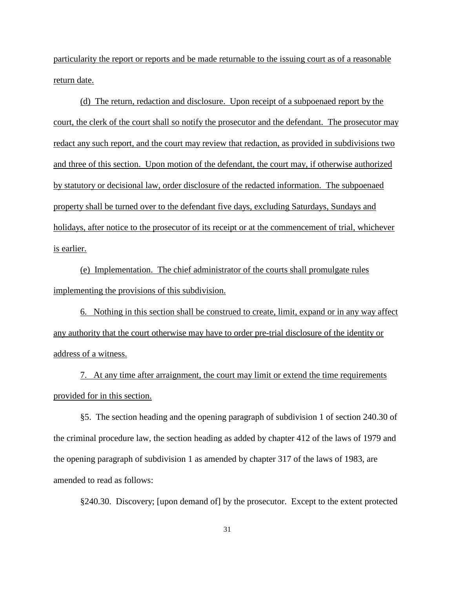particularity the report or reports and be made returnable to the issuing court as of a reasonable return date.

(d) The return, redaction and disclosure. Upon receipt of a subpoenaed report by the court, the clerk of the court shall so notify the prosecutor and the defendant. The prosecutor may redact any such report, and the court may review that redaction, as provided in subdivisions two and three of this section. Upon motion of the defendant, the court may, if otherwise authorized by statutory or decisional law, order disclosure of the redacted information. The subpoenaed property shall be turned over to the defendant five days, excluding Saturdays, Sundays and holidays, after notice to the prosecutor of its receipt or at the commencement of trial, whichever is earlier.

(e) Implementation. The chief administrator of the courts shall promulgate rules implementing the provisions of this subdivision.

6. Nothing in this section shall be construed to create, limit, expand or in any way affect any authority that the court otherwise may have to order pre-trial disclosure of the identity or address of a witness.

7. At any time after arraignment, the court may limit or extend the time requirements provided for in this section.

§5. The section heading and the opening paragraph of subdivision 1 of section 240.30 of the criminal procedure law, the section heading as added by chapter 412 of the laws of 1979 and the opening paragraph of subdivision 1 as amended by chapter 317 of the laws of 1983, are amended to read as follows:

§240.30. Discovery; [upon demand of] by the prosecutor. Except to the extent protected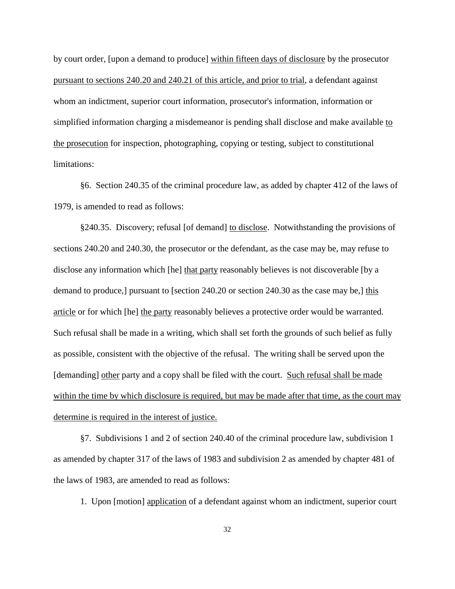by court order, [upon a demand to produce] within fifteen days of disclosure by the prosecutor pursuant to sections 240.20 and 240.21 of this article, and prior to trial, a defendant against whom an indictment, superior court information, prosecutor's information, information or simplified information charging a misdemeanor is pending shall disclose and make available to the prosecution for inspection, photographing, copying or testing, subject to constitutional limitations:

§6. Section 240.35 of the criminal procedure law, as added by chapter 412 of the laws of 1979, is amended to read as follows:

§240.35. Discovery; refusal [of demand] to disclose. Notwithstanding the provisions of sections 240.20 and 240.30, the prosecutor or the defendant, as the case may be, may refuse to disclose any information which [he] that party reasonably believes is not discoverable [by a demand to produce,] pursuant to [section 240.20 or section 240.30 as the case may be,] this article or for which [he] the party reasonably believes a protective order would be warranted. Such refusal shall be made in a writing, which shall set forth the grounds of such belief as fully as possible, consistent with the objective of the refusal. The writing shall be served upon the [demanding] other party and a copy shall be filed with the court. Such refusal shall be made within the time by which disclosure is required, but may be made after that time, as the court may determine is required in the interest of justice.

§7. Subdivisions 1 and 2 of section 240.40 of the criminal procedure law, subdivision 1 as amended by chapter 317 of the laws of 1983 and subdivision 2 as amended by chapter 481 of the laws of 1983, are amended to read as follows:

1. Upon [motion] application of a defendant against whom an indictment, superior court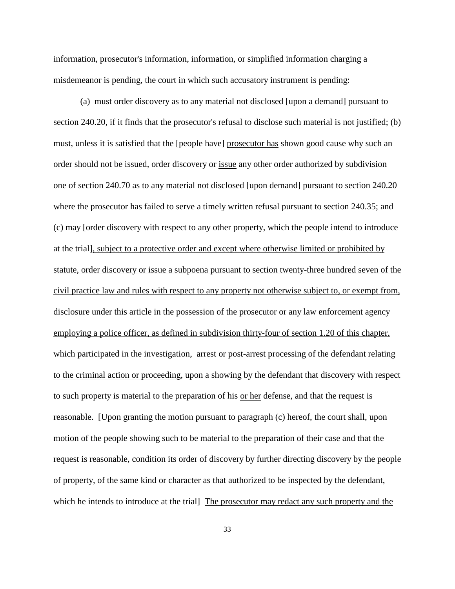information, prosecutor's information, information, or simplified information charging a misdemeanor is pending, the court in which such accusatory instrument is pending:

(a) must order discovery as to any material not disclosed [upon a demand] pursuant to section 240.20, if it finds that the prosecutor's refusal to disclose such material is not justified; (b) must, unless it is satisfied that the [people have] prosecutor has shown good cause why such an order should not be issued, order discovery or issue any other order authorized by subdivision one of section 240.70 as to any material not disclosed [upon demand] pursuant to section 240.20 where the prosecutor has failed to serve a timely written refusal pursuant to section 240.35; and (c) may [order discovery with respect to any other property, which the people intend to introduce at the trial], subject to a protective order and except where otherwise limited or prohibited by statute, order discovery or issue a subpoena pursuant to section twenty-three hundred seven of the civil practice law and rules with respect to any property not otherwise subject to, or exempt from, disclosure under this article in the possession of the prosecutor or any law enforcement agency employing a police officer, as defined in subdivision thirty-four of section 1.20 of this chapter, which participated in the investigation, arrest or post-arrest processing of the defendant relating to the criminal action or proceeding, upon a showing by the defendant that discovery with respect to such property is material to the preparation of his or her defense, and that the request is reasonable. [Upon granting the motion pursuant to paragraph (c) hereof, the court shall, upon motion of the people showing such to be material to the preparation of their case and that the request is reasonable, condition its order of discovery by further directing discovery by the people of property, of the same kind or character as that authorized to be inspected by the defendant, which he intends to introduce at the trial] The prosecutor may redact any such property and the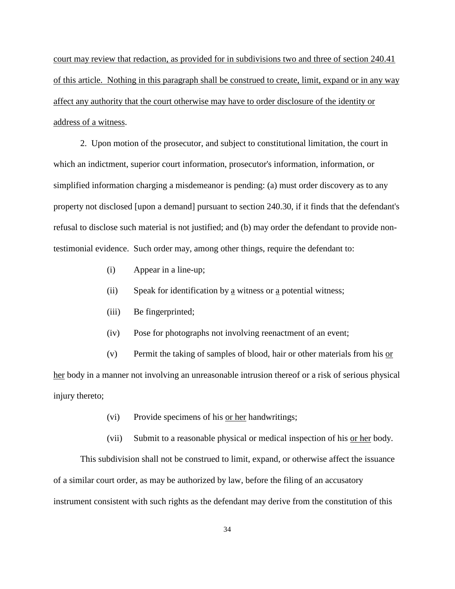court may review that redaction, as provided for in subdivisions two and three of section 240.41 of this article. Nothing in this paragraph shall be construed to create, limit, expand or in any way affect any authority that the court otherwise may have to order disclosure of the identity or address of a witness.

2. Upon motion of the prosecutor, and subject to constitutional limitation, the court in which an indictment, superior court information, prosecutor's information, information, or simplified information charging a misdemeanor is pending: (a) must order discovery as to any property not disclosed [upon a demand] pursuant to section 240.30, if it finds that the defendant's refusal to disclose such material is not justified; and (b) may order the defendant to provide nontestimonial evidence. Such order may, among other things, require the defendant to:

- (i) Appear in a line-up;
- (ii) Speak for identification by a witness or a potential witness;
- (iii) Be fingerprinted;
- (iv) Pose for photographs not involving reenactment of an event;
- (v) Permit the taking of samples of blood, hair or other materials from his or

her body in a manner not involving an unreasonable intrusion thereof or a risk of serious physical injury thereto;

- (vi) Provide specimens of his or her handwritings;
- (vii) Submit to a reasonable physical or medical inspection of his or her body.

This subdivision shall not be construed to limit, expand, or otherwise affect the issuance of a similar court order, as may be authorized by law, before the filing of an accusatory instrument consistent with such rights as the defendant may derive from the constitution of this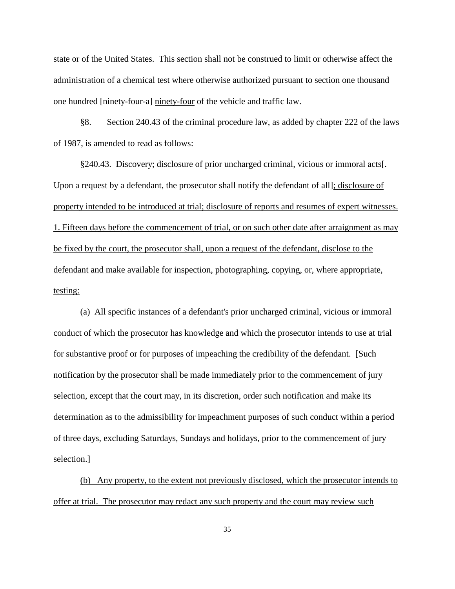state or of the United States. This section shall not be construed to limit or otherwise affect the administration of a chemical test where otherwise authorized pursuant to section one thousand one hundred [ninety-four-a] ninety-four of the vehicle and traffic law.

§8. Section 240.43 of the criminal procedure law, as added by chapter 222 of the laws of 1987, is amended to read as follows:

§240.43. Discovery; disclosure of prior uncharged criminal, vicious or immoral acts[. Upon a request by a defendant, the prosecutor shall notify the defendant of all]; disclosure of property intended to be introduced at trial; disclosure of reports and resumes of expert witnesses. 1. Fifteen days before the commencement of trial, or on such other date after arraignment as may be fixed by the court, the prosecutor shall, upon a request of the defendant, disclose to the defendant and make available for inspection, photographing, copying, or, where appropriate, testing:

(a) All specific instances of a defendant's prior uncharged criminal, vicious or immoral conduct of which the prosecutor has knowledge and which the prosecutor intends to use at trial for substantive proof or for purposes of impeaching the credibility of the defendant. [Such notification by the prosecutor shall be made immediately prior to the commencement of jury selection, except that the court may, in its discretion, order such notification and make its determination as to the admissibility for impeachment purposes of such conduct within a period of three days, excluding Saturdays, Sundays and holidays, prior to the commencement of jury selection.]

(b) Any property, to the extent not previously disclosed, which the prosecutor intends to offer at trial. The prosecutor may redact any such property and the court may review such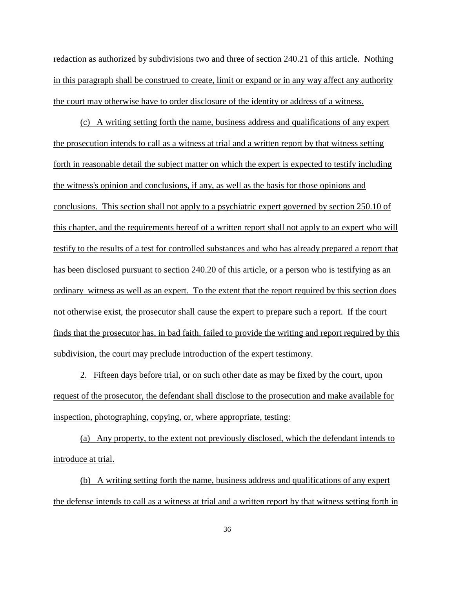redaction as authorized by subdivisions two and three of section 240.21 of this article. Nothing in this paragraph shall be construed to create, limit or expand or in any way affect any authority the court may otherwise have to order disclosure of the identity or address of a witness.

(c) A writing setting forth the name, business address and qualifications of any expert the prosecution intends to call as a witness at trial and a written report by that witness setting forth in reasonable detail the subject matter on which the expert is expected to testify including the witness's opinion and conclusions, if any, as well as the basis for those opinions and conclusions. This section shall not apply to a psychiatric expert governed by section 250.10 of this chapter, and the requirements hereof of a written report shall not apply to an expert who will testify to the results of a test for controlled substances and who has already prepared a report that has been disclosed pursuant to section 240.20 of this article, or a person who is testifying as an ordinary witness as well as an expert. To the extent that the report required by this section does not otherwise exist, the prosecutor shall cause the expert to prepare such a report. If the court finds that the prosecutor has, in bad faith, failed to provide the writing and report required by this subdivision, the court may preclude introduction of the expert testimony.

2. Fifteen days before trial, or on such other date as may be fixed by the court, upon request of the prosecutor, the defendant shall disclose to the prosecution and make available for inspection, photographing, copying, or, where appropriate, testing:

(a) Any property, to the extent not previously disclosed, which the defendant intends to introduce at trial.

(b) A writing setting forth the name, business address and qualifications of any expert the defense intends to call as a witness at trial and a written report by that witness setting forth in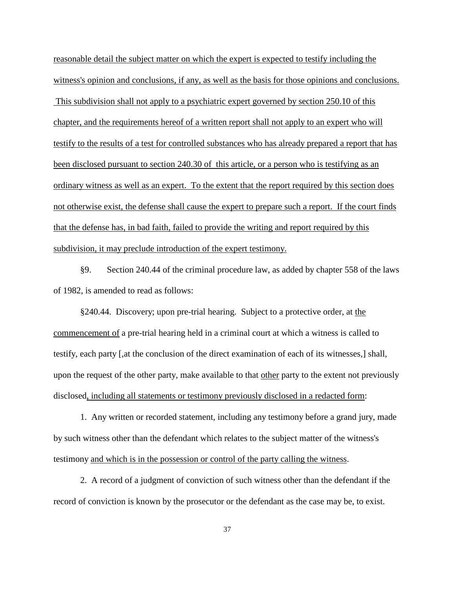reasonable detail the subject matter on which the expert is expected to testify including the witness's opinion and conclusions, if any, as well as the basis for those opinions and conclusions. This subdivision shall not apply to a psychiatric expert governed by section 250.10 of this chapter, and the requirements hereof of a written report shall not apply to an expert who will testify to the results of a test for controlled substances who has already prepared a report that has been disclosed pursuant to section 240.30 of this article, or a person who is testifying as an ordinary witness as well as an expert. To the extent that the report required by this section does not otherwise exist, the defense shall cause the expert to prepare such a report. If the court finds that the defense has, in bad faith, failed to provide the writing and report required by this subdivision, it may preclude introduction of the expert testimony.

§9. Section 240.44 of the criminal procedure law, as added by chapter 558 of the laws of 1982, is amended to read as follows:

§240.44. Discovery; upon pre-trial hearing. Subject to a protective order, at the commencement of a pre-trial hearing held in a criminal court at which a witness is called to testify, each party [,at the conclusion of the direct examination of each of its witnesses,] shall, upon the request of the other party, make available to that other party to the extent not previously disclosed, including all statements or testimony previously disclosed in a redacted form:

1. Any written or recorded statement, including any testimony before a grand jury, made by such witness other than the defendant which relates to the subject matter of the witness's testimony and which is in the possession or control of the party calling the witness.

2. A record of a judgment of conviction of such witness other than the defendant if the record of conviction is known by the prosecutor or the defendant as the case may be, to exist.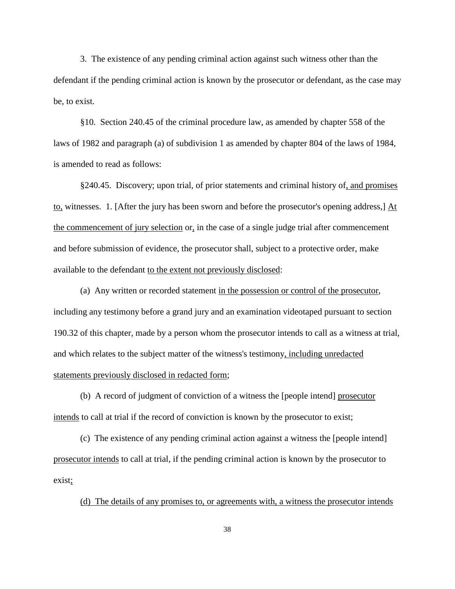3. The existence of any pending criminal action against such witness other than the defendant if the pending criminal action is known by the prosecutor or defendant, as the case may be, to exist.

§10. Section 240.45 of the criminal procedure law, as amended by chapter 558 of the laws of 1982 and paragraph (a) of subdivision 1 as amended by chapter 804 of the laws of 1984, is amended to read as follows:

§240.45. Discovery; upon trial, of prior statements and criminal history of, and promises to, witnesses. 1. [After the jury has been sworn and before the prosecutor's opening address,] At the commencement of jury selection or, in the case of a single judge trial after commencement and before submission of evidence, the prosecutor shall, subject to a protective order, make available to the defendant to the extent not previously disclosed:

(a) Any written or recorded statement in the possession or control of the prosecutor, including any testimony before a grand jury and an examination videotaped pursuant to section 190.32 of this chapter, made by a person whom the prosecutor intends to call as a witness at trial, and which relates to the subject matter of the witness's testimony, including unredacted statements previously disclosed in redacted form;

(b) A record of judgment of conviction of a witness the [people intend] prosecutor intends to call at trial if the record of conviction is known by the prosecutor to exist;

(c) The existence of any pending criminal action against a witness the [people intend] prosecutor intends to call at trial, if the pending criminal action is known by the prosecutor to exist;

(d) The details of any promises to, or agreements with, a witness the prosecutor intends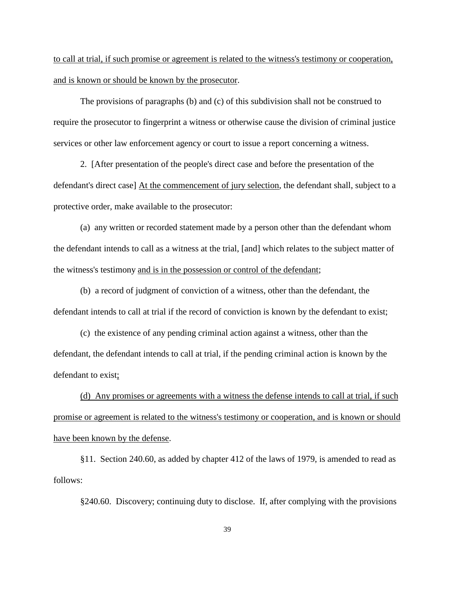to call at trial, if such promise or agreement is related to the witness's testimony or cooperation, and is known or should be known by the prosecutor.

The provisions of paragraphs (b) and (c) of this subdivision shall not be construed to require the prosecutor to fingerprint a witness or otherwise cause the division of criminal justice services or other law enforcement agency or court to issue a report concerning a witness.

2. [After presentation of the people's direct case and before the presentation of the defendant's direct case] At the commencement of jury selection, the defendant shall, subject to a protective order, make available to the prosecutor:

(a) any written or recorded statement made by a person other than the defendant whom the defendant intends to call as a witness at the trial, [and] which relates to the subject matter of the witness's testimony and is in the possession or control of the defendant;

(b) a record of judgment of conviction of a witness, other than the defendant, the defendant intends to call at trial if the record of conviction is known by the defendant to exist;

(c) the existence of any pending criminal action against a witness, other than the defendant, the defendant intends to call at trial, if the pending criminal action is known by the defendant to exist;

(d) Any promises or agreements with a witness the defense intends to call at trial, if such promise or agreement is related to the witness's testimony or cooperation, and is known or should have been known by the defense.

§11. Section 240.60, as added by chapter 412 of the laws of 1979, is amended to read as follows:

§240.60. Discovery; continuing duty to disclose. If, after complying with the provisions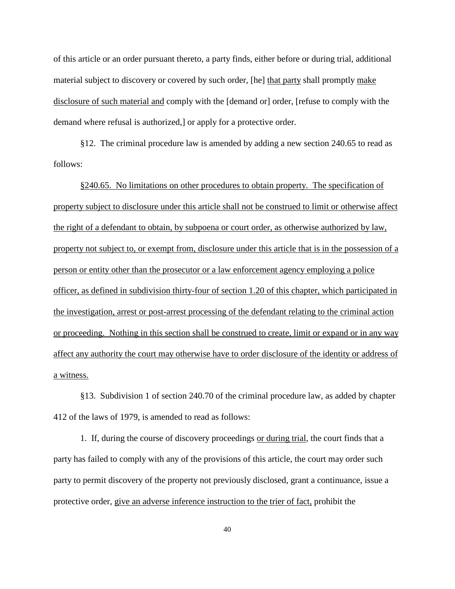of this article or an order pursuant thereto, a party finds, either before or during trial, additional material subject to discovery or covered by such order, [he] that party shall promptly make disclosure of such material and comply with the [demand or] order, [refuse to comply with the demand where refusal is authorized,] or apply for a protective order.

§12. The criminal procedure law is amended by adding a new section 240.65 to read as follows:

§240.65. No limitations on other procedures to obtain property. The specification of property subject to disclosure under this article shall not be construed to limit or otherwise affect the right of a defendant to obtain, by subpoena or court order, as otherwise authorized by law, property not subject to, or exempt from, disclosure under this article that is in the possession of a person or entity other than the prosecutor or a law enforcement agency employing a police officer, as defined in subdivision thirty-four of section 1.20 of this chapter, which participated in the investigation, arrest or post-arrest processing of the defendant relating to the criminal action or proceeding. Nothing in this section shall be construed to create, limit or expand or in any way affect any authority the court may otherwise have to order disclosure of the identity or address of a witness.

§13. Subdivision 1 of section 240.70 of the criminal procedure law, as added by chapter 412 of the laws of 1979, is amended to read as follows:

1. If, during the course of discovery proceedings or during trial, the court finds that a party has failed to comply with any of the provisions of this article, the court may order such party to permit discovery of the property not previously disclosed, grant a continuance, issue a protective order, give an adverse inference instruction to the trier of fact, prohibit the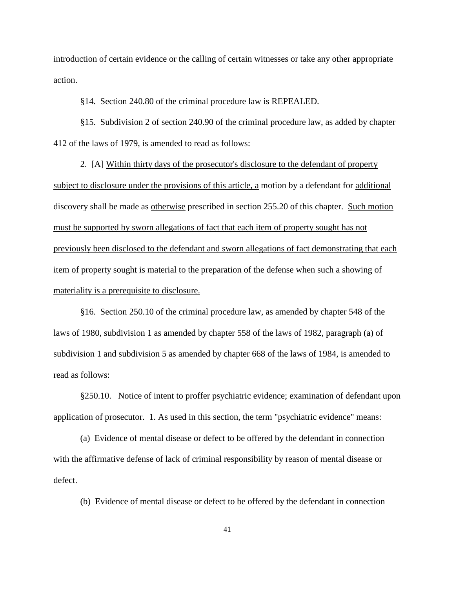introduction of certain evidence or the calling of certain witnesses or take any other appropriate action.

§14. Section 240.80 of the criminal procedure law is REPEALED.

§15. Subdivision 2 of section 240.90 of the criminal procedure law, as added by chapter 412 of the laws of 1979, is amended to read as follows:

2. [A] Within thirty days of the prosecutor's disclosure to the defendant of property subject to disclosure under the provisions of this article, a motion by a defendant for additional discovery shall be made as otherwise prescribed in section 255.20 of this chapter. Such motion must be supported by sworn allegations of fact that each item of property sought has not previously been disclosed to the defendant and sworn allegations of fact demonstrating that each item of property sought is material to the preparation of the defense when such a showing of materiality is a prerequisite to disclosure.

§16. Section 250.10 of the criminal procedure law, as amended by chapter 548 of the laws of 1980, subdivision 1 as amended by chapter 558 of the laws of 1982, paragraph (a) of subdivision 1 and subdivision 5 as amended by chapter 668 of the laws of 1984, is amended to read as follows:

§250.10. Notice of intent to proffer psychiatric evidence; examination of defendant upon application of prosecutor. 1. As used in this section, the term "psychiatric evidence" means:

(a) Evidence of mental disease or defect to be offered by the defendant in connection with the affirmative defense of lack of criminal responsibility by reason of mental disease or defect.

(b) Evidence of mental disease or defect to be offered by the defendant in connection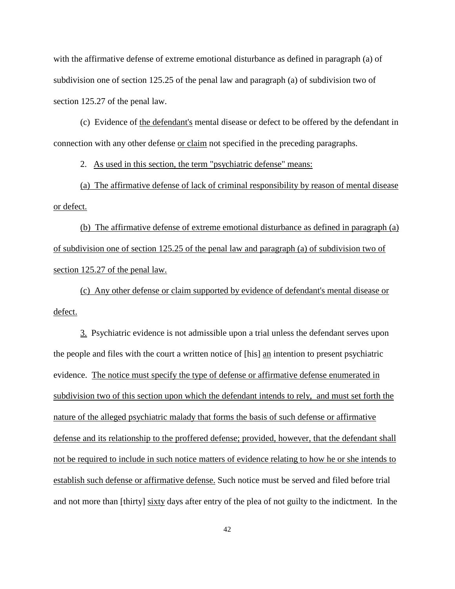with the affirmative defense of extreme emotional disturbance as defined in paragraph (a) of subdivision one of section 125.25 of the penal law and paragraph (a) of subdivision two of section 125.27 of the penal law.

(c) Evidence of the defendant's mental disease or defect to be offered by the defendant in connection with any other defense or claim not specified in the preceding paragraphs.

2. As used in this section, the term "psychiatric defense" means:

(a) The affirmative defense of lack of criminal responsibility by reason of mental disease or defect.

(b) The affirmative defense of extreme emotional disturbance as defined in paragraph (a) of subdivision one of section 125.25 of the penal law and paragraph (a) of subdivision two of section 125.27 of the penal law.

(c) Any other defense or claim supported by evidence of defendant's mental disease or defect.

3. Psychiatric evidence is not admissible upon a trial unless the defendant serves upon the people and files with the court a written notice of [his] an intention to present psychiatric evidence. The notice must specify the type of defense or affirmative defense enumerated in subdivision two of this section upon which the defendant intends to rely, and must set forth the nature of the alleged psychiatric malady that forms the basis of such defense or affirmative defense and its relationship to the proffered defense; provided, however, that the defendant shall not be required to include in such notice matters of evidence relating to how he or she intends to establish such defense or affirmative defense. Such notice must be served and filed before trial and not more than [thirty] sixty days after entry of the plea of not guilty to the indictment. In the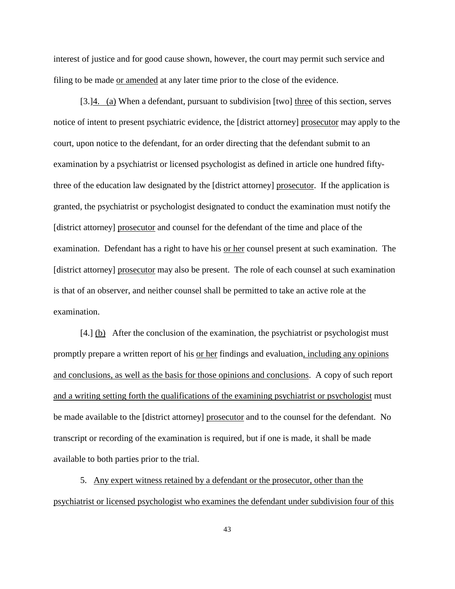interest of justice and for good cause shown, however, the court may permit such service and filing to be made or amended at any later time prior to the close of the evidence.

[3.]4. (a) When a defendant, pursuant to subdivision [two] three of this section, serves notice of intent to present psychiatric evidence, the [district attorney] prosecutor may apply to the court, upon notice to the defendant, for an order directing that the defendant submit to an examination by a psychiatrist or licensed psychologist as defined in article one hundred fiftythree of the education law designated by the [district attorney] prosecutor. If the application is granted, the psychiatrist or psychologist designated to conduct the examination must notify the [district attorney] prosecutor and counsel for the defendant of the time and place of the examination. Defendant has a right to have his <u>or her</u> counsel present at such examination. The [district attorney] prosecutor may also be present. The role of each counsel at such examination is that of an observer, and neither counsel shall be permitted to take an active role at the examination.

[4.] (b) After the conclusion of the examination, the psychiatrist or psychologist must promptly prepare a written report of his or her findings and evaluation, including any opinions and conclusions, as well as the basis for those opinions and conclusions. A copy of such report and a writing setting forth the qualifications of the examining psychiatrist or psychologist must be made available to the [district attorney] prosecutor and to the counsel for the defendant. No transcript or recording of the examination is required, but if one is made, it shall be made available to both parties prior to the trial.

5. Any expert witness retained by a defendant or the prosecutor, other than the psychiatrist or licensed psychologist who examines the defendant under subdivision four of this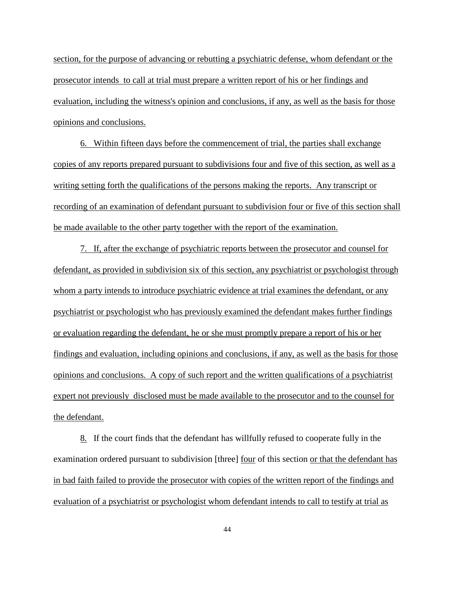section, for the purpose of advancing or rebutting a psychiatric defense, whom defendant or the prosecutor intends to call at trial must prepare a written report of his or her findings and evaluation, including the witness's opinion and conclusions, if any, as well as the basis for those opinions and conclusions.

6. Within fifteen days before the commencement of trial, the parties shall exchange copies of any reports prepared pursuant to subdivisions four and five of this section, as well as a writing setting forth the qualifications of the persons making the reports. Any transcript or recording of an examination of defendant pursuant to subdivision four or five of this section shall be made available to the other party together with the report of the examination.

7. If, after the exchange of psychiatric reports between the prosecutor and counsel for defendant, as provided in subdivision six of this section, any psychiatrist or psychologist through whom a party intends to introduce psychiatric evidence at trial examines the defendant, or any psychiatrist or psychologist who has previously examined the defendant makes further findings or evaluation regarding the defendant, he or she must promptly prepare a report of his or her findings and evaluation, including opinions and conclusions, if any, as well as the basis for those opinions and conclusions. A copy of such report and the written qualifications of a psychiatrist expert not previously disclosed must be made available to the prosecutor and to the counsel for the defendant.

8. If the court finds that the defendant has willfully refused to cooperate fully in the examination ordered pursuant to subdivision [three] four of this section or that the defendant has in bad faith failed to provide the prosecutor with copies of the written report of the findings and evaluation of a psychiatrist or psychologist whom defendant intends to call to testify at trial as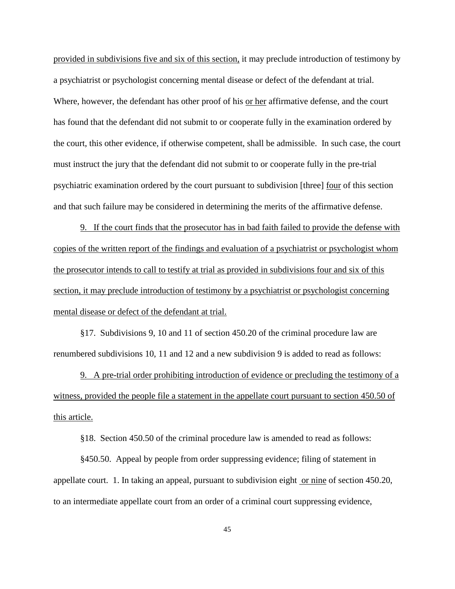provided in subdivisions five and six of this section, it may preclude introduction of testimony by a psychiatrist or psychologist concerning mental disease or defect of the defendant at trial. Where, however, the defendant has other proof of his or her affirmative defense, and the court has found that the defendant did not submit to or cooperate fully in the examination ordered by the court, this other evidence, if otherwise competent, shall be admissible. In such case, the court must instruct the jury that the defendant did not submit to or cooperate fully in the pre-trial psychiatric examination ordered by the court pursuant to subdivision [three] four of this section and that such failure may be considered in determining the merits of the affirmative defense.

9. If the court finds that the prosecutor has in bad faith failed to provide the defense with copies of the written report of the findings and evaluation of a psychiatrist or psychologist whom the prosecutor intends to call to testify at trial as provided in subdivisions four and six of this section, it may preclude introduction of testimony by a psychiatrist or psychologist concerning mental disease or defect of the defendant at trial.

§17. Subdivisions 9, 10 and 11 of section 450.20 of the criminal procedure law are renumbered subdivisions 10, 11 and 12 and a new subdivision 9 is added to read as follows:

9. A pre-trial order prohibiting introduction of evidence or precluding the testimony of a witness, provided the people file a statement in the appellate court pursuant to section 450.50 of this article.

§18. Section 450.50 of the criminal procedure law is amended to read as follows:

§450.50. Appeal by people from order suppressing evidence; filing of statement in appellate court. 1. In taking an appeal, pursuant to subdivision eight or nine of section 450.20, to an intermediate appellate court from an order of a criminal court suppressing evidence,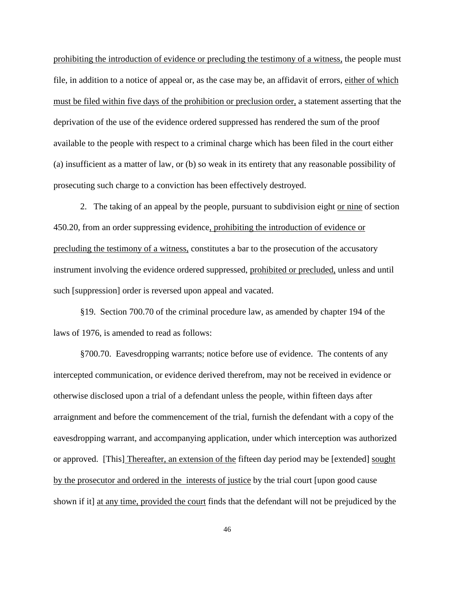prohibiting the introduction of evidence or precluding the testimony of a witness, the people must file, in addition to a notice of appeal or, as the case may be, an affidavit of errors, either of which must be filed within five days of the prohibition or preclusion order, a statement asserting that the deprivation of the use of the evidence ordered suppressed has rendered the sum of the proof available to the people with respect to a criminal charge which has been filed in the court either (a) insufficient as a matter of law, or (b) so weak in its entirety that any reasonable possibility of prosecuting such charge to a conviction has been effectively destroyed.

2. The taking of an appeal by the people, pursuant to subdivision eight or nine of section 450.20, from an order suppressing evidence, prohibiting the introduction of evidence or precluding the testimony of a witness, constitutes a bar to the prosecution of the accusatory instrument involving the evidence ordered suppressed, prohibited or precluded, unless and until such [suppression] order is reversed upon appeal and vacated.

§19. Section 700.70 of the criminal procedure law, as amended by chapter 194 of the laws of 1976, is amended to read as follows:

§700.70. Eavesdropping warrants; notice before use of evidence. The contents of any intercepted communication, or evidence derived therefrom, may not be received in evidence or otherwise disclosed upon a trial of a defendant unless the people, within fifteen days after arraignment and before the commencement of the trial, furnish the defendant with a copy of the eavesdropping warrant, and accompanying application, under which interception was authorized or approved. [This] Thereafter, an extension of the fifteen day period may be [extended] sought by the prosecutor and ordered in the interests of justice by the trial court [upon good cause shown if it] at any time, provided the court finds that the defendant will not be prejudiced by the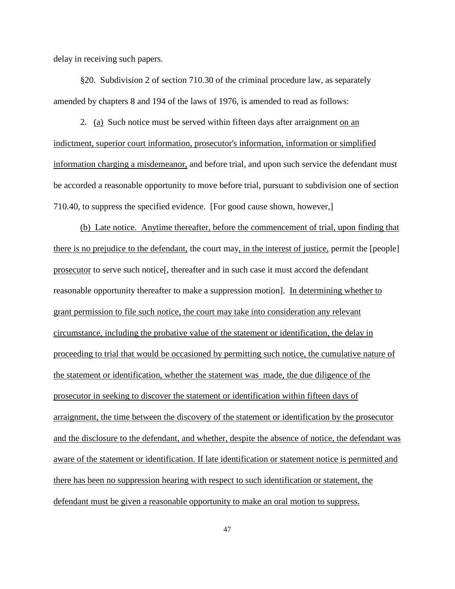delay in receiving such papers.

§20. Subdivision 2 of section 710.30 of the criminal procedure law, as separately amended by chapters 8 and 194 of the laws of 1976, is amended to read as follows:

2. (a) Such notice must be served within fifteen days after arraignment on an indictment, superior court information, prosecutor's information, information or simplified information charging a misdemeanor, and before trial, and upon such service the defendant must be accorded a reasonable opportunity to move before trial, pursuant to subdivision one of section 710.40, to suppress the specified evidence. [For good cause shown, however,]

(b) Late notice. Anytime thereafter, before the commencement of trial, upon finding that there is no prejudice to the defendant, the court may, in the interest of justice, permit the [people] prosecutor to serve such notice[, thereafter and in such case it must accord the defendant reasonable opportunity thereafter to make a suppression motion]. In determining whether to grant permission to file such notice, the court may take into consideration any relevant circumstance, including the probative value of the statement or identification, the delay in proceeding to trial that would be occasioned by permitting such notice, the cumulative nature of the statement or identification, whether the statement was made, the due diligence of the prosecutor in seeking to discover the statement or identification within fifteen days of arraignment, the time between the discovery of the statement or identification by the prosecutor and the disclosure to the defendant, and whether, despite the absence of notice, the defendant was aware of the statement or identification. If late identification or statement notice is permitted and there has been no suppression hearing with respect to such identification or statement, the defendant must be given a reasonable opportunity to make an oral motion to suppress.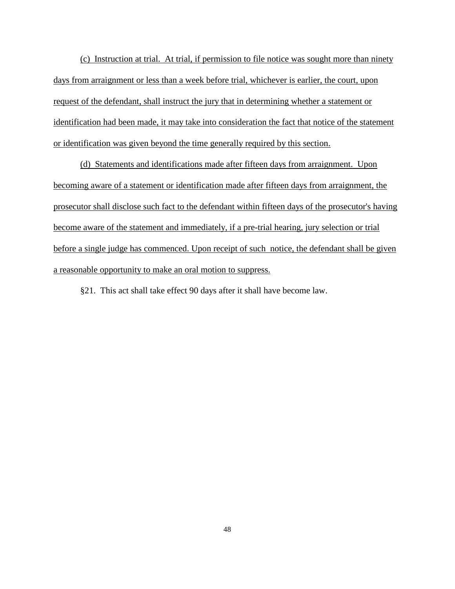(c) Instruction at trial. At trial, if permission to file notice was sought more than ninety days from arraignment or less than a week before trial, whichever is earlier, the court, upon request of the defendant, shall instruct the jury that in determining whether a statement or identification had been made, it may take into consideration the fact that notice of the statement or identification was given beyond the time generally required by this section.

(d) Statements and identifications made after fifteen days from arraignment. Upon becoming aware of a statement or identification made after fifteen days from arraignment, the prosecutor shall disclose such fact to the defendant within fifteen days of the prosecutor's having become aware of the statement and immediately, if a pre-trial hearing, jury selection or trial before a single judge has commenced. Upon receipt of such notice, the defendant shall be given a reasonable opportunity to make an oral motion to suppress.

§21. This act shall take effect 90 days after it shall have become law.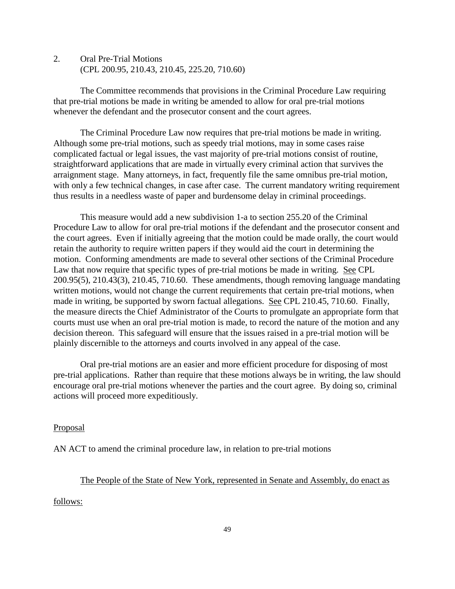2. Oral Pre-Trial Motions (CPL 200.95, 210.43, 210.45, 225.20, 710.60)

The Committee recommends that provisions in the Criminal Procedure Law requiring that pre-trial motions be made in writing be amended to allow for oral pre-trial motions whenever the defendant and the prosecutor consent and the court agrees.

The Criminal Procedure Law now requires that pre-trial motions be made in writing. Although some pre-trial motions, such as speedy trial motions, may in some cases raise complicated factual or legal issues, the vast majority of pre-trial motions consist of routine, straightforward applications that are made in virtually every criminal action that survives the arraignment stage. Many attorneys, in fact, frequently file the same omnibus pre-trial motion, with only a few technical changes, in case after case. The current mandatory writing requirement thus results in a needless waste of paper and burdensome delay in criminal proceedings.

This measure would add a new subdivision 1-a to section 255.20 of the Criminal Procedure Law to allow for oral pre-trial motions if the defendant and the prosecutor consent and the court agrees. Even if initially agreeing that the motion could be made orally, the court would retain the authority to require written papers if they would aid the court in determining the motion. Conforming amendments are made to several other sections of the Criminal Procedure Law that now require that specific types of pre-trial motions be made in writing. See CPL 200.95(5), 210.43(3), 210.45, 710.60. These amendments, though removing language mandating written motions, would not change the current requirements that certain pre-trial motions, when made in writing, be supported by sworn factual allegations. See CPL 210.45, 710.60. Finally, the measure directs the Chief Administrator of the Courts to promulgate an appropriate form that courts must use when an oral pre-trial motion is made, to record the nature of the motion and any decision thereon. This safeguard will ensure that the issues raised in a pre-trial motion will be plainly discernible to the attorneys and courts involved in any appeal of the case.

Oral pre-trial motions are an easier and more efficient procedure for disposing of most pre-trial applications. Rather than require that these motions always be in writing, the law should encourage oral pre-trial motions whenever the parties and the court agree. By doing so, criminal actions will proceed more expeditiously.

### Proposal

AN ACT to amend the criminal procedure law, in relation to pre-trial motions

## The People of the State of New York, represented in Senate and Assembly, do enact as

follows: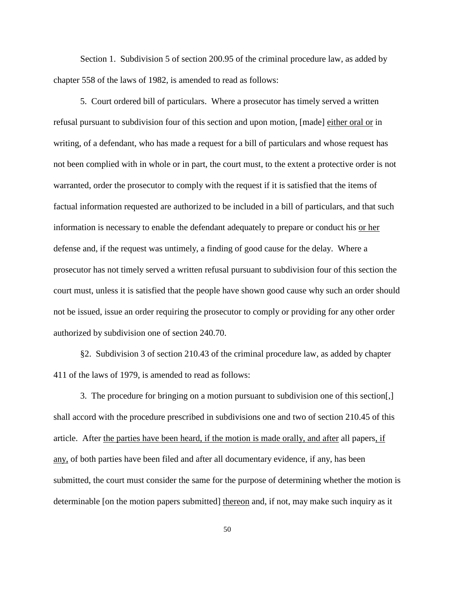Section 1. Subdivision 5 of section 200.95 of the criminal procedure law, as added by chapter 558 of the laws of 1982, is amended to read as follows:

5. Court ordered bill of particulars. Where a prosecutor has timely served a written refusal pursuant to subdivision four of this section and upon motion, [made] either oral or in writing, of a defendant, who has made a request for a bill of particulars and whose request has not been complied with in whole or in part, the court must, to the extent a protective order is not warranted, order the prosecutor to comply with the request if it is satisfied that the items of factual information requested are authorized to be included in a bill of particulars, and that such information is necessary to enable the defendant adequately to prepare or conduct his or her defense and, if the request was untimely, a finding of good cause for the delay. Where a prosecutor has not timely served a written refusal pursuant to subdivision four of this section the court must, unless it is satisfied that the people have shown good cause why such an order should not be issued, issue an order requiring the prosecutor to comply or providing for any other order authorized by subdivision one of section 240.70.

§2. Subdivision 3 of section 210.43 of the criminal procedure law, as added by chapter 411 of the laws of 1979, is amended to read as follows:

3. The procedure for bringing on a motion pursuant to subdivision one of this section[,] shall accord with the procedure prescribed in subdivisions one and two of section 210.45 of this article. After the parties have been heard, if the motion is made orally, and after all papers, if any, of both parties have been filed and after all documentary evidence, if any, has been submitted, the court must consider the same for the purpose of determining whether the motion is determinable [on the motion papers submitted] thereon and, if not, may make such inquiry as it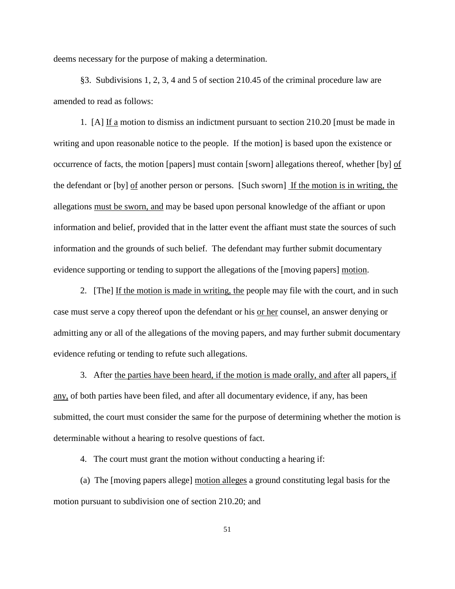deems necessary for the purpose of making a determination.

§3. Subdivisions 1, 2, 3, 4 and 5 of section 210.45 of the criminal procedure law are amended to read as follows:

1. [A] If a motion to dismiss an indictment pursuant to section 210.20 [must be made in writing and upon reasonable notice to the people. If the motion] is based upon the existence or occurrence of facts, the motion [papers] must contain [sworn] allegations thereof, whether [by] of the defendant or [by] of another person or persons. [Such sworn] If the motion is in writing, the allegations must be sworn, and may be based upon personal knowledge of the affiant or upon information and belief, provided that in the latter event the affiant must state the sources of such information and the grounds of such belief. The defendant may further submit documentary evidence supporting or tending to support the allegations of the [moving papers] motion.

2. [The] If the motion is made in writing, the people may file with the court, and in such case must serve a copy thereof upon the defendant or his or her counsel, an answer denying or admitting any or all of the allegations of the moving papers, and may further submit documentary evidence refuting or tending to refute such allegations.

3. After the parties have been heard, if the motion is made orally, and after all papers, if any, of both parties have been filed, and after all documentary evidence, if any, has been submitted, the court must consider the same for the purpose of determining whether the motion is determinable without a hearing to resolve questions of fact.

4. The court must grant the motion without conducting a hearing if:

(a) The [moving papers allege] motion alleges a ground constituting legal basis for the motion pursuant to subdivision one of section 210.20; and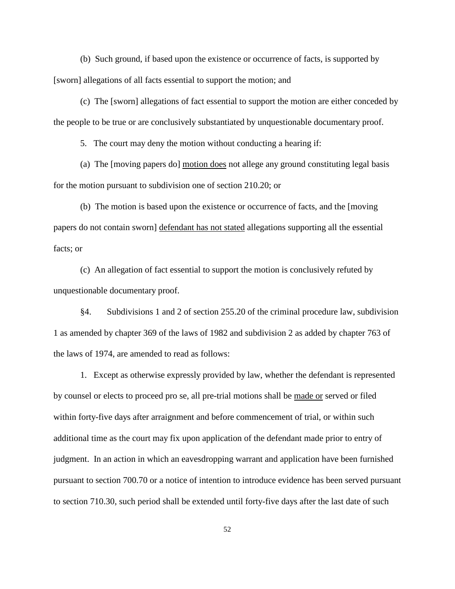(b) Such ground, if based upon the existence or occurrence of facts, is supported by [sworn] allegations of all facts essential to support the motion; and

(c) The [sworn] allegations of fact essential to support the motion are either conceded by the people to be true or are conclusively substantiated by unquestionable documentary proof.

5. The court may deny the motion without conducting a hearing if:

(a) The [moving papers do] motion does not allege any ground constituting legal basis for the motion pursuant to subdivision one of section 210.20; or

(b) The motion is based upon the existence or occurrence of facts, and the [moving papers do not contain sworn] defendant has not stated allegations supporting all the essential facts; or

(c) An allegation of fact essential to support the motion is conclusively refuted by unquestionable documentary proof.

§4. Subdivisions 1 and 2 of section 255.20 of the criminal procedure law, subdivision 1 as amended by chapter 369 of the laws of 1982 and subdivision 2 as added by chapter 763 of the laws of 1974, are amended to read as follows:

1. Except as otherwise expressly provided by law, whether the defendant is represented by counsel or elects to proceed pro se, all pre-trial motions shall be made or served or filed within forty-five days after arraignment and before commencement of trial, or within such additional time as the court may fix upon application of the defendant made prior to entry of judgment. In an action in which an eavesdropping warrant and application have been furnished pursuant to section 700.70 or a notice of intention to introduce evidence has been served pursuant to section 710.30, such period shall be extended until forty-five days after the last date of such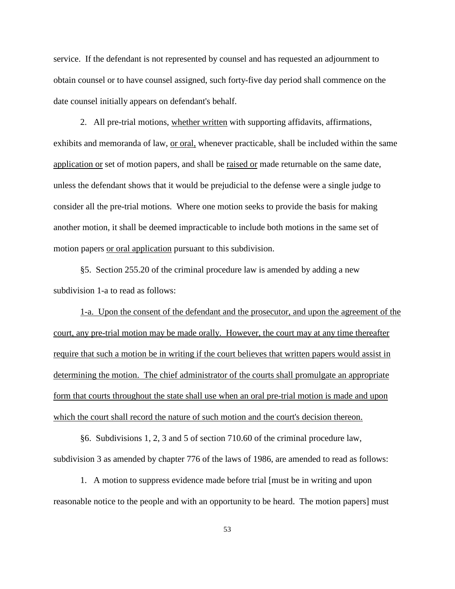service. If the defendant is not represented by counsel and has requested an adjournment to obtain counsel or to have counsel assigned, such forty-five day period shall commence on the date counsel initially appears on defendant's behalf.

2. All pre-trial motions, whether written with supporting affidavits, affirmations, exhibits and memoranda of law, <u>or oral,</u> whenever practicable, shall be included within the same application or set of motion papers, and shall be raised or made returnable on the same date, unless the defendant shows that it would be prejudicial to the defense were a single judge to consider all the pre-trial motions. Where one motion seeks to provide the basis for making another motion, it shall be deemed impracticable to include both motions in the same set of motion papers or oral application pursuant to this subdivision.

§5. Section 255.20 of the criminal procedure law is amended by adding a new subdivision 1-a to read as follows:

1-a. Upon the consent of the defendant and the prosecutor, and upon the agreement of the court, any pre-trial motion may be made orally. However, the court may at any time thereafter require that such a motion be in writing if the court believes that written papers would assist in determining the motion. The chief administrator of the courts shall promulgate an appropriate form that courts throughout the state shall use when an oral pre-trial motion is made and upon which the court shall record the nature of such motion and the court's decision thereon.

§6. Subdivisions 1, 2, 3 and 5 of section 710.60 of the criminal procedure law, subdivision 3 as amended by chapter 776 of the laws of 1986, are amended to read as follows:

1. A motion to suppress evidence made before trial [must be in writing and upon reasonable notice to the people and with an opportunity to be heard. The motion papers] must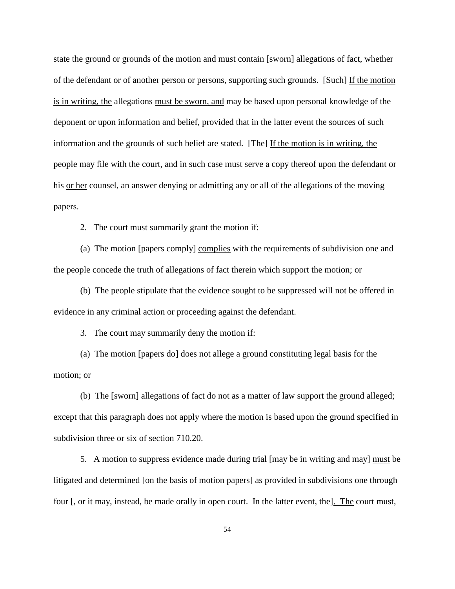state the ground or grounds of the motion and must contain [sworn] allegations of fact, whether of the defendant or of another person or persons, supporting such grounds. [Such] If the motion is in writing, the allegations must be sworn, and may be based upon personal knowledge of the deponent or upon information and belief, provided that in the latter event the sources of such information and the grounds of such belief are stated. [The] If the motion is in writing, the people may file with the court, and in such case must serve a copy thereof upon the defendant or his or her counsel, an answer denying or admitting any or all of the allegations of the moving papers.

2. The court must summarily grant the motion if:

(a) The motion [papers comply] complies with the requirements of subdivision one and the people concede the truth of allegations of fact therein which support the motion; or

(b) The people stipulate that the evidence sought to be suppressed will not be offered in evidence in any criminal action or proceeding against the defendant.

3. The court may summarily deny the motion if:

(a) The motion [papers do] does not allege a ground constituting legal basis for the motion; or

(b) The [sworn] allegations of fact do not as a matter of law support the ground alleged; except that this paragraph does not apply where the motion is based upon the ground specified in subdivision three or six of section 710.20.

5. A motion to suppress evidence made during trial [may be in writing and may] must be litigated and determined [on the basis of motion papers] as provided in subdivisions one through four [, or it may, instead, be made orally in open court. In the latter event, the]. The court must,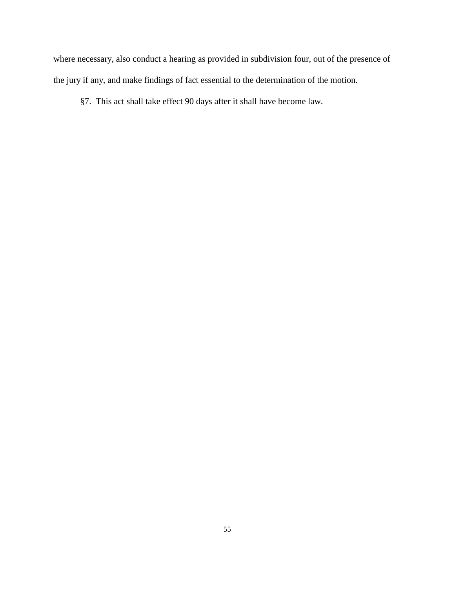where necessary, also conduct a hearing as provided in subdivision four, out of the presence of the jury if any, and make findings of fact essential to the determination of the motion.

§7. This act shall take effect 90 days after it shall have become law.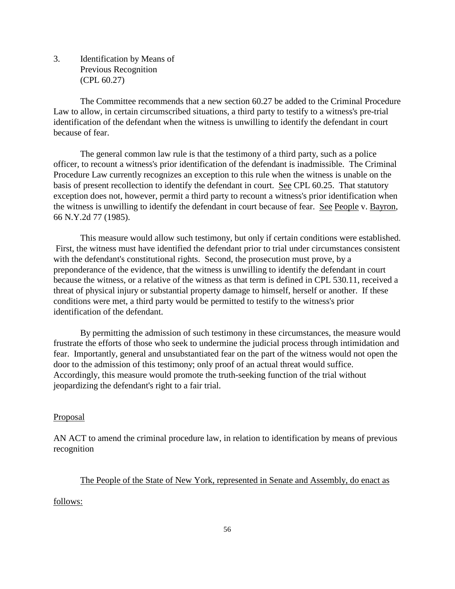3. Identification by Means of Previous Recognition (CPL 60.27)

The Committee recommends that a new section 60.27 be added to the Criminal Procedure Law to allow, in certain circumscribed situations, a third party to testify to a witness's pre-trial identification of the defendant when the witness is unwilling to identify the defendant in court because of fear.

The general common law rule is that the testimony of a third party, such as a police officer, to recount a witness's prior identification of the defendant is inadmissible. The Criminal Procedure Law currently recognizes an exception to this rule when the witness is unable on the basis of present recollection to identify the defendant in court. See CPL 60.25. That statutory exception does not, however, permit a third party to recount a witness's prior identification when the witness is unwilling to identify the defendant in court because of fear. See People v. Bayron, 66 N.Y.2d 77 (1985).

This measure would allow such testimony, but only if certain conditions were established. First, the witness must have identified the defendant prior to trial under circumstances consistent with the defendant's constitutional rights. Second, the prosecution must prove, by a preponderance of the evidence, that the witness is unwilling to identify the defendant in court because the witness, or a relative of the witness as that term is defined in CPL 530.11, received a threat of physical injury or substantial property damage to himself, herself or another. If these conditions were met, a third party would be permitted to testify to the witness's prior identification of the defendant.

By permitting the admission of such testimony in these circumstances, the measure would frustrate the efforts of those who seek to undermine the judicial process through intimidation and fear. Importantly, general and unsubstantiated fear on the part of the witness would not open the door to the admission of this testimony; only proof of an actual threat would suffice. Accordingly, this measure would promote the truth-seeking function of the trial without jeopardizing the defendant's right to a fair trial.

### **Proposal**

AN ACT to amend the criminal procedure law, in relation to identification by means of previous recognition

# The People of the State of New York, represented in Senate and Assembly, do enact as

follows: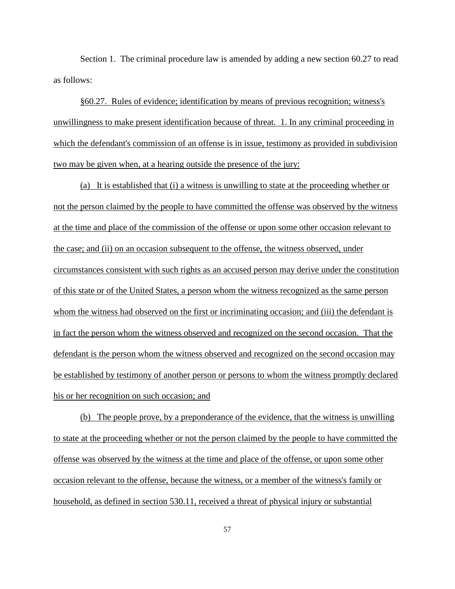Section 1. The criminal procedure law is amended by adding a new section 60.27 to read as follows:

§60.27. Rules of evidence; identification by means of previous recognition; witness's unwillingness to make present identification because of threat. 1. In any criminal proceeding in which the defendant's commission of an offense is in issue, testimony as provided in subdivision two may be given when, at a hearing outside the presence of the jury:

(a) It is established that (i) a witness is unwilling to state at the proceeding whether or not the person claimed by the people to have committed the offense was observed by the witness at the time and place of the commission of the offense or upon some other occasion relevant to the case; and (ii) on an occasion subsequent to the offense, the witness observed, under circumstances consistent with such rights as an accused person may derive under the constitution of this state or of the United States, a person whom the witness recognized as the same person whom the witness had observed on the first or incriminating occasion; and (iii) the defendant is in fact the person whom the witness observed and recognized on the second occasion. That the defendant is the person whom the witness observed and recognized on the second occasion may be established by testimony of another person or persons to whom the witness promptly declared his or her recognition on such occasion; and

(b) The people prove, by a preponderance of the evidence, that the witness is unwilling to state at the proceeding whether or not the person claimed by the people to have committed the offense was observed by the witness at the time and place of the offense, or upon some other occasion relevant to the offense, because the witness, or a member of the witness's family or household, as defined in section 530.11, received a threat of physical injury or substantial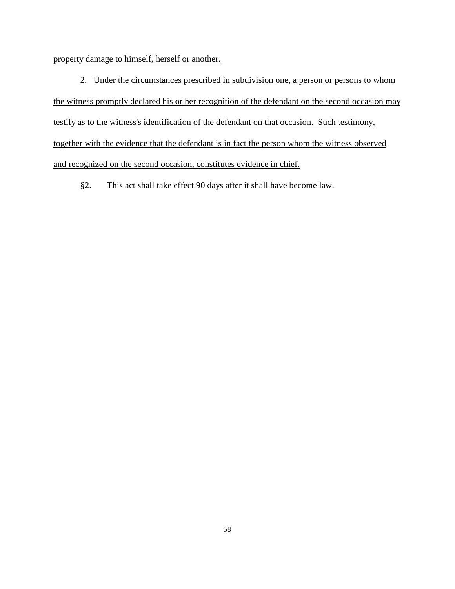property damage to himself, herself or another.

2. Under the circumstances prescribed in subdivision one, a person or persons to whom the witness promptly declared his or her recognition of the defendant on the second occasion may testify as to the witness's identification of the defendant on that occasion. Such testimony, together with the evidence that the defendant is in fact the person whom the witness observed and recognized on the second occasion, constitutes evidence in chief.

§2. This act shall take effect 90 days after it shall have become law.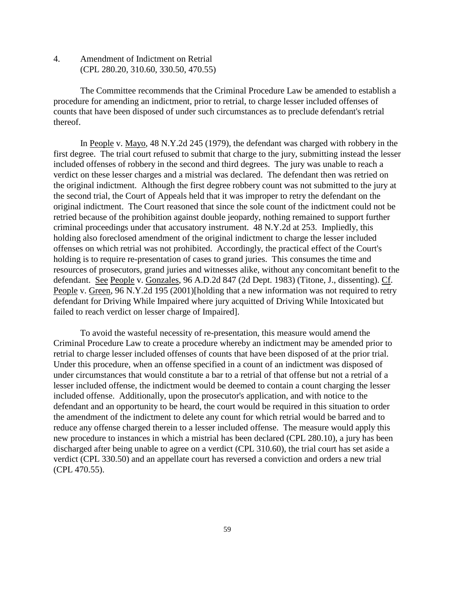4. Amendment of Indictment on Retrial (CPL 280.20, 310.60, 330.50, 470.55)

The Committee recommends that the Criminal Procedure Law be amended to establish a procedure for amending an indictment, prior to retrial, to charge lesser included offenses of counts that have been disposed of under such circumstances as to preclude defendant's retrial thereof.

In People v. Mayo, 48 N.Y.2d 245 (1979), the defendant was charged with robbery in the first degree. The trial court refused to submit that charge to the jury, submitting instead the lesser included offenses of robbery in the second and third degrees. The jury was unable to reach a verdict on these lesser charges and a mistrial was declared. The defendant then was retried on the original indictment. Although the first degree robbery count was not submitted to the jury at the second trial, the Court of Appeals held that it was improper to retry the defendant on the original indictment. The Court reasoned that since the sole count of the indictment could not be retried because of the prohibition against double jeopardy, nothing remained to support further criminal proceedings under that accusatory instrument. 48 N.Y.2d at 253. Impliedly, this holding also foreclosed amendment of the original indictment to charge the lesser included offenses on which retrial was not prohibited. Accordingly, the practical effect of the Court's holding is to require re-presentation of cases to grand juries. This consumes the time and resources of prosecutors, grand juries and witnesses alike, without any concomitant benefit to the defendant. See People v. Gonzales, 96 A.D.2d 847 (2d Dept. 1983) (Titone, J., dissenting). Cf. People v. Green, 96 N.Y.2d 195 (2001)[holding that a new information was not required to retry defendant for Driving While Impaired where jury acquitted of Driving While Intoxicated but failed to reach verdict on lesser charge of Impaired].

To avoid the wasteful necessity of re-presentation, this measure would amend the Criminal Procedure Law to create a procedure whereby an indictment may be amended prior to retrial to charge lesser included offenses of counts that have been disposed of at the prior trial. Under this procedure, when an offense specified in a count of an indictment was disposed of under circumstances that would constitute a bar to a retrial of that offense but not a retrial of a lesser included offense, the indictment would be deemed to contain a count charging the lesser included offense. Additionally, upon the prosecutor's application, and with notice to the defendant and an opportunity to be heard, the court would be required in this situation to order the amendment of the indictment to delete any count for which retrial would be barred and to reduce any offense charged therein to a lesser included offense. The measure would apply this new procedure to instances in which a mistrial has been declared (CPL 280.10), a jury has been discharged after being unable to agree on a verdict (CPL 310.60), the trial court has set aside a verdict (CPL 330.50) and an appellate court has reversed a conviction and orders a new trial (CPL 470.55).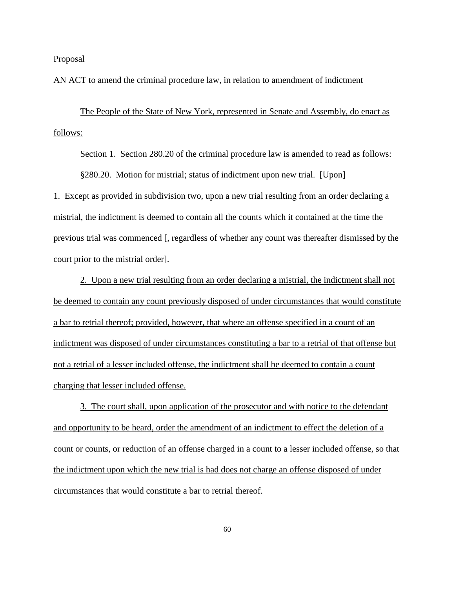Proposal

AN ACT to amend the criminal procedure law, in relation to amendment of indictment

The People of the State of New York, represented in Senate and Assembly, do enact as follows:

Section 1. Section 280.20 of the criminal procedure law is amended to read as follows: §280.20. Motion for mistrial; status of indictment upon new trial. [Upon]

1. Except as provided in subdivision two, upon a new trial resulting from an order declaring a mistrial, the indictment is deemed to contain all the counts which it contained at the time the previous trial was commenced [, regardless of whether any count was thereafter dismissed by the court prior to the mistrial order].

2. Upon a new trial resulting from an order declaring a mistrial, the indictment shall not be deemed to contain any count previously disposed of under circumstances that would constitute a bar to retrial thereof; provided, however, that where an offense specified in a count of an indictment was disposed of under circumstances constituting a bar to a retrial of that offense but not a retrial of a lesser included offense, the indictment shall be deemed to contain a count charging that lesser included offense.

3. The court shall, upon application of the prosecutor and with notice to the defendant and opportunity to be heard, order the amendment of an indictment to effect the deletion of a count or counts, or reduction of an offense charged in a count to a lesser included offense, so that the indictment upon which the new trial is had does not charge an offense disposed of under circumstances that would constitute a bar to retrial thereof.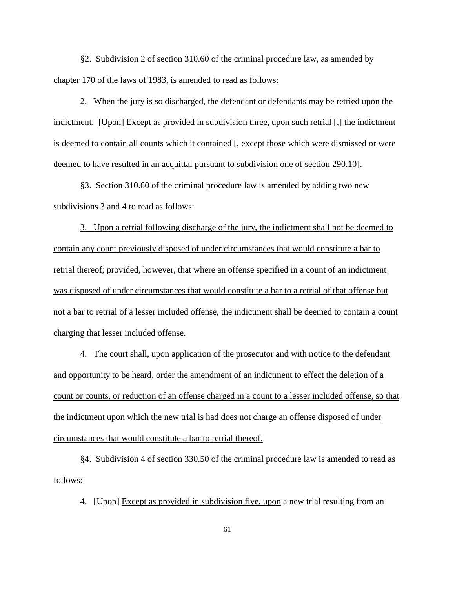§2. Subdivision 2 of section 310.60 of the criminal procedure law, as amended by chapter 170 of the laws of 1983, is amended to read as follows:

2. When the jury is so discharged, the defendant or defendants may be retried upon the indictment. [Upon] Except as provided in subdivision three, upon such retrial [,] the indictment is deemed to contain all counts which it contained [, except those which were dismissed or were deemed to have resulted in an acquittal pursuant to subdivision one of section 290.10].

§3. Section 310.60 of the criminal procedure law is amended by adding two new subdivisions 3 and 4 to read as follows:

3. Upon a retrial following discharge of the jury, the indictment shall not be deemed to contain any count previously disposed of under circumstances that would constitute a bar to retrial thereof; provided, however, that where an offense specified in a count of an indictment was disposed of under circumstances that would constitute a bar to a retrial of that offense but not a bar to retrial of a lesser included offense, the indictment shall be deemed to contain a count charging that lesser included offense.

4. The court shall, upon application of the prosecutor and with notice to the defendant and opportunity to be heard, order the amendment of an indictment to effect the deletion of a count or counts, or reduction of an offense charged in a count to a lesser included offense, so that the indictment upon which the new trial is had does not charge an offense disposed of under circumstances that would constitute a bar to retrial thereof.

§4. Subdivision 4 of section 330.50 of the criminal procedure law is amended to read as follows:

4. [Upon] Except as provided in subdivision five, upon a new trial resulting from an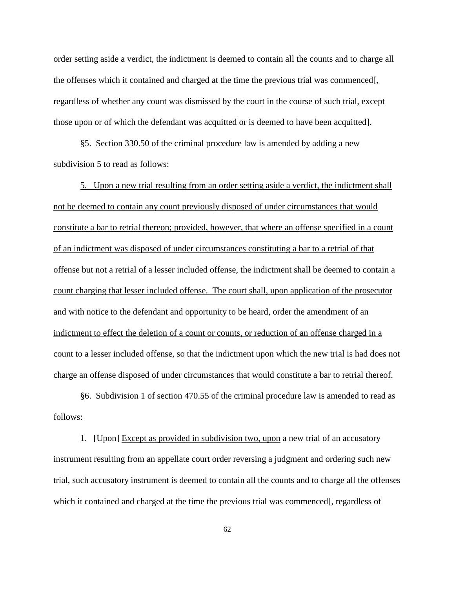order setting aside a verdict, the indictment is deemed to contain all the counts and to charge all the offenses which it contained and charged at the time the previous trial was commenced[, regardless of whether any count was dismissed by the court in the course of such trial, except those upon or of which the defendant was acquitted or is deemed to have been acquitted].

§5. Section 330.50 of the criminal procedure law is amended by adding a new subdivision 5 to read as follows:

5. Upon a new trial resulting from an order setting aside a verdict, the indictment shall not be deemed to contain any count previously disposed of under circumstances that would constitute a bar to retrial thereon; provided, however, that where an offense specified in a count of an indictment was disposed of under circumstances constituting a bar to a retrial of that offense but not a retrial of a lesser included offense, the indictment shall be deemed to contain a count charging that lesser included offense. The court shall, upon application of the prosecutor and with notice to the defendant and opportunity to be heard, order the amendment of an indictment to effect the deletion of a count or counts, or reduction of an offense charged in a count to a lesser included offense, so that the indictment upon which the new trial is had does not charge an offense disposed of under circumstances that would constitute a bar to retrial thereof.

§6. Subdivision 1 of section 470.55 of the criminal procedure law is amended to read as follows:

1. [Upon] Except as provided in subdivision two, upon a new trial of an accusatory instrument resulting from an appellate court order reversing a judgment and ordering such new trial, such accusatory instrument is deemed to contain all the counts and to charge all the offenses which it contained and charged at the time the previous trial was commenced[, regardless of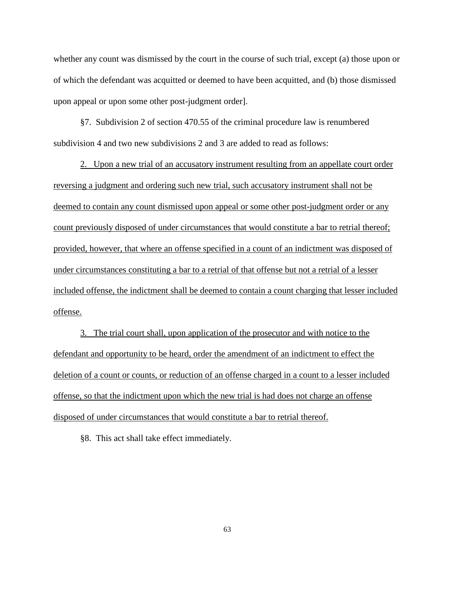whether any count was dismissed by the court in the course of such trial, except (a) those upon or of which the defendant was acquitted or deemed to have been acquitted, and (b) those dismissed upon appeal or upon some other post-judgment order].

§7. Subdivision 2 of section 470.55 of the criminal procedure law is renumbered subdivision 4 and two new subdivisions 2 and 3 are added to read as follows:

2. Upon a new trial of an accusatory instrument resulting from an appellate court order reversing a judgment and ordering such new trial, such accusatory instrument shall not be deemed to contain any count dismissed upon appeal or some other post-judgment order or any count previously disposed of under circumstances that would constitute a bar to retrial thereof; provided, however, that where an offense specified in a count of an indictment was disposed of under circumstances constituting a bar to a retrial of that offense but not a retrial of a lesser included offense, the indictment shall be deemed to contain a count charging that lesser included offense.

3. The trial court shall, upon application of the prosecutor and with notice to the defendant and opportunity to be heard, order the amendment of an indictment to effect the deletion of a count or counts, or reduction of an offense charged in a count to a lesser included offense, so that the indictment upon which the new trial is had does not charge an offense disposed of under circumstances that would constitute a bar to retrial thereof.

§8. This act shall take effect immediately.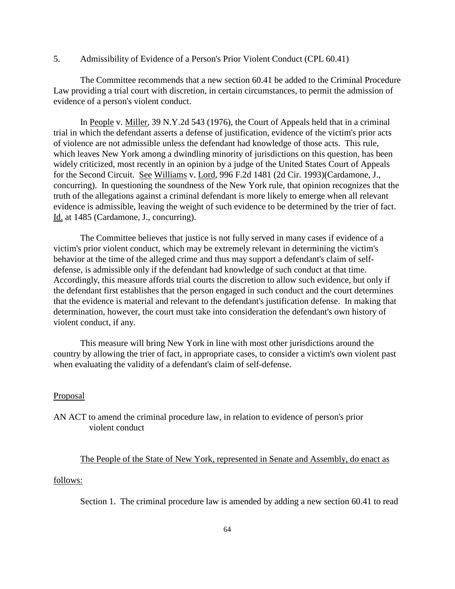5. Admissibility of Evidence of a Person's Prior Violent Conduct (CPL 60.41)

The Committee recommends that a new section 60.41 be added to the Criminal Procedure Law providing a trial court with discretion, in certain circumstances, to permit the admission of evidence of a person's violent conduct.

In People v. Miller, 39 N.Y.2d 543 (1976), the Court of Appeals held that in a criminal trial in which the defendant asserts a defense of justification, evidence of the victim's prior acts of violence are not admissible unless the defendant had knowledge of those acts. This rule, which leaves New York among a dwindling minority of jurisdictions on this question, has been widely criticized, most recently in an opinion by a judge of the United States Court of Appeals for the Second Circuit. See Williams v. Lord, 996 F.2d 1481 (2d Cir. 1993)(Cardamone, J., concurring). In questioning the soundness of the New York rule, that opinion recognizes that the truth of the allegations against a criminal defendant is more likely to emerge when all relevant evidence is admissible, leaving the weight of such evidence to be determined by the trier of fact. Id. at 1485 (Cardamone, J., concurring).

The Committee believes that justice is not fully served in many cases if evidence of a victim's prior violent conduct, which may be extremely relevant in determining the victim's behavior at the time of the alleged crime and thus may support a defendant's claim of selfdefense, is admissible only if the defendant had knowledge of such conduct at that time. Accordingly, this measure affords trial courts the discretion to allow such evidence, but only if the defendant first establishes that the person engaged in such conduct and the court determines that the evidence is material and relevant to the defendant's justification defense. In making that determination, however, the court must take into consideration the defendant's own history of violent conduct, if any.

This measure will bring New York in line with most other jurisdictions around the country by allowing the trier of fact, in appropriate cases, to consider a victim's own violent past when evaluating the validity of a defendant's claim of self-defense.

#### Proposal

AN ACT to amend the criminal procedure law, in relation to evidence of person's prior violent conduct

## The People of the State of New York, represented in Senate and Assembly, do enact as

### follows:

Section 1. The criminal procedure law is amended by adding a new section 60.41 to read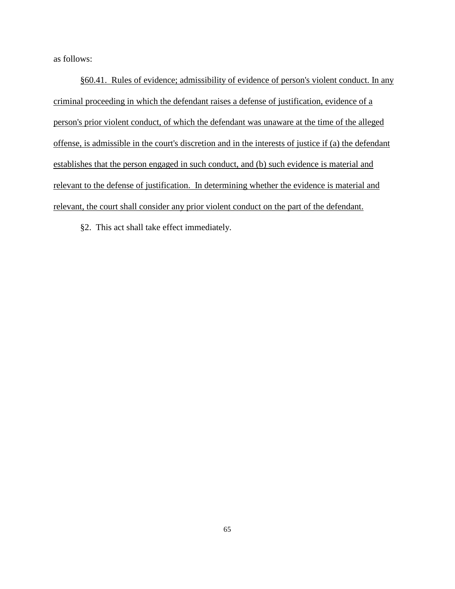as follows:

§60.41. Rules of evidence; admissibility of evidence of person's violent conduct. In any criminal proceeding in which the defendant raises a defense of justification, evidence of a person's prior violent conduct, of which the defendant was unaware at the time of the alleged offense, is admissible in the court's discretion and in the interests of justice if (a) the defendant establishes that the person engaged in such conduct, and (b) such evidence is material and relevant to the defense of justification. In determining whether the evidence is material and relevant, the court shall consider any prior violent conduct on the part of the defendant.

§2. This act shall take effect immediately.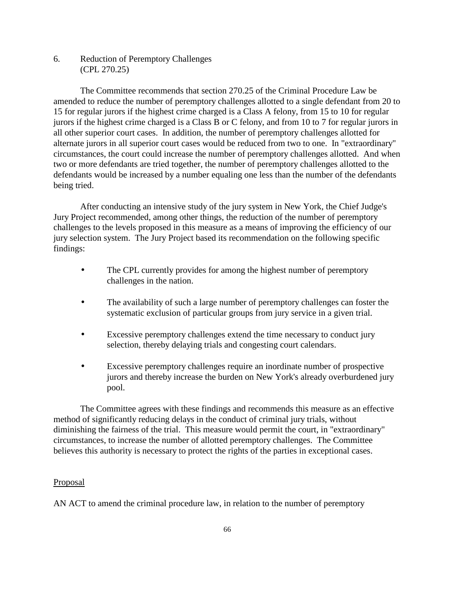6. Reduction of Peremptory Challenges (CPL 270.25)

The Committee recommends that section 270.25 of the Criminal Procedure Law be amended to reduce the number of peremptory challenges allotted to a single defendant from 20 to 15 for regular jurors if the highest crime charged is a Class A felony, from 15 to 10 for regular jurors if the highest crime charged is a Class B or C felony, and from 10 to 7 for regular jurors in all other superior court cases. In addition, the number of peremptory challenges allotted for alternate jurors in all superior court cases would be reduced from two to one. In "extraordinary" circumstances, the court could increase the number of peremptory challenges allotted. And when two or more defendants are tried together, the number of peremptory challenges allotted to the defendants would be increased by a number equaling one less than the number of the defendants being tried.

After conducting an intensive study of the jury system in New York, the Chief Judge's Jury Project recommended, among other things, the reduction of the number of peremptory challenges to the levels proposed in this measure as a means of improving the efficiency of our jury selection system. The Jury Project based its recommendation on the following specific findings:

- The CPL currently provides for among the highest number of peremptory challenges in the nation.
- The availability of such a large number of peremptory challenges can foster the systematic exclusion of particular groups from jury service in a given trial.
- Excessive peremptory challenges extend the time necessary to conduct jury selection, thereby delaying trials and congesting court calendars.
- Excessive peremptory challenges require an inordinate number of prospective jurors and thereby increase the burden on New York's already overburdened jury pool.

The Committee agrees with these findings and recommends this measure as an effective method of significantly reducing delays in the conduct of criminal jury trials, without diminishing the fairness of the trial. This measure would permit the court, in "extraordinary" circumstances, to increase the number of allotted peremptory challenges. The Committee believes this authority is necessary to protect the rights of the parties in exceptional cases.

## **Proposal**

AN ACT to amend the criminal procedure law, in relation to the number of peremptory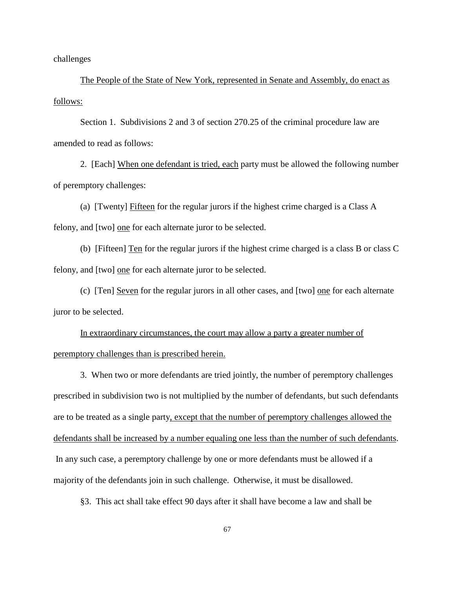challenges

The People of the State of New York, represented in Senate and Assembly, do enact as follows:

Section 1. Subdivisions 2 and 3 of section 270.25 of the criminal procedure law are amended to read as follows:

2. [Each] When one defendant is tried, each party must be allowed the following number of peremptory challenges:

(a) [Twenty] Fifteen for the regular jurors if the highest crime charged is a Class A felony, and [two] one for each alternate juror to be selected.

(b) [Fifteen] Ten for the regular jurors if the highest crime charged is a class B or class C felony, and [two] one for each alternate juror to be selected.

(c) [Ten] Seven for the regular jurors in all other cases, and [two] one for each alternate juror to be selected.

In extraordinary circumstances, the court may allow a party a greater number of peremptory challenges than is prescribed herein.

3. When two or more defendants are tried jointly, the number of peremptory challenges prescribed in subdivision two is not multiplied by the number of defendants, but such defendants are to be treated as a single party, except that the number of peremptory challenges allowed the defendants shall be increased by a number equaling one less than the number of such defendants. In any such case, a peremptory challenge by one or more defendants must be allowed if a majority of the defendants join in such challenge. Otherwise, it must be disallowed.

§3. This act shall take effect 90 days after it shall have become a law and shall be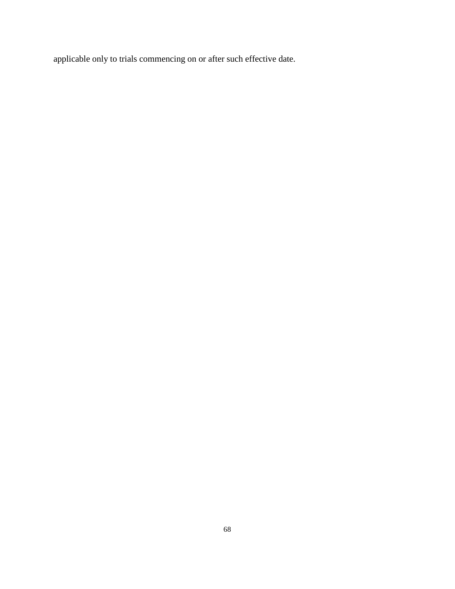applicable only to trials commencing on or after such effective date.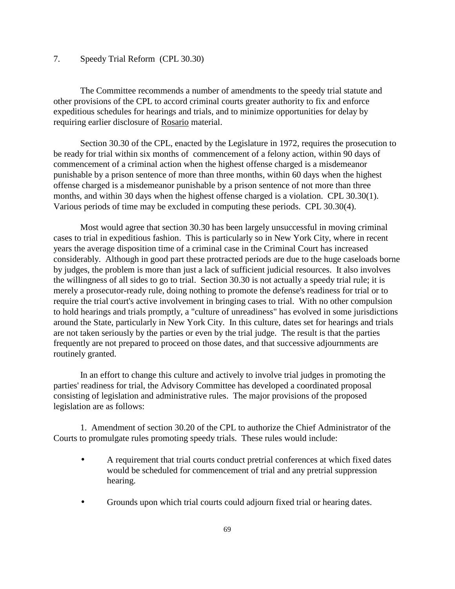# 7. Speedy Trial Reform (CPL 30.30)

The Committee recommends a number of amendments to the speedy trial statute and other provisions of the CPL to accord criminal courts greater authority to fix and enforce expeditious schedules for hearings and trials, and to minimize opportunities for delay by requiring earlier disclosure of Rosario material.

Section 30.30 of the CPL, enacted by the Legislature in 1972, requires the prosecution to be ready for trial within six months of commencement of a felony action, within 90 days of commencement of a criminal action when the highest offense charged is a misdemeanor punishable by a prison sentence of more than three months, within 60 days when the highest offense charged is a misdemeanor punishable by a prison sentence of not more than three months, and within 30 days when the highest offense charged is a violation. CPL 30.30(1). Various periods of time may be excluded in computing these periods. CPL 30.30(4).

Most would agree that section 30.30 has been largely unsuccessful in moving criminal cases to trial in expeditious fashion. This is particularly so in New York City, where in recent years the average disposition time of a criminal case in the Criminal Court has increased considerably. Although in good part these protracted periods are due to the huge caseloads borne by judges, the problem is more than just a lack of sufficient judicial resources. It also involves the willingness of all sides to go to trial. Section 30.30 is not actually a speedy trial rule; it is merely a prosecutor-ready rule, doing nothing to promote the defense's readiness for trial or to require the trial court's active involvement in bringing cases to trial. With no other compulsion to hold hearings and trials promptly, a "culture of unreadiness" has evolved in some jurisdictions around the State, particularly in New York City. In this culture, dates set for hearings and trials are not taken seriously by the parties or even by the trial judge. The result is that the parties frequently are not prepared to proceed on those dates, and that successive adjournments are routinely granted.

In an effort to change this culture and actively to involve trial judges in promoting the parties' readiness for trial, the Advisory Committee has developed a coordinated proposal consisting of legislation and administrative rules. The major provisions of the proposed legislation are as follows:

1. Amendment of section 30.20 of the CPL to authorize the Chief Administrator of the Courts to promulgate rules promoting speedy trials. These rules would include:

- A requirement that trial courts conduct pretrial conferences at which fixed dates would be scheduled for commencement of trial and any pretrial suppression hearing.
- Grounds upon which trial courts could adjourn fixed trial or hearing dates.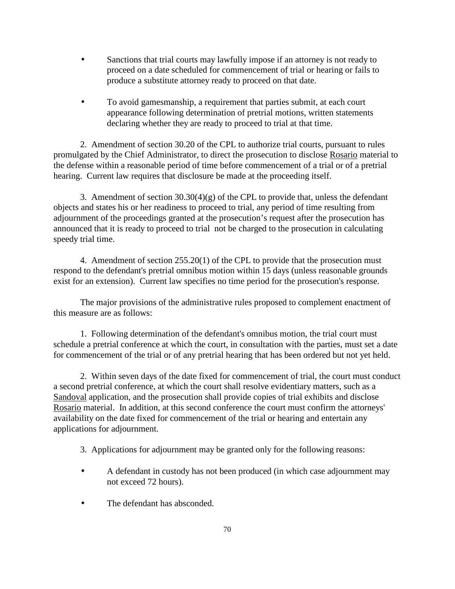- Sanctions that trial courts may lawfully impose if an attorney is not ready to proceed on a date scheduled for commencement of trial or hearing or fails to produce a substitute attorney ready to proceed on that date.
- To avoid gamesmanship, a requirement that parties submit, at each court appearance following determination of pretrial motions, written statements declaring whether they are ready to proceed to trial at that time.

2. Amendment of section 30.20 of the CPL to authorize trial courts, pursuant to rules promulgated by the Chief Administrator, to direct the prosecution to disclose Rosario material to the defense within a reasonable period of time before commencement of a trial or of a pretrial hearing. Current law requires that disclosure be made at the proceeding itself.

3. Amendment of section  $30.30(4)(g)$  of the CPL to provide that, unless the defendant objects and states his or her readiness to proceed to trial, any period of time resulting from adjournment of the proceedings granted at the prosecution's request after the prosecution has announced that it is ready to proceed to trial not be charged to the prosecution in calculating speedy trial time.

4. Amendment of section 255.20(1) of the CPL to provide that the prosecution must respond to the defendant's pretrial omnibus motion within 15 days (unless reasonable grounds exist for an extension). Current law specifies no time period for the prosecution's response.

The major provisions of the administrative rules proposed to complement enactment of this measure are as follows:

1. Following determination of the defendant's omnibus motion, the trial court must schedule a pretrial conference at which the court, in consultation with the parties, must set a date for commencement of the trial or of any pretrial hearing that has been ordered but not yet held.

2. Within seven days of the date fixed for commencement of trial, the court must conduct a second pretrial conference, at which the court shall resolve evidentiary matters, such as a Sandoval application, and the prosecution shall provide copies of trial exhibits and disclose Rosario material. In addition, at this second conference the court must confirm the attorneys' availability on the date fixed for commencement of the trial or hearing and entertain any applications for adjournment.

3. Applications for adjournment may be granted only for the following reasons:

- A defendant in custody has not been produced (in which case adjournment may not exceed 72 hours).
- The defendant has absconded.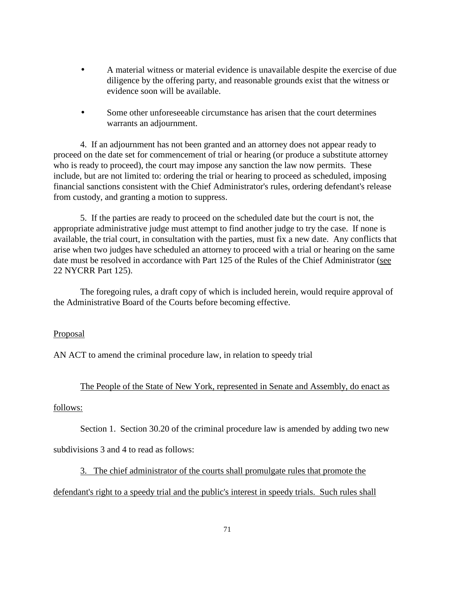- A material witness or material evidence is unavailable despite the exercise of due diligence by the offering party, and reasonable grounds exist that the witness or evidence soon will be available.
- Some other unforeseeable circumstance has arisen that the court determines warrants an adjournment.

4. If an adjournment has not been granted and an attorney does not appear ready to proceed on the date set for commencement of trial or hearing (or produce a substitute attorney who is ready to proceed), the court may impose any sanction the law now permits. These include, but are not limited to: ordering the trial or hearing to proceed as scheduled, imposing financial sanctions consistent with the Chief Administrator's rules, ordering defendant's release from custody, and granting a motion to suppress.

5. If the parties are ready to proceed on the scheduled date but the court is not, the appropriate administrative judge must attempt to find another judge to try the case. If none is available, the trial court, in consultation with the parties, must fix a new date. Any conflicts that arise when two judges have scheduled an attorney to proceed with a trial or hearing on the same date must be resolved in accordance with Part 125 of the Rules of the Chief Administrator (see 22 NYCRR Part 125).

The foregoing rules, a draft copy of which is included herein, would require approval of the Administrative Board of the Courts before becoming effective.

# **Proposal**

AN ACT to amend the criminal procedure law, in relation to speedy trial

# The People of the State of New York, represented in Senate and Assembly, do enact as

# follows:

Section 1. Section 30.20 of the criminal procedure law is amended by adding two new

subdivisions 3 and 4 to read as follows:

3. The chief administrator of the courts shall promulgate rules that promote the

defendant's right to a speedy trial and the public's interest in speedy trials. Such rules shall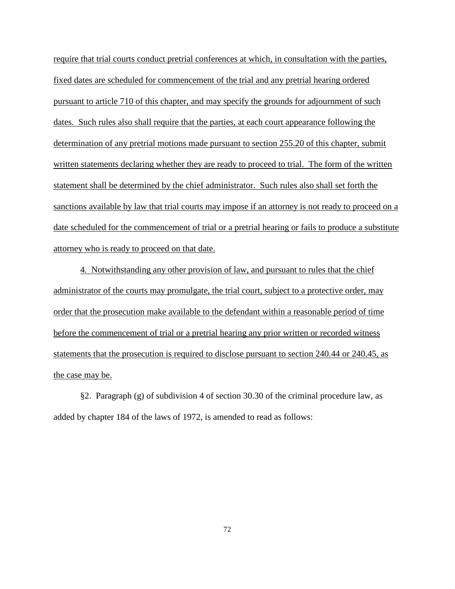require that trial courts conduct pretrial conferences at which, in consultation with the parties, fixed dates are scheduled for commencement of the trial and any pretrial hearing ordered pursuant to article 710 of this chapter, and may specify the grounds for adjournment of such dates. Such rules also shall require that the parties, at each court appearance following the determination of any pretrial motions made pursuant to section 255.20 of this chapter, submit written statements declaring whether they are ready to proceed to trial. The form of the written statement shall be determined by the chief administrator. Such rules also shall set forth the sanctions available by law that trial courts may impose if an attorney is not ready to proceed on a date scheduled for the commencement of trial or a pretrial hearing or fails to produce a substitute attorney who is ready to proceed on that date.

4. Notwithstanding any other provision of law, and pursuant to rules that the chief administrator of the courts may promulgate, the trial court, subject to a protective order, may order that the prosecution make available to the defendant within a reasonable period of time before the commencement of trial or a pretrial hearing any prior written or recorded witness statements that the prosecution is required to disclose pursuant to section 240.44 or 240.45, as the case may be.

§2. Paragraph (g) of subdivision 4 of section 30.30 of the criminal procedure law, as added by chapter 184 of the laws of 1972, is amended to read as follows: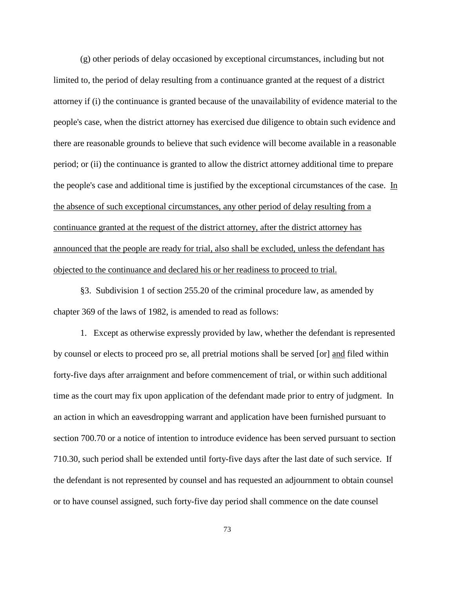(g) other periods of delay occasioned by exceptional circumstances, including but not limited to, the period of delay resulting from a continuance granted at the request of a district attorney if (i) the continuance is granted because of the unavailability of evidence material to the people's case, when the district attorney has exercised due diligence to obtain such evidence and there are reasonable grounds to believe that such evidence will become available in a reasonable period; or (ii) the continuance is granted to allow the district attorney additional time to prepare the people's case and additional time is justified by the exceptional circumstances of the case. In the absence of such exceptional circumstances, any other period of delay resulting from a continuance granted at the request of the district attorney, after the district attorney has announced that the people are ready for trial, also shall be excluded, unless the defendant has objected to the continuance and declared his or her readiness to proceed to trial.

§3. Subdivision 1 of section 255.20 of the criminal procedure law, as amended by chapter 369 of the laws of 1982, is amended to read as follows:

1. Except as otherwise expressly provided by law, whether the defendant is represented by counsel or elects to proceed pro se, all pretrial motions shall be served [or] and filed within forty-five days after arraignment and before commencement of trial, or within such additional time as the court may fix upon application of the defendant made prior to entry of judgment. In an action in which an eavesdropping warrant and application have been furnished pursuant to section 700.70 or a notice of intention to introduce evidence has been served pursuant to section 710.30, such period shall be extended until forty-five days after the last date of such service. If the defendant is not represented by counsel and has requested an adjournment to obtain counsel or to have counsel assigned, such forty-five day period shall commence on the date counsel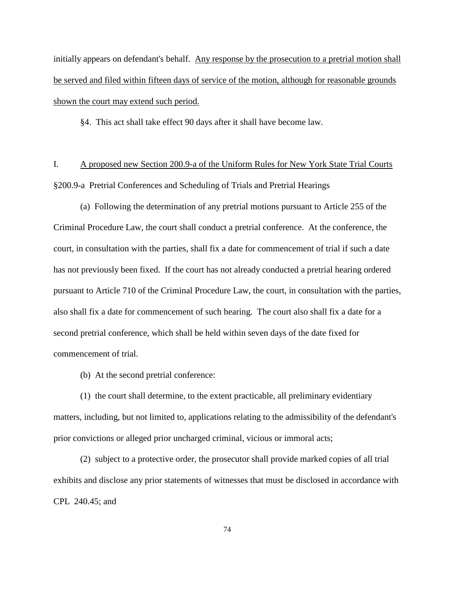initially appears on defendant's behalf. Any response by the prosecution to a pretrial motion shall be served and filed within fifteen days of service of the motion, although for reasonable grounds shown the court may extend such period.

§4. This act shall take effect 90 days after it shall have become law.

I. A proposed new Section 200.9-a of the Uniform Rules for New York State Trial Courts §200.9-a Pretrial Conferences and Scheduling of Trials and Pretrial Hearings

(a) Following the determination of any pretrial motions pursuant to Article 255 of the Criminal Procedure Law, the court shall conduct a pretrial conference. At the conference, the court, in consultation with the parties, shall fix a date for commencement of trial if such a date has not previously been fixed. If the court has not already conducted a pretrial hearing ordered pursuant to Article 710 of the Criminal Procedure Law, the court, in consultation with the parties, also shall fix a date for commencement of such hearing. The court also shall fix a date for a second pretrial conference, which shall be held within seven days of the date fixed for commencement of trial.

(b) At the second pretrial conference:

(1) the court shall determine, to the extent practicable, all preliminary evidentiary matters, including, but not limited to, applications relating to the admissibility of the defendant's prior convictions or alleged prior uncharged criminal, vicious or immoral acts;

(2) subject to a protective order, the prosecutor shall provide marked copies of all trial exhibits and disclose any prior statements of witnesses that must be disclosed in accordance with CPL 240.45; and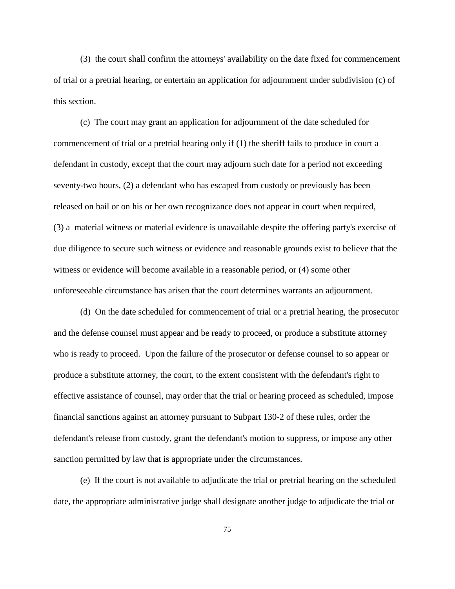(3) the court shall confirm the attorneys' availability on the date fixed for commencement of trial or a pretrial hearing, or entertain an application for adjournment under subdivision (c) of this section.

(c) The court may grant an application for adjournment of the date scheduled for commencement of trial or a pretrial hearing only if (1) the sheriff fails to produce in court a defendant in custody, except that the court may adjourn such date for a period not exceeding seventy-two hours, (2) a defendant who has escaped from custody or previously has been released on bail or on his or her own recognizance does not appear in court when required, (3) a material witness or material evidence is unavailable despite the offering party's exercise of due diligence to secure such witness or evidence and reasonable grounds exist to believe that the witness or evidence will become available in a reasonable period, or (4) some other unforeseeable circumstance has arisen that the court determines warrants an adjournment.

(d) On the date scheduled for commencement of trial or a pretrial hearing, the prosecutor and the defense counsel must appear and be ready to proceed, or produce a substitute attorney who is ready to proceed. Upon the failure of the prosecutor or defense counsel to so appear or produce a substitute attorney, the court, to the extent consistent with the defendant's right to effective assistance of counsel, may order that the trial or hearing proceed as scheduled, impose financial sanctions against an attorney pursuant to Subpart 130-2 of these rules, order the defendant's release from custody, grant the defendant's motion to suppress, or impose any other sanction permitted by law that is appropriate under the circumstances.

(e) If the court is not available to adjudicate the trial or pretrial hearing on the scheduled date, the appropriate administrative judge shall designate another judge to adjudicate the trial or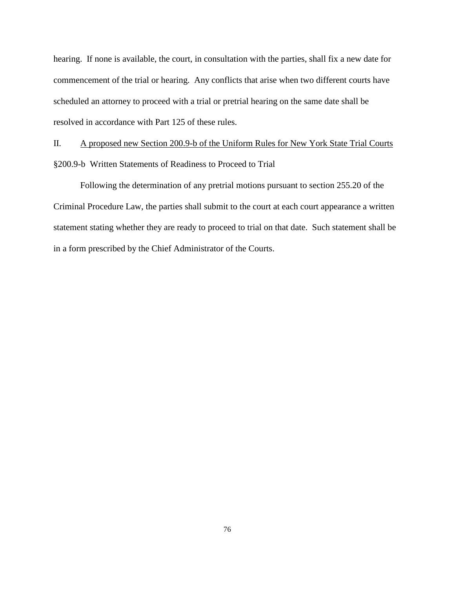hearing. If none is available, the court, in consultation with the parties, shall fix a new date for commencement of the trial or hearing. Any conflicts that arise when two different courts have scheduled an attorney to proceed with a trial or pretrial hearing on the same date shall be resolved in accordance with Part 125 of these rules.

II. A proposed new Section 200.9-b of the Uniform Rules for New York State Trial Courts §200.9-b Written Statements of Readiness to Proceed to Trial

Following the determination of any pretrial motions pursuant to section 255.20 of the Criminal Procedure Law, the parties shall submit to the court at each court appearance a written statement stating whether they are ready to proceed to trial on that date. Such statement shall be in a form prescribed by the Chief Administrator of the Courts.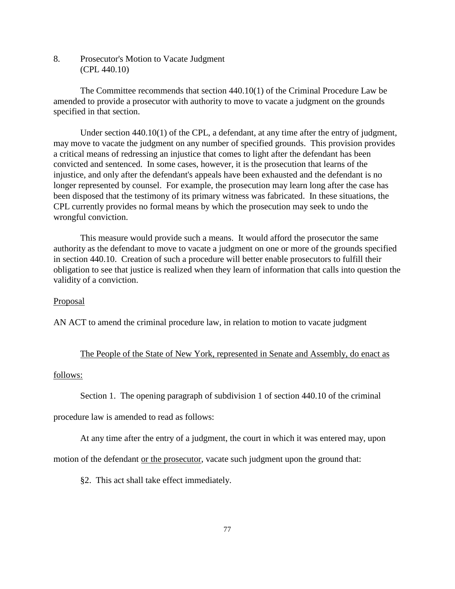8. Prosecutor's Motion to Vacate Judgment (CPL 440.10)

 The Committee recommends that section 440.10(1) of the Criminal Procedure Law be amended to provide a prosecutor with authority to move to vacate a judgment on the grounds specified in that section.

 Under section 440.10(1) of the CPL, a defendant, at any time after the entry of judgment, may move to vacate the judgment on any number of specified grounds. This provision provides a critical means of redressing an injustice that comes to light after the defendant has been convicted and sentenced. In some cases, however, it is the prosecution that learns of the injustice, and only after the defendant's appeals have been exhausted and the defendant is no longer represented by counsel. For example, the prosecution may learn long after the case has been disposed that the testimony of its primary witness was fabricated. In these situations, the CPL currently provides no formal means by which the prosecution may seek to undo the wrongful conviction.

 This measure would provide such a means. It would afford the prosecutor the same authority as the defendant to move to vacate a judgment on one or more of the grounds specified in section 440.10. Creation of such a procedure will better enable prosecutors to fulfill their obligation to see that justice is realized when they learn of information that calls into question the validity of a conviction.

### Proposal

AN ACT to amend the criminal procedure law, in relation to motion to vacate judgment

#### The People of the State of New York, represented in Senate and Assembly, do enact as

#### follows:

Section 1. The opening paragraph of subdivision 1 of section 440.10 of the criminal

procedure law is amended to read as follows:

At any time after the entry of a judgment, the court in which it was entered may, upon

motion of the defendant or the prosecutor, vacate such judgment upon the ground that:

§2. This act shall take effect immediately.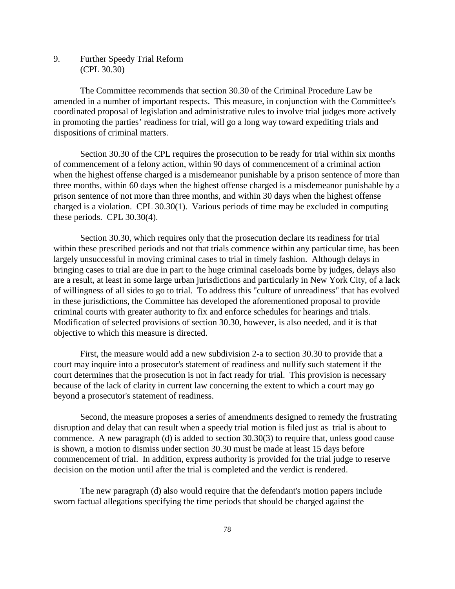9. Further Speedy Trial Reform (CPL 30.30)

The Committee recommends that section 30.30 of the Criminal Procedure Law be amended in a number of important respects. This measure, in conjunction with the Committee's coordinated proposal of legislation and administrative rules to involve trial judges more actively in promoting the parties' readiness for trial, will go a long way toward expediting trials and dispositions of criminal matters.

Section 30.30 of the CPL requires the prosecution to be ready for trial within six months of commencement of a felony action, within 90 days of commencement of a criminal action when the highest offense charged is a misdemeanor punishable by a prison sentence of more than three months, within 60 days when the highest offense charged is a misdemeanor punishable by a prison sentence of not more than three months, and within 30 days when the highest offense charged is a violation. CPL 30.30(1). Various periods of time may be excluded in computing these periods. CPL 30.30(4).

Section 30.30, which requires only that the prosecution declare its readiness for trial within these prescribed periods and not that trials commence within any particular time, has been largely unsuccessful in moving criminal cases to trial in timely fashion. Although delays in bringing cases to trial are due in part to the huge criminal caseloads borne by judges, delays also are a result, at least in some large urban jurisdictions and particularly in New York City, of a lack of willingness of all sides to go to trial. To address this "culture of unreadiness" that has evolved in these jurisdictions, the Committee has developed the aforementioned proposal to provide criminal courts with greater authority to fix and enforce schedules for hearings and trials. Modification of selected provisions of section 30.30, however, is also needed, and it is that objective to which this measure is directed.

First, the measure would add a new subdivision 2-a to section 30.30 to provide that a court may inquire into a prosecutor's statement of readiness and nullify such statement if the court determines that the prosecution is not in fact ready for trial. This provision is necessary because of the lack of clarity in current law concerning the extent to which a court may go beyond a prosecutor's statement of readiness.

Second, the measure proposes a series of amendments designed to remedy the frustrating disruption and delay that can result when a speedy trial motion is filed just as trial is about to commence. A new paragraph (d) is added to section 30.30(3) to require that, unless good cause is shown, a motion to dismiss under section 30.30 must be made at least 15 days before commencement of trial. In addition, express authority is provided for the trial judge to reserve decision on the motion until after the trial is completed and the verdict is rendered.

The new paragraph (d) also would require that the defendant's motion papers include sworn factual allegations specifying the time periods that should be charged against the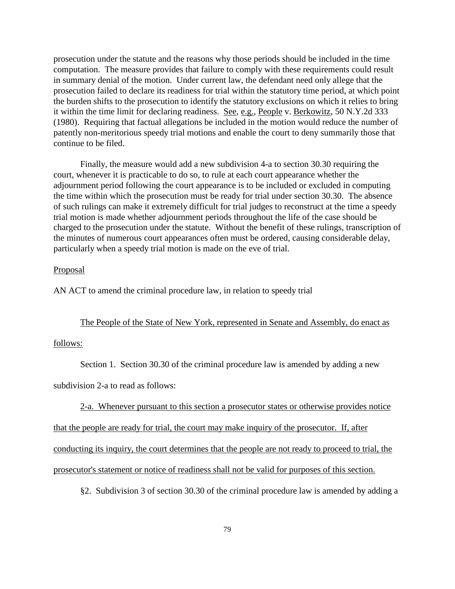prosecution under the statute and the reasons why those periods should be included in the time computation. The measure provides that failure to comply with these requirements could result in summary denial of the motion. Under current law, the defendant need only allege that the prosecution failed to declare its readiness for trial within the statutory time period, at which point the burden shifts to the prosecution to identify the statutory exclusions on which it relies to bring it within the time limit for declaring readiness. See, e.g., People v. Berkowitz, 50 N.Y.2d 333 (1980). Requiring that factual allegations be included in the motion would reduce the number of patently non-meritorious speedy trial motions and enable the court to deny summarily those that continue to be filed.

Finally, the measure would add a new subdivision 4-a to section 30.30 requiring the court, whenever it is practicable to do so, to rule at each court appearance whether the adjournment period following the court appearance is to be included or excluded in computing the time within which the prosecution must be ready for trial under section 30.30. The absence of such rulings can make it extremely difficult for trial judges to reconstruct at the time a speedy trial motion is made whether adjournment periods throughout the life of the case should be charged to the prosecution under the statute. Without the benefit of these rulings, transcription of the minutes of numerous court appearances often must be ordered, causing considerable delay, particularly when a speedy trial motion is made on the eve of trial.

### Proposal

AN ACT to amend the criminal procedure law, in relation to speedy trial

#### The People of the State of New York, represented in Senate and Assembly, do enact as

### follows:

Section 1. Section 30.30 of the criminal procedure law is amended by adding a new

subdivision 2-a to read as follows:

2-a. Whenever pursuant to this section a prosecutor states or otherwise provides notice

that the people are ready for trial, the court may make inquiry of the prosecutor. If, after

conducting its inquiry, the court determines that the people are not ready to proceed to trial, the

prosecutor's statement or notice of readiness shall not be valid for purposes of this section.

§2. Subdivision 3 of section 30.30 of the criminal procedure law is amended by adding a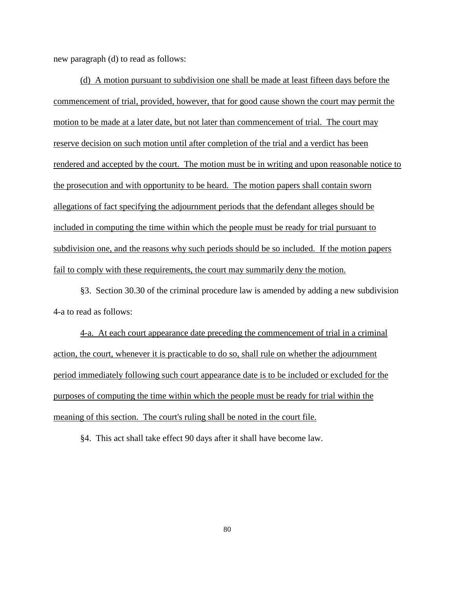new paragraph (d) to read as follows:

(d) A motion pursuant to subdivision one shall be made at least fifteen days before the commencement of trial, provided, however, that for good cause shown the court may permit the motion to be made at a later date, but not later than commencement of trial. The court may reserve decision on such motion until after completion of the trial and a verdict has been rendered and accepted by the court. The motion must be in writing and upon reasonable notice to the prosecution and with opportunity to be heard. The motion papers shall contain sworn allegations of fact specifying the adjournment periods that the defendant alleges should be included in computing the time within which the people must be ready for trial pursuant to subdivision one, and the reasons why such periods should be so included. If the motion papers fail to comply with these requirements, the court may summarily deny the motion.

§3. Section 30.30 of the criminal procedure law is amended by adding a new subdivision 4-a to read as follows:

4-a. At each court appearance date preceding the commencement of trial in a criminal action, the court, whenever it is practicable to do so, shall rule on whether the adjournment period immediately following such court appearance date is to be included or excluded for the purposes of computing the time within which the people must be ready for trial within the meaning of this section. The court's ruling shall be noted in the court file.

§4. This act shall take effect 90 days after it shall have become law.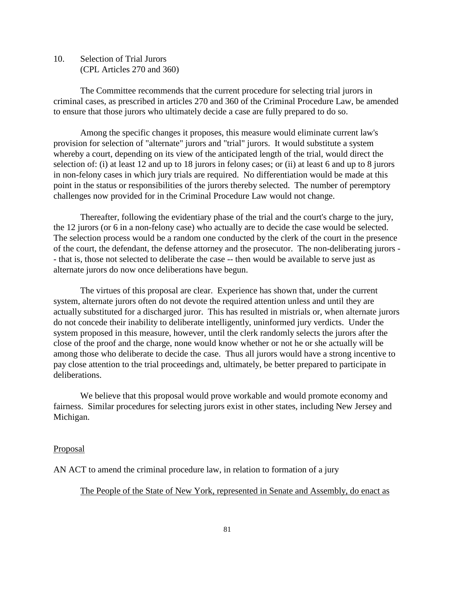10. Selection of Trial Jurors (CPL Articles 270 and 360)

The Committee recommends that the current procedure for selecting trial jurors in criminal cases, as prescribed in articles 270 and 360 of the Criminal Procedure Law, be amended to ensure that those jurors who ultimately decide a case are fully prepared to do so.

Among the specific changes it proposes, this measure would eliminate current law's provision for selection of "alternate" jurors and "trial" jurors. It would substitute a system whereby a court, depending on its view of the anticipated length of the trial, would direct the selection of: (i) at least 12 and up to 18 jurors in felony cases; or (ii) at least 6 and up to 8 jurors in non-felony cases in which jury trials are required. No differentiation would be made at this point in the status or responsibilities of the jurors thereby selected. The number of peremptory challenges now provided for in the Criminal Procedure Law would not change.

Thereafter, following the evidentiary phase of the trial and the court's charge to the jury, the 12 jurors (or 6 in a non-felony case) who actually are to decide the case would be selected. The selection process would be a random one conducted by the clerk of the court in the presence of the court, the defendant, the defense attorney and the prosecutor. The non-deliberating jurors - - that is, those not selected to deliberate the case -- then would be available to serve just as alternate jurors do now once deliberations have begun.

The virtues of this proposal are clear. Experience has shown that, under the current system, alternate jurors often do not devote the required attention unless and until they are actually substituted for a discharged juror. This has resulted in mistrials or, when alternate jurors do not concede their inability to deliberate intelligently, uninformed jury verdicts. Under the system proposed in this measure, however, until the clerk randomly selects the jurors after the close of the proof and the charge, none would know whether or not he or she actually will be among those who deliberate to decide the case. Thus all jurors would have a strong incentive to pay close attention to the trial proceedings and, ultimately, be better prepared to participate in deliberations.

We believe that this proposal would prove workable and would promote economy and fairness. Similar procedures for selecting jurors exist in other states, including New Jersey and Michigan.

#### Proposal

AN ACT to amend the criminal procedure law, in relation to formation of a jury

### The People of the State of New York, represented in Senate and Assembly, do enact as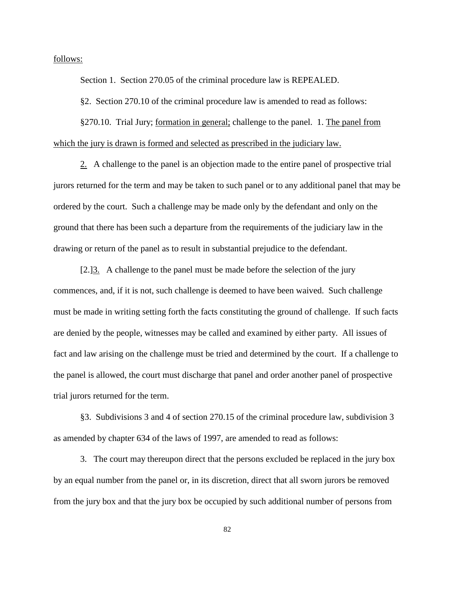follows:

Section 1. Section 270.05 of the criminal procedure law is REPEALED.

§2. Section 270.10 of the criminal procedure law is amended to read as follows:

§270.10. Trial Jury; formation in general; challenge to the panel. 1. The panel from which the jury is drawn is formed and selected as prescribed in the judiciary law.

2. A challenge to the panel is an objection made to the entire panel of prospective trial jurors returned for the term and may be taken to such panel or to any additional panel that may be ordered by the court. Such a challenge may be made only by the defendant and only on the ground that there has been such a departure from the requirements of the judiciary law in the drawing or return of the panel as to result in substantial prejudice to the defendant.

[2.]3. A challenge to the panel must be made before the selection of the jury commences, and, if it is not, such challenge is deemed to have been waived. Such challenge must be made in writing setting forth the facts constituting the ground of challenge. If such facts are denied by the people, witnesses may be called and examined by either party. All issues of fact and law arising on the challenge must be tried and determined by the court. If a challenge to the panel is allowed, the court must discharge that panel and order another panel of prospective trial jurors returned for the term.

§3. Subdivisions 3 and 4 of section 270.15 of the criminal procedure law, subdivision 3 as amended by chapter 634 of the laws of 1997, are amended to read as follows:

3. The court may thereupon direct that the persons excluded be replaced in the jury box by an equal number from the panel or, in its discretion, direct that all sworn jurors be removed from the jury box and that the jury box be occupied by such additional number of persons from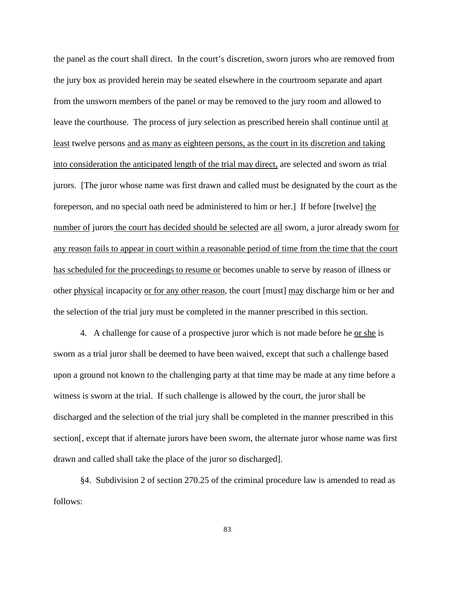the panel as the court shall direct. In the court's discretion, sworn jurors who are removed from the jury box as provided herein may be seated elsewhere in the courtroom separate and apart from the unsworn members of the panel or may be removed to the jury room and allowed to leave the courthouse. The process of jury selection as prescribed herein shall continue until at least twelve persons and as many as eighteen persons, as the court in its discretion and taking into consideration the anticipated length of the trial may direct, are selected and sworn as trial jurors. [The juror whose name was first drawn and called must be designated by the court as the foreperson, and no special oath need be administered to him or her.] If before [twelve] the number of jurors the court has decided should be selected are all sworn, a juror already sworn for any reason fails to appear in court within a reasonable period of time from the time that the court has scheduled for the proceedings to resume or becomes unable to serve by reason of illness or other physical incapacity or for any other reason, the court [must] may discharge him or her and the selection of the trial jury must be completed in the manner prescribed in this section.

4. A challenge for cause of a prospective juror which is not made before he or she is sworn as a trial juror shall be deemed to have been waived, except that such a challenge based upon a ground not known to the challenging party at that time may be made at any time before a witness is sworn at the trial. If such challenge is allowed by the court, the juror shall be discharged and the selection of the trial jury shall be completed in the manner prescribed in this section[, except that if alternate jurors have been sworn, the alternate juror whose name was first drawn and called shall take the place of the juror so discharged].

§4. Subdivision 2 of section 270.25 of the criminal procedure law is amended to read as follows: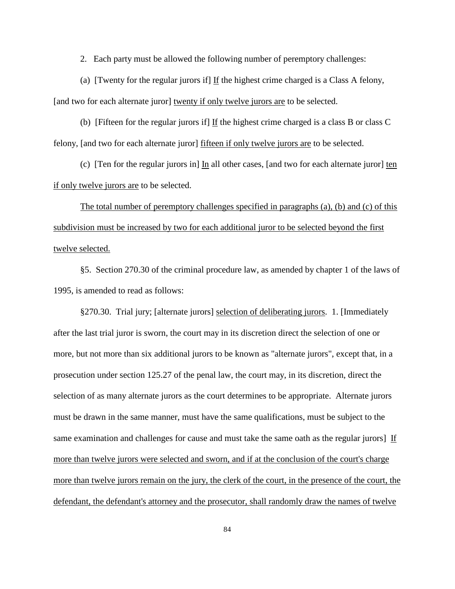2. Each party must be allowed the following number of peremptory challenges:

(a) [Twenty for the regular jurors if] If the highest crime charged is a Class A felony, [and two for each alternate juror] twenty if only twelve jurors are to be selected.

(b) [Fifteen for the regular jurors if] If the highest crime charged is a class B or class C felony, [and two for each alternate juror] fifteen if only twelve jurors are to be selected.

(c) [Ten for the regular jurors in] In all other cases, [and two for each alternate juror] ten if only twelve jurors are to be selected.

The total number of peremptory challenges specified in paragraphs (a), (b) and (c) of this subdivision must be increased by two for each additional juror to be selected beyond the first twelve selected.

§5. Section 270.30 of the criminal procedure law, as amended by chapter 1 of the laws of 1995, is amended to read as follows:

§270.30. Trial jury; [alternate jurors] selection of deliberating jurors. 1. [Immediately after the last trial juror is sworn, the court may in its discretion direct the selection of one or more, but not more than six additional jurors to be known as "alternate jurors", except that, in a prosecution under section 125.27 of the penal law, the court may, in its discretion, direct the selection of as many alternate jurors as the court determines to be appropriate. Alternate jurors must be drawn in the same manner, must have the same qualifications, must be subject to the same examination and challenges for cause and must take the same oath as the regular jurors] If more than twelve jurors were selected and sworn, and if at the conclusion of the court's charge more than twelve jurors remain on the jury, the clerk of the court, in the presence of the court, the defendant, the defendant's attorney and the prosecutor, shall randomly draw the names of twelve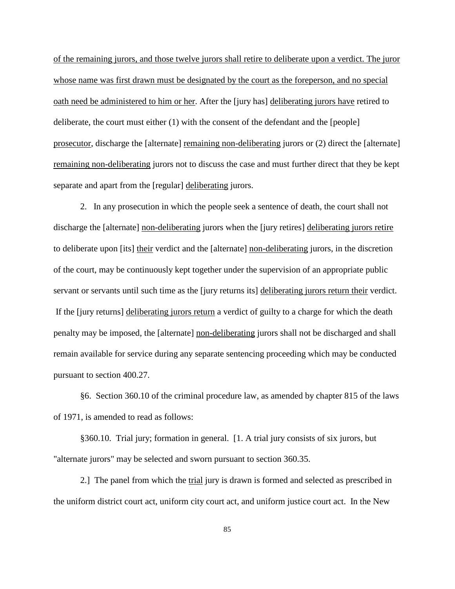of the remaining jurors, and those twelve jurors shall retire to deliberate upon a verdict. The juror whose name was first drawn must be designated by the court as the foreperson, and no special oath need be administered to him or her. After the [jury has] deliberating jurors have retired to deliberate, the court must either (1) with the consent of the defendant and the [people] prosecutor, discharge the [alternate] remaining non-deliberating jurors or (2) direct the [alternate] remaining non-deliberating jurors not to discuss the case and must further direct that they be kept separate and apart from the [regular] deliberating jurors.

2. In any prosecution in which the people seek a sentence of death, the court shall not discharge the [alternate] non-deliberating jurors when the [jury retires] deliberating jurors retire to deliberate upon [its] their verdict and the [alternate] non-deliberating jurors, in the discretion of the court, may be continuously kept together under the supervision of an appropriate public servant or servants until such time as the [jury returns its] deliberating jurors return their verdict. If the [jury returns] deliberating jurors return a verdict of guilty to a charge for which the death penalty may be imposed, the [alternate] non-deliberating jurors shall not be discharged and shall remain available for service during any separate sentencing proceeding which may be conducted pursuant to section 400.27.

§6. Section 360.10 of the criminal procedure law, as amended by chapter 815 of the laws of 1971, is amended to read as follows:

§360.10. Trial jury; formation in general. [1. A trial jury consists of six jurors, but "alternate jurors" may be selected and sworn pursuant to section 360.35.

2.] The panel from which the trial jury is drawn is formed and selected as prescribed in the uniform district court act, uniform city court act, and uniform justice court act. In the New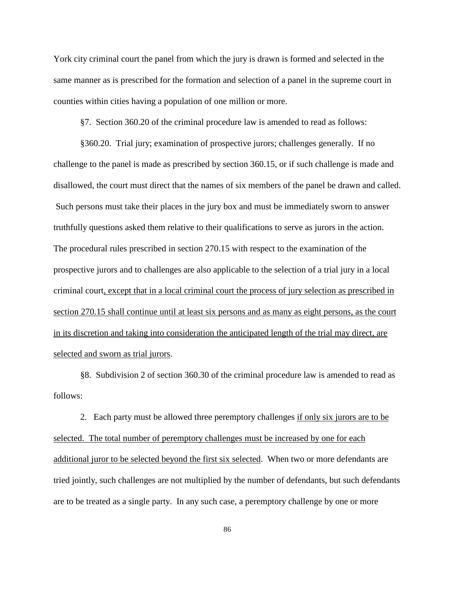York city criminal court the panel from which the jury is drawn is formed and selected in the same manner as is prescribed for the formation and selection of a panel in the supreme court in counties within cities having a population of one million or more.

§7. Section 360.20 of the criminal procedure law is amended to read as follows:

§360.20. Trial jury; examination of prospective jurors; challenges generally. If no challenge to the panel is made as prescribed by section 360.15, or if such challenge is made and disallowed, the court must direct that the names of six members of the panel be drawn and called. Such persons must take their places in the jury box and must be immediately sworn to answer truthfully questions asked them relative to their qualifications to serve as jurors in the action. The procedural rules prescribed in section 270.15 with respect to the examination of the prospective jurors and to challenges are also applicable to the selection of a trial jury in a local criminal court, except that in a local criminal court the process of jury selection as prescribed in section 270.15 shall continue until at least six persons and as many as eight persons, as the court in its discretion and taking into consideration the anticipated length of the trial may direct, are selected and sworn as trial jurors.

§8. Subdivision 2 of section 360.30 of the criminal procedure law is amended to read as follows:

2. Each party must be allowed three peremptory challenges if only six jurors are to be selected. The total number of peremptory challenges must be increased by one for each additional juror to be selected beyond the first six selected. When two or more defendants are tried jointly, such challenges are not multiplied by the number of defendants, but such defendants are to be treated as a single party. In any such case, a peremptory challenge by one or more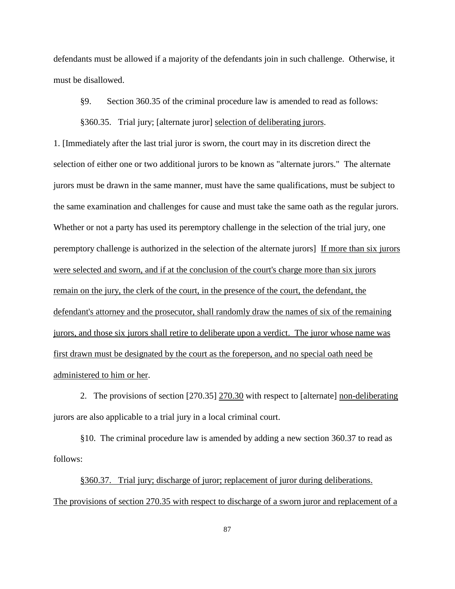defendants must be allowed if a majority of the defendants join in such challenge. Otherwise, it must be disallowed.

§9. Section 360.35 of the criminal procedure law is amended to read as follows:

§360.35. Trial jury; [alternate juror] selection of deliberating jurors.

1. [Immediately after the last trial juror is sworn, the court may in its discretion direct the selection of either one or two additional jurors to be known as "alternate jurors." The alternate jurors must be drawn in the same manner, must have the same qualifications, must be subject to the same examination and challenges for cause and must take the same oath as the regular jurors. Whether or not a party has used its peremptory challenge in the selection of the trial jury, one peremptory challenge is authorized in the selection of the alternate jurors] If more than six jurors were selected and sworn, and if at the conclusion of the court's charge more than six jurors remain on the jury, the clerk of the court, in the presence of the court, the defendant, the defendant's attorney and the prosecutor, shall randomly draw the names of six of the remaining jurors, and those six jurors shall retire to deliberate upon a verdict. The juror whose name was first drawn must be designated by the court as the foreperson, and no special oath need be administered to him or her.

2. The provisions of section [270.35] 270.30 with respect to [alternate] non-deliberating jurors are also applicable to a trial jury in a local criminal court.

§10. The criminal procedure law is amended by adding a new section 360.37 to read as follows:

§360.37. Trial jury; discharge of juror; replacement of juror during deliberations. The provisions of section 270.35 with respect to discharge of a sworn juror and replacement of a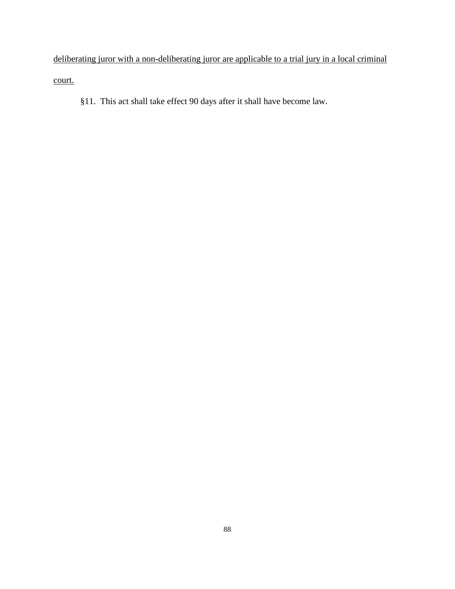deliberating juror with a non-deliberating juror are applicable to a trial jury in a local criminal court.

§11. This act shall take effect 90 days after it shall have become law.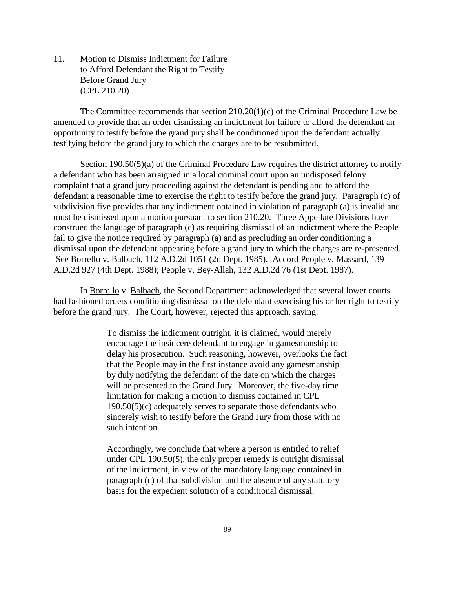11. Motion to Dismiss Indictment for Failure to Afford Defendant the Right to Testify Before Grand Jury (CPL 210.20)

The Committee recommends that section 210.20(1)(c) of the Criminal Procedure Law be amended to provide that an order dismissing an indictment for failure to afford the defendant an opportunity to testify before the grand jury shall be conditioned upon the defendant actually testifying before the grand jury to which the charges are to be resubmitted.

Section 190.50(5)(a) of the Criminal Procedure Law requires the district attorney to notify a defendant who has been arraigned in a local criminal court upon an undisposed felony complaint that a grand jury proceeding against the defendant is pending and to afford the defendant a reasonable time to exercise the right to testify before the grand jury. Paragraph (c) of subdivision five provides that any indictment obtained in violation of paragraph (a) is invalid and must be dismissed upon a motion pursuant to section 210.20. Three Appellate Divisions have construed the language of paragraph (c) as requiring dismissal of an indictment where the People fail to give the notice required by paragraph (a) and as precluding an order conditioning a dismissal upon the defendant appearing before a grand jury to which the charges are re-presented. See Borrello v. Balbach, 112 A.D.2d 1051 (2d Dept. 1985). Accord People v. Massard, 139 A.D.2d 927 (4th Dept. 1988); People v. Bey-Allah, 132 A.D.2d 76 (1st Dept. 1987).

In Borrello v. Balbach, the Second Department acknowledged that several lower courts had fashioned orders conditioning dismissal on the defendant exercising his or her right to testify before the grand jury. The Court, however, rejected this approach, saying:

> To dismiss the indictment outright, it is claimed, would merely encourage the insincere defendant to engage in gamesmanship to delay his prosecution. Such reasoning, however, overlooks the fact that the People may in the first instance avoid any gamesmanship by duly notifying the defendant of the date on which the charges will be presented to the Grand Jury. Moreover, the five-day time limitation for making a motion to dismiss contained in CPL 190.50(5)(c) adequately serves to separate those defendants who sincerely wish to testify before the Grand Jury from those with no such intention.

Accordingly, we conclude that where a person is entitled to relief under CPL 190.50(5), the only proper remedy is outright dismissal of the indictment, in view of the mandatory language contained in paragraph (c) of that subdivision and the absence of any statutory basis for the expedient solution of a conditional dismissal.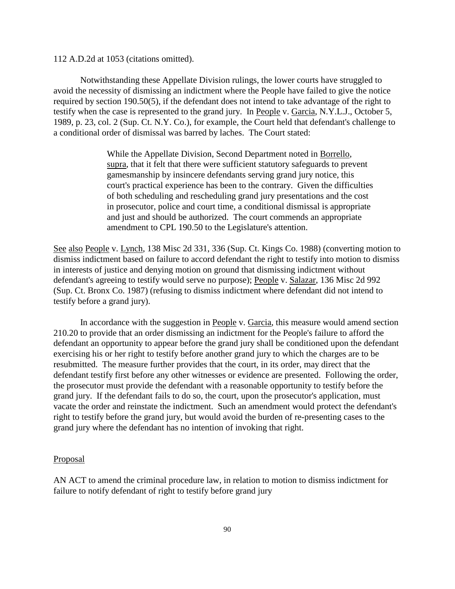112 A.D.2d at 1053 (citations omitted).

Notwithstanding these Appellate Division rulings, the lower courts have struggled to avoid the necessity of dismissing an indictment where the People have failed to give the notice required by section 190.50(5), if the defendant does not intend to take advantage of the right to testify when the case is represented to the grand jury. In People v. Garcia, N.Y.L.J., October 5, 1989, p. 23, col. 2 (Sup. Ct. N.Y. Co.), for example, the Court held that defendant's challenge to a conditional order of dismissal was barred by laches. The Court stated:

> While the Appellate Division, Second Department noted in Borrello, supra, that it felt that there were sufficient statutory safeguards to prevent gamesmanship by insincere defendants serving grand jury notice, this court's practical experience has been to the contrary. Given the difficulties of both scheduling and rescheduling grand jury presentations and the cost in prosecutor, police and court time, a conditional dismissal is appropriate and just and should be authorized. The court commends an appropriate amendment to CPL 190.50 to the Legislature's attention.

See also People v. Lynch, 138 Misc 2d 331, 336 (Sup. Ct. Kings Co. 1988) (converting motion to dismiss indictment based on failure to accord defendant the right to testify into motion to dismiss in interests of justice and denying motion on ground that dismissing indictment without defendant's agreeing to testify would serve no purpose); People v. Salazar, 136 Misc 2d 992 (Sup. Ct. Bronx Co. 1987) (refusing to dismiss indictment where defendant did not intend to testify before a grand jury).

In accordance with the suggestion in People v. Garcia, this measure would amend section 210.20 to provide that an order dismissing an indictment for the People's failure to afford the defendant an opportunity to appear before the grand jury shall be conditioned upon the defendant exercising his or her right to testify before another grand jury to which the charges are to be resubmitted. The measure further provides that the court, in its order, may direct that the defendant testify first before any other witnesses or evidence are presented. Following the order, the prosecutor must provide the defendant with a reasonable opportunity to testify before the grand jury. If the defendant fails to do so, the court, upon the prosecutor's application, must vacate the order and reinstate the indictment. Such an amendment would protect the defendant's right to testify before the grand jury, but would avoid the burden of re-presenting cases to the grand jury where the defendant has no intention of invoking that right.

#### Proposal

AN ACT to amend the criminal procedure law, in relation to motion to dismiss indictment for failure to notify defendant of right to testify before grand jury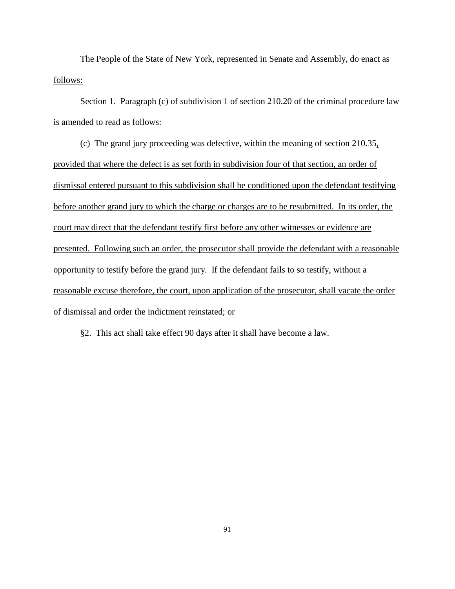The People of the State of New York, represented in Senate and Assembly, do enact as follows:

Section 1. Paragraph (c) of subdivision 1 of section 210.20 of the criminal procedure law is amended to read as follows:

(c) The grand jury proceeding was defective, within the meaning of section 210.35, provided that where the defect is as set forth in subdivision four of that section, an order of dismissal entered pursuant to this subdivision shall be conditioned upon the defendant testifying before another grand jury to which the charge or charges are to be resubmitted. In its order, the court may direct that the defendant testify first before any other witnesses or evidence are presented. Following such an order, the prosecutor shall provide the defendant with a reasonable opportunity to testify before the grand jury. If the defendant fails to so testify, without a reasonable excuse therefore, the court, upon application of the prosecutor, shall vacate the order of dismissal and order the indictment reinstated; or

§2. This act shall take effect 90 days after it shall have become a law.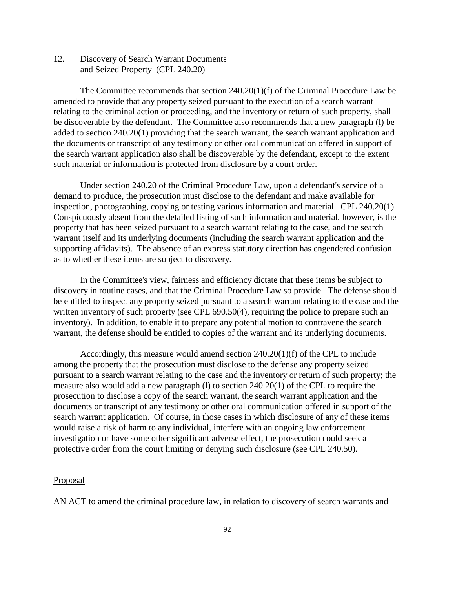12. Discovery of Search Warrant Documents and Seized Property (CPL 240.20)

The Committee recommends that section 240.20(1)(f) of the Criminal Procedure Law be amended to provide that any property seized pursuant to the execution of a search warrant relating to the criminal action or proceeding, and the inventory or return of such property, shall be discoverable by the defendant. The Committee also recommends that a new paragraph (l) be added to section 240.20(1) providing that the search warrant, the search warrant application and the documents or transcript of any testimony or other oral communication offered in support of the search warrant application also shall be discoverable by the defendant, except to the extent such material or information is protected from disclosure by a court order.

Under section 240.20 of the Criminal Procedure Law, upon a defendant's service of a demand to produce, the prosecution must disclose to the defendant and make available for inspection, photographing, copying or testing various information and material. CPL 240.20(1). Conspicuously absent from the detailed listing of such information and material, however, is the property that has been seized pursuant to a search warrant relating to the case, and the search warrant itself and its underlying documents (including the search warrant application and the supporting affidavits). The absence of an express statutory direction has engendered confusion as to whether these items are subject to discovery.

In the Committee's view, fairness and efficiency dictate that these items be subject to discovery in routine cases, and that the Criminal Procedure Law so provide. The defense should be entitled to inspect any property seized pursuant to a search warrant relating to the case and the written inventory of such property (see CPL 690.50(4), requiring the police to prepare such an inventory). In addition, to enable it to prepare any potential motion to contravene the search warrant, the defense should be entitled to copies of the warrant and its underlying documents.

Accordingly, this measure would amend section  $240.20(1)(f)$  of the CPL to include among the property that the prosecution must disclose to the defense any property seized pursuant to a search warrant relating to the case and the inventory or return of such property; the measure also would add a new paragraph (l) to section 240.20(1) of the CPL to require the prosecution to disclose a copy of the search warrant, the search warrant application and the documents or transcript of any testimony or other oral communication offered in support of the search warrant application. Of course, in those cases in which disclosure of any of these items would raise a risk of harm to any individual, interfere with an ongoing law enforcement investigation or have some other significant adverse effect, the prosecution could seek a protective order from the court limiting or denying such disclosure (see CPL 240.50).

#### Proposal

AN ACT to amend the criminal procedure law, in relation to discovery of search warrants and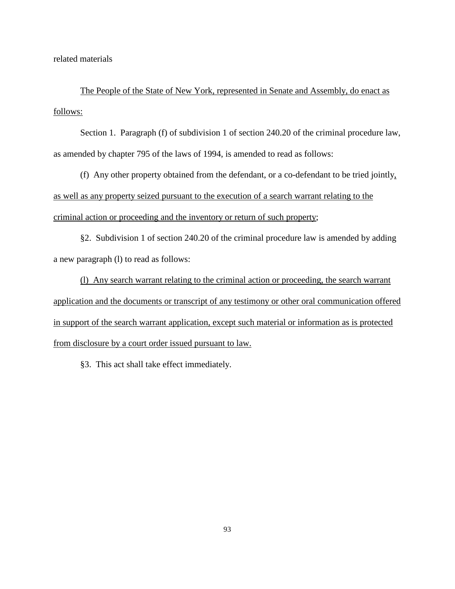related materials

The People of the State of New York, represented in Senate and Assembly, do enact as follows:

Section 1. Paragraph (f) of subdivision 1 of section 240.20 of the criminal procedure law, as amended by chapter 795 of the laws of 1994, is amended to read as follows:

(f) Any other property obtained from the defendant, or a co-defendant to be tried jointly, as well as any property seized pursuant to the execution of a search warrant relating to the criminal action or proceeding and the inventory or return of such property;

§2. Subdivision 1 of section 240.20 of the criminal procedure law is amended by adding a new paragraph (l) to read as follows:

(l) Any search warrant relating to the criminal action or proceeding, the search warrant application and the documents or transcript of any testimony or other oral communication offered in support of the search warrant application, except such material or information as is protected from disclosure by a court order issued pursuant to law.

§3. This act shall take effect immediately.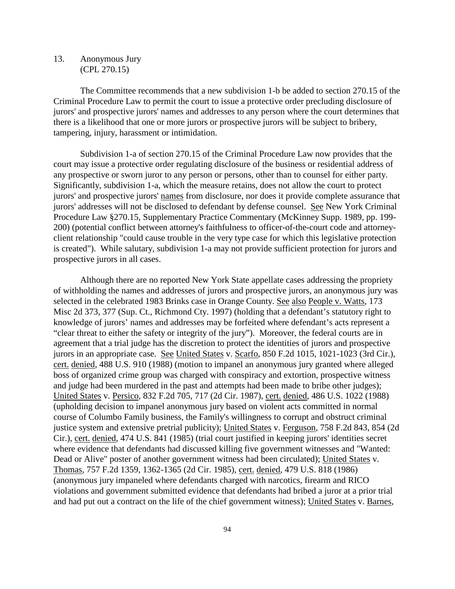## 13. Anonymous Jury (CPL 270.15)

The Committee recommends that a new subdivision 1-b be added to section 270.15 of the Criminal Procedure Law to permit the court to issue a protective order precluding disclosure of jurors' and prospective jurors' names and addresses to any person where the court determines that there is a likelihood that one or more jurors or prospective jurors will be subject to bribery, tampering, injury, harassment or intimidation.

Subdivision 1-a of section 270.15 of the Criminal Procedure Law now provides that the court may issue a protective order regulating disclosure of the business or residential address of any prospective or sworn juror to any person or persons, other than to counsel for either party. Significantly, subdivision 1-a, which the measure retains, does not allow the court to protect jurors' and prospective jurors' names from disclosure, nor does it provide complete assurance that jurors' addresses will not be disclosed to defendant by defense counsel. See New York Criminal Procedure Law §270.15, Supplementary Practice Commentary (McKinney Supp. 1989, pp. 199- 200) (potential conflict between attorney's faithfulness to officer-of-the-court code and attorneyclient relationship "could cause trouble in the very type case for which this legislative protection is created"). While salutary, subdivision 1-a may not provide sufficient protection for jurors and prospective jurors in all cases.

Although there are no reported New York State appellate cases addressing the propriety of withholding the names and addresses of jurors and prospective jurors, an anonymous jury was selected in the celebrated 1983 Brinks case in Orange County. See also People v. Watts, 173 Misc 2d 373, 377 (Sup. Ct., Richmond Cty. 1997) (holding that a defendant's statutory right to knowledge of jurors' names and addresses may be forfeited where defendant's acts represent a "clear threat to either the safety or integrity of the jury"). Moreover, the federal courts are in agreement that a trial judge has the discretion to protect the identities of jurors and prospective jurors in an appropriate case. See United States v. Scarfo, 850 F.2d 1015, 1021-1023 (3rd Cir.), cert. denied, 488 U.S. 910 (1988) (motion to impanel an anonymous jury granted where alleged boss of organized crime group was charged with conspiracy and extortion, prospective witness and judge had been murdered in the past and attempts had been made to bribe other judges); United States v. Persico, 832 F.2d 705, 717 (2d Cir. 1987), cert. denied, 486 U.S. 1022 (1988) (upholding decision to impanel anonymous jury based on violent acts committed in normal course of Columbo Family business, the Family's willingness to corrupt and obstruct criminal justice system and extensive pretrial publicity); United States v. Ferguson, 758 F.2d 843, 854 (2d Cir.), cert. denied, 474 U.S. 841 (1985) (trial court justified in keeping jurors' identities secret where evidence that defendants had discussed killing five government witnesses and "Wanted: Dead or Alive" poster of another government witness had been circulated); United States v. Thomas, 757 F.2d 1359, 1362-1365 (2d Cir. 1985), cert. denied, 479 U.S. 818 (1986) (anonymous jury impaneled where defendants charged with narcotics, firearm and RICO violations and government submitted evidence that defendants had bribed a juror at a prior trial and had put out a contract on the life of the chief government witness); United States v. Barnes,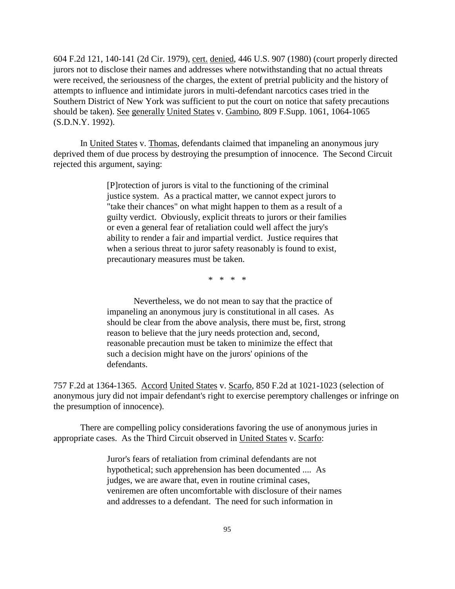604 F.2d 121, 140-141 (2d Cir. 1979), cert. denied, 446 U.S. 907 (1980) (court properly directed jurors not to disclose their names and addresses where notwithstanding that no actual threats were received, the seriousness of the charges, the extent of pretrial publicity and the history of attempts to influence and intimidate jurors in multi-defendant narcotics cases tried in the Southern District of New York was sufficient to put the court on notice that safety precautions should be taken). See generally United States v. Gambino, 809 F.Supp. 1061, 1064-1065 (S.D.N.Y. 1992).

In United States v. Thomas, defendants claimed that impaneling an anonymous jury deprived them of due process by destroying the presumption of innocence. The Second Circuit rejected this argument, saying:

> [P]rotection of jurors is vital to the functioning of the criminal justice system. As a practical matter, we cannot expect jurors to "take their chances" on what might happen to them as a result of a guilty verdict. Obviously, explicit threats to jurors or their families or even a general fear of retaliation could well affect the jury's ability to render a fair and impartial verdict. Justice requires that when a serious threat to juror safety reasonably is found to exist, precautionary measures must be taken.

> > \* \* \* \*

Nevertheless, we do not mean to say that the practice of impaneling an anonymous jury is constitutional in all cases. As should be clear from the above analysis, there must be, first, strong reason to believe that the jury needs protection and, second, reasonable precaution must be taken to minimize the effect that such a decision might have on the jurors' opinions of the defendants.

757 F.2d at 1364-1365. Accord United States v. Scarfo, 850 F.2d at 1021-1023 (selection of anonymous jury did not impair defendant's right to exercise peremptory challenges or infringe on the presumption of innocence).

There are compelling policy considerations favoring the use of anonymous juries in appropriate cases. As the Third Circuit observed in United States v. Scarfo:

> Juror's fears of retaliation from criminal defendants are not hypothetical; such apprehension has been documented .... As judges, we are aware that, even in routine criminal cases, veniremen are often uncomfortable with disclosure of their names and addresses to a defendant. The need for such information in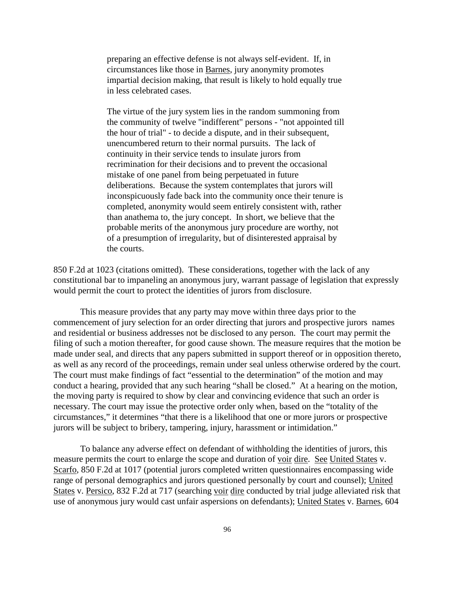preparing an effective defense is not always self-evident. If, in circumstances like those in Barnes, jury anonymity promotes impartial decision making, that result is likely to hold equally true in less celebrated cases.

The virtue of the jury system lies in the random summoning from the community of twelve "indifferent" persons - "not appointed till the hour of trial" - to decide a dispute, and in their subsequent, unencumbered return to their normal pursuits. The lack of continuity in their service tends to insulate jurors from recrimination for their decisions and to prevent the occasional mistake of one panel from being perpetuated in future deliberations. Because the system contemplates that jurors will inconspicuously fade back into the community once their tenure is completed, anonymity would seem entirely consistent with, rather than anathema to, the jury concept. In short, we believe that the probable merits of the anonymous jury procedure are worthy, not of a presumption of irregularity, but of disinterested appraisal by the courts.

850 F.2d at 1023 (citations omitted). These considerations, together with the lack of any constitutional bar to impaneling an anonymous jury, warrant passage of legislation that expressly would permit the court to protect the identities of jurors from disclosure.

This measure provides that any party may move within three days prior to the commencement of jury selection for an order directing that jurors and prospective jurors names and residential or business addresses not be disclosed to any person. The court may permit the filing of such a motion thereafter, for good cause shown. The measure requires that the motion be made under seal, and directs that any papers submitted in support thereof or in opposition thereto, as well as any record of the proceedings, remain under seal unless otherwise ordered by the court. The court must make findings of fact "essential to the determination" of the motion and may conduct a hearing, provided that any such hearing "shall be closed." At a hearing on the motion, the moving party is required to show by clear and convincing evidence that such an order is necessary. The court may issue the protective order only when, based on the "totality of the circumstances," it determines "that there is a likelihood that one or more jurors or prospective jurors will be subject to bribery, tampering, injury, harassment or intimidation."

To balance any adverse effect on defendant of withholding the identities of jurors, this measure permits the court to enlarge the scope and duration of voir dire. See United States v. Scarfo, 850 F.2d at 1017 (potential jurors completed written questionnaires encompassing wide range of personal demographics and jurors questioned personally by court and counsel); United States v. Persico, 832 F.2d at 717 (searching voir dire conducted by trial judge alleviated risk that use of anonymous jury would cast unfair aspersions on defendants); United States v. Barnes, 604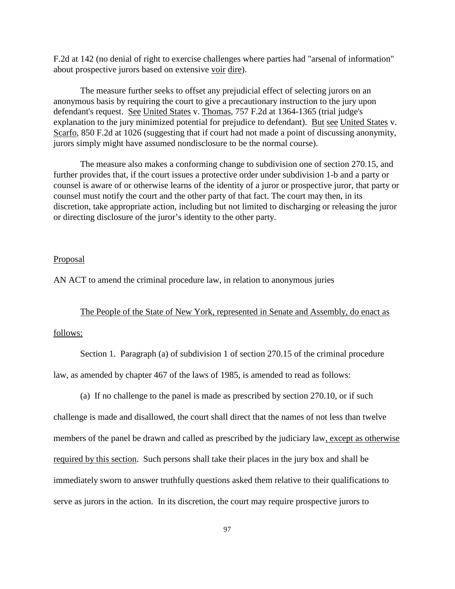F.2d at 142 (no denial of right to exercise challenges where parties had "arsenal of information" about prospective jurors based on extensive voir dire).

The measure further seeks to offset any prejudicial effect of selecting jurors on an anonymous basis by requiring the court to give a precautionary instruction to the jury upon defendant's request. See United States v. Thomas, 757 F.2d at 1364-1365 (trial judge's explanation to the jury minimized potential for prejudice to defendant). But see United States v. Scarfo, 850 F.2d at 1026 (suggesting that if court had not made a point of discussing anonymity, jurors simply might have assumed nondisclosure to be the normal course).

The measure also makes a conforming change to subdivision one of section 270.15, and further provides that, if the court issues a protective order under subdivision 1-b and a party or counsel is aware of or otherwise learns of the identity of a juror or prospective juror, that party or counsel must notify the court and the other party of that fact. The court may then, in its discretion, take appropriate action, including but not limited to discharging or releasing the juror or directing disclosure of the juror's identity to the other party.

## Proposal

AN ACT to amend the criminal procedure law, in relation to anonymous juries

The People of the State of New York, represented in Senate and Assembly, do enact as

## follows:

Section 1. Paragraph (a) of subdivision 1 of section 270.15 of the criminal procedure law, as amended by chapter 467 of the laws of 1985, is amended to read as follows:

(a) If no challenge to the panel is made as prescribed by section 270.10, or if such

challenge is made and disallowed, the court shall direct that the names of not less than twelve members of the panel be drawn and called as prescribed by the judiciary law, except as otherwise required by this section. Such persons shall take their places in the jury box and shall be immediately sworn to answer truthfully questions asked them relative to their qualifications to serve as jurors in the action. In its discretion, the court may require prospective jurors to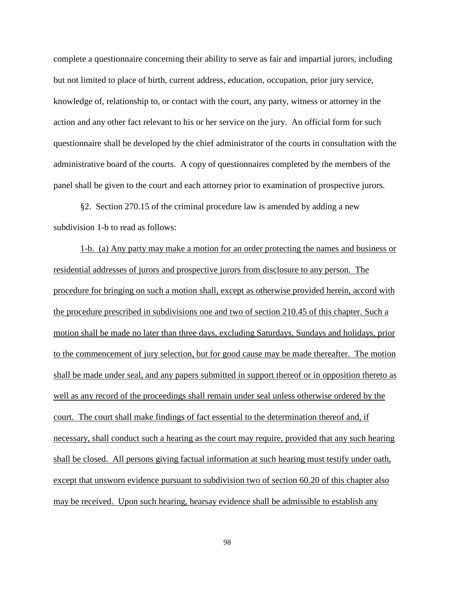complete a questionnaire concerning their ability to serve as fair and impartial jurors, including but not limited to place of birth, current address, education, occupation, prior jury service, knowledge of, relationship to, or contact with the court, any party, witness or attorney in the action and any other fact relevant to his or her service on the jury. An official form for such questionnaire shall be developed by the chief administrator of the courts in consultation with the administrative board of the courts. A copy of questionnaires completed by the members of the panel shall be given to the court and each attorney prior to examination of prospective jurors.

§2. Section 270.15 of the criminal procedure law is amended by adding a new subdivision 1-b to read as follows:

1-b. (a) Any party may make a motion for an order protecting the names and business or residential addresses of jurors and prospective jurors from disclosure to any person. The procedure for bringing on such a motion shall, except as otherwise provided herein, accord with the procedure prescribed in subdivisions one and two of section 210.45 of this chapter. Such a motion shall be made no later than three days, excluding Saturdays, Sundays and holidays, prior to the commencement of jury selection, but for good cause may be made thereafter. The motion shall be made under seal, and any papers submitted in support thereof or in opposition thereto as well as any record of the proceedings shall remain under seal unless otherwise ordered by the court. The court shall make findings of fact essential to the determination thereof and, if necessary, shall conduct such a hearing as the court may require, provided that any such hearing shall be closed. All persons giving factual information at such hearing must testify under oath, except that unsworn evidence pursuant to subdivision two of section 60.20 of this chapter also may be received. Upon such hearing, hearsay evidence shall be admissible to establish any

98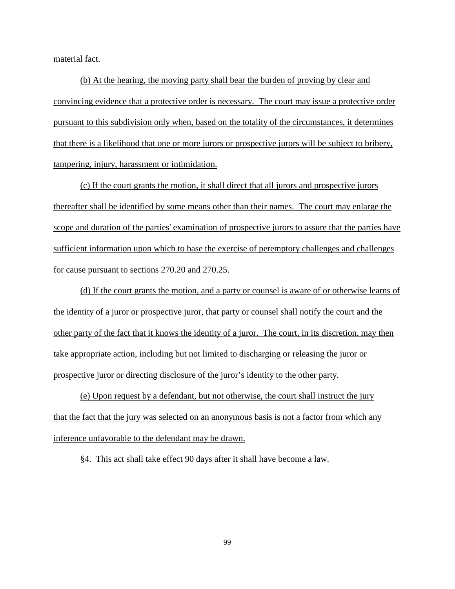material fact.

(b) At the hearing, the moving party shall bear the burden of proving by clear and convincing evidence that a protective order is necessary. The court may issue a protective order pursuant to this subdivision only when, based on the totality of the circumstances, it determines that there is a likelihood that one or more jurors or prospective jurors will be subject to bribery, tampering, injury, harassment or intimidation.

(c) If the court grants the motion, it shall direct that all jurors and prospective jurors thereafter shall be identified by some means other than their names. The court may enlarge the scope and duration of the parties' examination of prospective jurors to assure that the parties have sufficient information upon which to base the exercise of peremptory challenges and challenges for cause pursuant to sections 270.20 and 270.25.

(d) If the court grants the motion, and a party or counsel is aware of or otherwise learns of the identity of a juror or prospective juror, that party or counsel shall notify the court and the other party of the fact that it knows the identity of a juror. The court, in its discretion, may then take appropriate action, including but not limited to discharging or releasing the juror or prospective juror or directing disclosure of the juror's identity to the other party.

(e) Upon request by a defendant, but not otherwise, the court shall instruct the jury that the fact that the jury was selected on an anonymous basis is not a factor from which any inference unfavorable to the defendant may be drawn.

§4. This act shall take effect 90 days after it shall have become a law.

99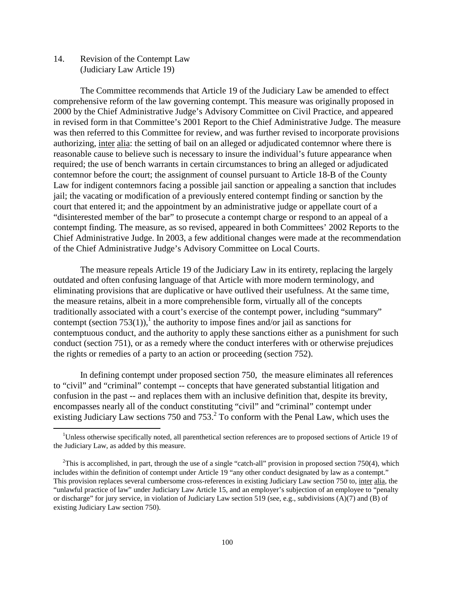14. Revision of the Contempt Law (Judiciary Law Article 19)

 $\overline{a}$ 

The Committee recommends that Article 19 of the Judiciary Law be amended to effect comprehensive reform of the law governing contempt. This measure was originally proposed in 2000 by the Chief Administrative Judge's Advisory Committee on Civil Practice, and appeared in revised form in that Committee's 2001 Report to the Chief Administrative Judge. The measure was then referred to this Committee for review, and was further revised to incorporate provisions authorizing, inter alia: the setting of bail on an alleged or adjudicated contemnor where there is reasonable cause to believe such is necessary to insure the individual's future appearance when required; the use of bench warrants in certain circumstances to bring an alleged or adjudicated contemnor before the court; the assignment of counsel pursuant to Article 18-B of the County Law for indigent contemnors facing a possible jail sanction or appealing a sanction that includes jail; the vacating or modification of a previously entered contempt finding or sanction by the court that entered it; and the appointment by an administrative judge or appellate court of a "disinterested member of the bar" to prosecute a contempt charge or respond to an appeal of a contempt finding. The measure, as so revised, appeared in both Committees' 2002 Reports to the Chief Administrative Judge. In 2003, a few additional changes were made at the recommendation of the Chief Administrative Judge's Advisory Committee on Local Courts.

The measure repeals Article 19 of the Judiciary Law in its entirety, replacing the largely outdated and often confusing language of that Article with more modern terminology, and eliminating provisions that are duplicative or have outlived their usefulness. At the same time, the measure retains, albeit in a more comprehensible form, virtually all of the concepts traditionally associated with a court's exercise of the contempt power, including "summary" contempt (section 753(1)),<sup>1</sup> the authority to impose fines and/or jail as sanctions for contemptuous conduct, and the authority to apply these sanctions either as a punishment for such conduct (section 751), or as a remedy where the conduct interferes with or otherwise prejudices the rights or remedies of a party to an action or proceeding (section 752).

In defining contempt under proposed section 750, the measure eliminates all references to "civil" and "criminal" contempt -- concepts that have generated substantial litigation and confusion in the past -- and replaces them with an inclusive definition that, despite its brevity, encompasses nearly all of the conduct constituting "civil" and "criminal" contempt under existing Judiciary Law sections 750 and 753. $2$  To conform with the Penal Law, which uses the

<sup>&</sup>lt;sup>1</sup>Unless otherwise specifically noted, all parenthetical section references are to proposed sections of Article 19 of the Judiciary Law, as added by this measure.

<sup>&</sup>lt;sup>2</sup>This is accomplished, in part, through the use of a single "catch-all" provision in proposed section 750(4), which includes within the definition of contempt under Article 19 "any other conduct designated by law as a contempt." This provision replaces several cumbersome cross-references in existing Judiciary Law section 750 to, inter alia, the "unlawful practice of law" under Judiciary Law Article 15, and an employer's subjection of an employee to "penalty or discharge" for jury service, in violation of Judiciary Law section 519 (see, e.g., subdivisions (A)(7) and (B) of existing Judiciary Law section 750).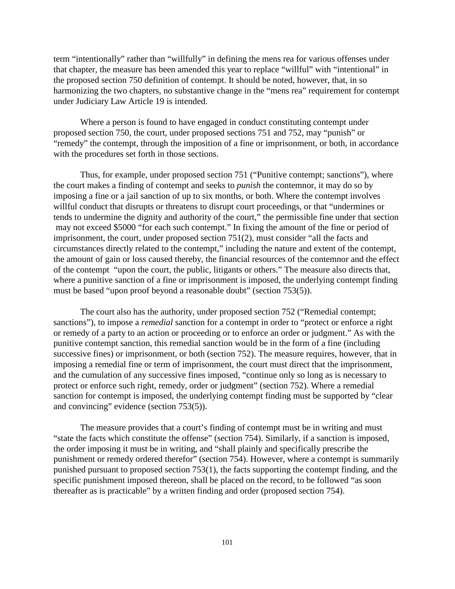term "intentionally" rather than "willfully" in defining the mens rea for various offenses under that chapter, the measure has been amended this year to replace "willful" with "intentional" in the proposed section 750 definition of contempt. It should be noted, however, that, in so harmonizing the two chapters, no substantive change in the "mens rea" requirement for contempt under Judiciary Law Article 19 is intended.

Where a person is found to have engaged in conduct constituting contempt under proposed section 750, the court, under proposed sections 751 and 752, may "punish" or "remedy" the contempt, through the imposition of a fine or imprisonment, or both, in accordance with the procedures set forth in those sections.

Thus, for example, under proposed section 751 ("Punitive contempt; sanctions"), where the court makes a finding of contempt and seeks to *punish* the contemnor, it may do so by imposing a fine or a jail sanction of up to six months, or both. Where the contempt involves willful conduct that disrupts or threatens to disrupt court proceedings, or that "undermines or tends to undermine the dignity and authority of the court," the permissible fine under that section may not exceed \$5000 "for each such contempt." In fixing the amount of the fine or period of imprisonment, the court, under proposed section 751(2), must consider "all the facts and circumstances directly related to the contempt," including the nature and extent of the contempt, the amount of gain or loss caused thereby, the financial resources of the contemnor and the effect of the contempt "upon the court, the public, litigants or others." The measure also directs that, where a punitive sanction of a fine or imprisonment is imposed, the underlying contempt finding must be based "upon proof beyond a reasonable doubt" (section 753(5)).

The court also has the authority, under proposed section 752 ("Remedial contempt; sanctions"), to impose a *remedial* sanction for a contempt in order to "protect or enforce a right or remedy of a party to an action or proceeding or to enforce an order or judgment." As with the punitive contempt sanction, this remedial sanction would be in the form of a fine (including successive fines) or imprisonment, or both (section 752). The measure requires, however, that in imposing a remedial fine or term of imprisonment, the court must direct that the imprisonment, and the cumulation of any successive fines imposed, "continue only so long as is necessary to protect or enforce such right, remedy, order or judgment" (section 752). Where a remedial sanction for contempt is imposed, the underlying contempt finding must be supported by "clear and convincing" evidence (section 753(5)).

The measure provides that a court's finding of contempt must be in writing and must "state the facts which constitute the offense" (section 754). Similarly, if a sanction is imposed, the order imposing it must be in writing, and "shall plainly and specifically prescribe the punishment or remedy ordered therefor" (section 754). However, where a contempt is summarily punished pursuant to proposed section 753(1), the facts supporting the contempt finding, and the specific punishment imposed thereon, shall be placed on the record, to be followed "as soon thereafter as is practicable" by a written finding and order (proposed section 754).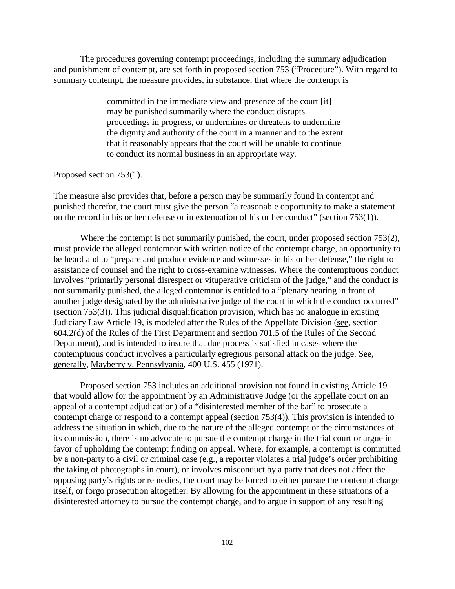The procedures governing contempt proceedings, including the summary adjudication and punishment of contempt, are set forth in proposed section 753 ("Procedure"). With regard to summary contempt, the measure provides, in substance, that where the contempt is

> committed in the immediate view and presence of the court [it] may be punished summarily where the conduct disrupts proceedings in progress, or undermines or threatens to undermine the dignity and authority of the court in a manner and to the extent that it reasonably appears that the court will be unable to continue to conduct its normal business in an appropriate way.

### Proposed section 753(1).

The measure also provides that, before a person may be summarily found in contempt and punished therefor, the court must give the person "a reasonable opportunity to make a statement on the record in his or her defense or in extenuation of his or her conduct" (section 753(1)).

Where the contempt is not summarily punished, the court, under proposed section 753(2), must provide the alleged contemnor with written notice of the contempt charge, an opportunity to be heard and to "prepare and produce evidence and witnesses in his or her defense," the right to assistance of counsel and the right to cross-examine witnesses. Where the contemptuous conduct involves "primarily personal disrespect or vituperative criticism of the judge," and the conduct is not summarily punished, the alleged contemnor is entitled to a "plenary hearing in front of another judge designated by the administrative judge of the court in which the conduct occurred" (section 753(3)). This judicial disqualification provision, which has no analogue in existing Judiciary Law Article 19, is modeled after the Rules of the Appellate Division (see, section 604.2(d) of the Rules of the First Department and section 701.5 of the Rules of the Second Department), and is intended to insure that due process is satisfied in cases where the contemptuous conduct involves a particularly egregious personal attack on the judge. See, generally, Mayberry v. Pennsylvania, 400 U.S. 455 (1971).

Proposed section 753 includes an additional provision not found in existing Article 19 that would allow for the appointment by an Administrative Judge (or the appellate court on an appeal of a contempt adjudication) of a "disinterested member of the bar" to prosecute a contempt charge or respond to a contempt appeal (section 753(4)). This provision is intended to address the situation in which, due to the nature of the alleged contempt or the circumstances of its commission, there is no advocate to pursue the contempt charge in the trial court or argue in favor of upholding the contempt finding on appeal. Where, for example, a contempt is committed by a non-party to a civil or criminal case (e.g., a reporter violates a trial judge's order prohibiting the taking of photographs in court), or involves misconduct by a party that does not affect the opposing party's rights or remedies, the court may be forced to either pursue the contempt charge itself, or forgo prosecution altogether. By allowing for the appointment in these situations of a disinterested attorney to pursue the contempt charge, and to argue in support of any resulting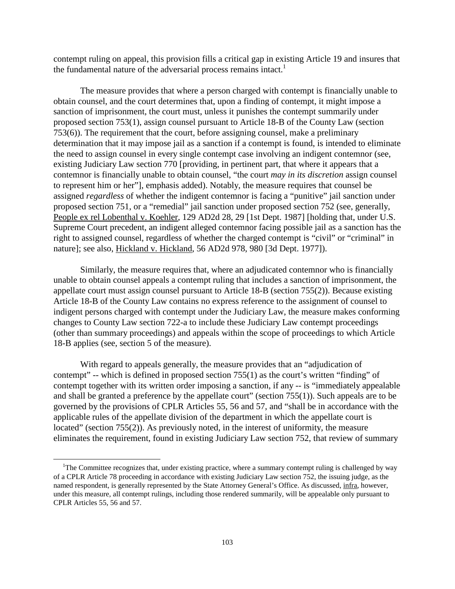contempt ruling on appeal, this provision fills a critical gap in existing Article 19 and insures that the fundamental nature of the adversarial process remains intact.<sup>1</sup>

The measure provides that where a person charged with contempt is financially unable to obtain counsel, and the court determines that, upon a finding of contempt, it might impose a sanction of imprisonment, the court must, unless it punishes the contempt summarily under proposed section 753(1), assign counsel pursuant to Article 18-B of the County Law (section 753(6)). The requirement that the court, before assigning counsel, make a preliminary determination that it may impose jail as a sanction if a contempt is found, is intended to eliminate the need to assign counsel in every single contempt case involving an indigent contemnor (see, existing Judiciary Law section 770 [providing, in pertinent part, that where it appears that a contemnor is financially unable to obtain counsel, "the court *may in its discretion* assign counsel to represent him or her"], emphasis added). Notably, the measure requires that counsel be assigned *regardless* of whether the indigent contemnor is facing a "punitive" jail sanction under proposed section 751, or a "remedial" jail sanction under proposed section 752 (see, generally, People ex rel Lobenthal v. Koehler, 129 AD2d 28, 29 [1st Dept. 1987] [holding that, under U.S. Supreme Court precedent, an indigent alleged contemnor facing possible jail as a sanction has the right to assigned counsel, regardless of whether the charged contempt is "civil" or "criminal" in nature]; see also, Hickland v. Hickland, 56 AD2d 978, 980 [3d Dept. 1977]).

Similarly, the measure requires that, where an adjudicated contemnor who is financially unable to obtain counsel appeals a contempt ruling that includes a sanction of imprisonment, the appellate court must assign counsel pursuant to Article 18-B (section 755(2)). Because existing Article 18-B of the County Law contains no express reference to the assignment of counsel to indigent persons charged with contempt under the Judiciary Law, the measure makes conforming changes to County Law section 722-a to include these Judiciary Law contempt proceedings (other than summary proceedings) and appeals within the scope of proceedings to which Article 18-B applies (see, section 5 of the measure).

With regard to appeals generally, the measure provides that an "adjudication of contempt" -- which is defined in proposed section 755(1) as the court's written "finding" of contempt together with its written order imposing a sanction, if any -- is "immediately appealable and shall be granted a preference by the appellate court" (section 755(1)). Such appeals are to be governed by the provisions of CPLR Articles 55, 56 and 57, and "shall be in accordance with the applicable rules of the appellate division of the department in which the appellate court is located" (section 755(2)). As previously noted, in the interest of uniformity, the measure eliminates the requirement, found in existing Judiciary Law section 752, that review of summary

 $\overline{a}$ 

<sup>&</sup>lt;sup>1</sup>The Committee recognizes that, under existing practice, where a summary contempt ruling is challenged by way of a CPLR Article 78 proceeding in accordance with existing Judiciary Law section 752, the issuing judge, as the named respondent, is generally represented by the State Attorney General's Office. As discussed, infra, however, under this measure, all contempt rulings, including those rendered summarily, will be appealable only pursuant to CPLR Articles 55, 56 and 57.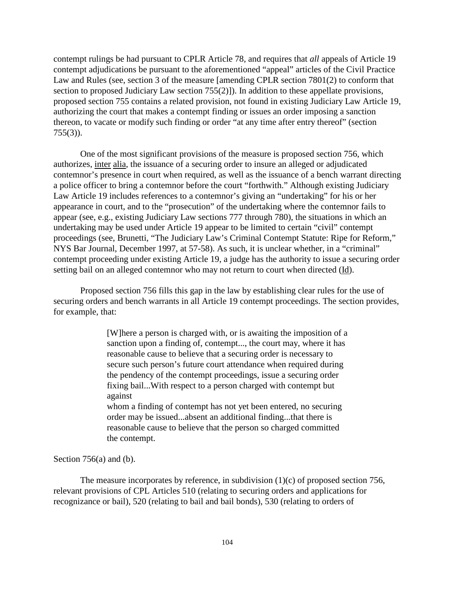contempt rulings be had pursuant to CPLR Article 78, and requires that *all* appeals of Article 19 contempt adjudications be pursuant to the aforementioned "appeal" articles of the Civil Practice Law and Rules (see, section 3 of the measure [amending CPLR section 7801(2) to conform that section to proposed Judiciary Law section 755(2)]). In addition to these appellate provisions, proposed section 755 contains a related provision, not found in existing Judiciary Law Article 19, authorizing the court that makes a contempt finding or issues an order imposing a sanction thereon, to vacate or modify such finding or order "at any time after entry thereof" (section 755(3)).

One of the most significant provisions of the measure is proposed section 756, which authorizes, inter alia, the issuance of a securing order to insure an alleged or adjudicated contemnor's presence in court when required, as well as the issuance of a bench warrant directing a police officer to bring a contemnor before the court "forthwith." Although existing Judiciary Law Article 19 includes references to a contemnor's giving an "undertaking" for his or her appearance in court, and to the "prosecution" of the undertaking where the contemnor fails to appear (see, e.g., existing Judiciary Law sections 777 through 780), the situations in which an undertaking may be used under Article 19 appear to be limited to certain "civil" contempt proceedings (see, Brunetti, "The Judiciary Law's Criminal Contempt Statute: Ripe for Reform," NYS Bar Journal, December 1997, at 57-58). As such, it is unclear whether, in a "criminal" contempt proceeding under existing Article 19, a judge has the authority to issue a securing order setting bail on an alleged contemnor who may not return to court when directed (Id).

Proposed section 756 fills this gap in the law by establishing clear rules for the use of securing orders and bench warrants in all Article 19 contempt proceedings. The section provides, for example, that:

> [W]here a person is charged with, or is awaiting the imposition of a sanction upon a finding of, contempt..., the court may, where it has reasonable cause to believe that a securing order is necessary to secure such person's future court attendance when required during the pendency of the contempt proceedings, issue a securing order fixing bail...With respect to a person charged with contempt but against

whom a finding of contempt has not yet been entered, no securing order may be issued...absent an additional finding...that there is reasonable cause to believe that the person so charged committed the contempt.

#### Section 756(a) and (b).

The measure incorporates by reference, in subdivision  $(1)(c)$  of proposed section 756, relevant provisions of CPL Articles 510 (relating to securing orders and applications for recognizance or bail), 520 (relating to bail and bail bonds), 530 (relating to orders of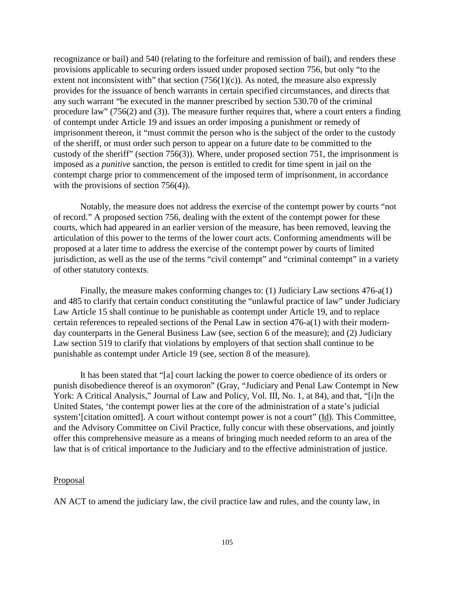recognizance or bail) and 540 (relating to the forfeiture and remission of bail), and renders these provisions applicable to securing orders issued under proposed section 756, but only "to the extent not inconsistent with" that section  $(756(1)(c))$ . As noted, the measure also expressly provides for the issuance of bench warrants in certain specified circumstances, and directs that any such warrant "be executed in the manner prescribed by section 530.70 of the criminal procedure law" (756(2) and (3)). The measure further requires that, where a court enters a finding of contempt under Article 19 and issues an order imposing a punishment or remedy of imprisonment thereon, it "must commit the person who is the subject of the order to the custody of the sheriff, or must order such person to appear on a future date to be committed to the custody of the sheriff" (section 756(3)). Where, under proposed section 751, the imprisonment is imposed as a *punitive* sanction, the person is entitled to credit for time spent in jail on the contempt charge prior to commencement of the imposed term of imprisonment, in accordance with the provisions of section 756(4)).

Notably, the measure does not address the exercise of the contempt power by courts "not of record." A proposed section 756, dealing with the extent of the contempt power for these courts, which had appeared in an earlier version of the measure, has been removed, leaving the articulation of this power to the terms of the lower court acts. Conforming amendments will be proposed at a later time to address the exercise of the contempt power by courts of limited jurisdiction, as well as the use of the terms "civil contempt" and "criminal contempt" in a variety of other statutory contexts.

Finally, the measure makes conforming changes to: (1) Judiciary Law sections 476-a(1) and 485 to clarify that certain conduct constituting the "unlawful practice of law" under Judiciary Law Article 15 shall continue to be punishable as contempt under Article 19, and to replace certain references to repealed sections of the Penal Law in section 476-a(1) with their modernday counterparts in the General Business Law (see, section 6 of the measure); and (2) Judiciary Law section 519 to clarify that violations by employers of that section shall continue to be punishable as contempt under Article 19 (see, section 8 of the measure).

It has been stated that "[a] court lacking the power to coerce obedience of its orders or punish disobedience thereof is an oxymoron" (Gray, "Judiciary and Penal Law Contempt in New York: A Critical Analysis," Journal of Law and Policy, Vol. III, No. 1, at 84), and that, "[i]n the United States, 'the contempt power lies at the core of the administration of a state's judicial system'[citation omitted]. A court without contempt power is not a court" (Id). This Committee, and the Advisory Committee on Civil Practice, fully concur with these observations, and jointly offer this comprehensive measure as a means of bringing much needed reform to an area of the law that is of critical importance to the Judiciary and to the effective administration of justice.

#### Proposal

AN ACT to amend the judiciary law, the civil practice law and rules, and the county law, in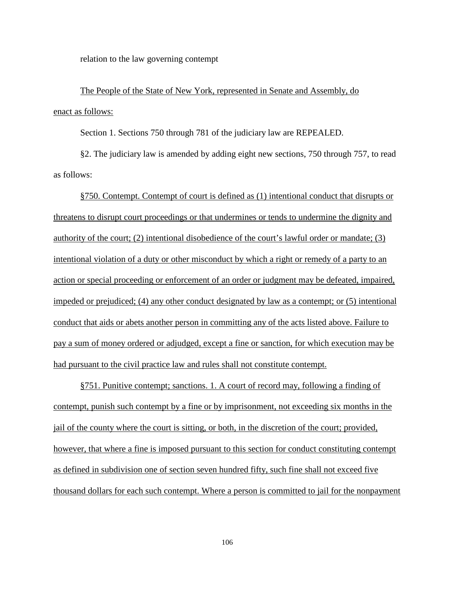relation to the law governing contempt

The People of the State of New York, represented in Senate and Assembly, do enact as follows:

Section 1. Sections 750 through 781 of the judiciary law are REPEALED.

§2. The judiciary law is amended by adding eight new sections, 750 through 757, to read as follows:

§750. Contempt. Contempt of court is defined as (1) intentional conduct that disrupts or threatens to disrupt court proceedings or that undermines or tends to undermine the dignity and authority of the court; (2) intentional disobedience of the court's lawful order or mandate; (3) intentional violation of a duty or other misconduct by which a right or remedy of a party to an action or special proceeding or enforcement of an order or judgment may be defeated, impaired, impeded or prejudiced; (4) any other conduct designated by law as a contempt; or (5) intentional conduct that aids or abets another person in committing any of the acts listed above. Failure to pay a sum of money ordered or adjudged, except a fine or sanction, for which execution may be had pursuant to the civil practice law and rules shall not constitute contempt.

§751. Punitive contempt; sanctions. 1. A court of record may, following a finding of contempt, punish such contempt by a fine or by imprisonment, not exceeding six months in the jail of the county where the court is sitting, or both, in the discretion of the court; provided, however, that where a fine is imposed pursuant to this section for conduct constituting contempt as defined in subdivision one of section seven hundred fifty, such fine shall not exceed five thousand dollars for each such contempt. Where a person is committed to jail for the nonpayment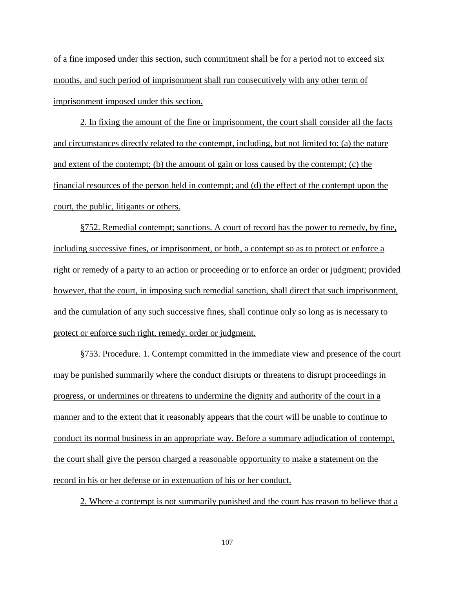of a fine imposed under this section, such commitment shall be for a period not to exceed six months, and such period of imprisonment shall run consecutively with any other term of imprisonment imposed under this section.

2. In fixing the amount of the fine or imprisonment, the court shall consider all the facts and circumstances directly related to the contempt, including, but not limited to: (a) the nature and extent of the contempt; (b) the amount of gain or loss caused by the contempt; (c) the financial resources of the person held in contempt; and (d) the effect of the contempt upon the court, the public, litigants or others.

§752. Remedial contempt; sanctions. A court of record has the power to remedy, by fine, including successive fines, or imprisonment, or both, a contempt so as to protect or enforce a right or remedy of a party to an action or proceeding or to enforce an order or judgment; provided however, that the court, in imposing such remedial sanction, shall direct that such imprisonment, and the cumulation of any such successive fines, shall continue only so long as is necessary to protect or enforce such right, remedy, order or judgment.

§753. Procedure. 1. Contempt committed in the immediate view and presence of the court may be punished summarily where the conduct disrupts or threatens to disrupt proceedings in progress, or undermines or threatens to undermine the dignity and authority of the court in a manner and to the extent that it reasonably appears that the court will be unable to continue to conduct its normal business in an appropriate way. Before a summary adjudication of contempt, the court shall give the person charged a reasonable opportunity to make a statement on the record in his or her defense or in extenuation of his or her conduct.

2. Where a contempt is not summarily punished and the court has reason to believe that a

107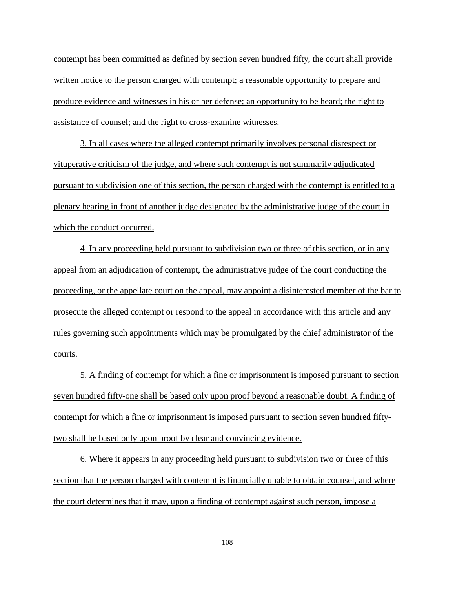contempt has been committed as defined by section seven hundred fifty, the court shall provide written notice to the person charged with contempt; a reasonable opportunity to prepare and produce evidence and witnesses in his or her defense; an opportunity to be heard; the right to assistance of counsel; and the right to cross-examine witnesses.

3. In all cases where the alleged contempt primarily involves personal disrespect or vituperative criticism of the judge, and where such contempt is not summarily adjudicated pursuant to subdivision one of this section, the person charged with the contempt is entitled to a plenary hearing in front of another judge designated by the administrative judge of the court in which the conduct occurred.

4. In any proceeding held pursuant to subdivision two or three of this section, or in any appeal from an adjudication of contempt, the administrative judge of the court conducting the proceeding, or the appellate court on the appeal, may appoint a disinterested member of the bar to prosecute the alleged contempt or respond to the appeal in accordance with this article and any rules governing such appointments which may be promulgated by the chief administrator of the courts.

5. A finding of contempt for which a fine or imprisonment is imposed pursuant to section seven hundred fifty-one shall be based only upon proof beyond a reasonable doubt. A finding of contempt for which a fine or imprisonment is imposed pursuant to section seven hundred fiftytwo shall be based only upon proof by clear and convincing evidence.

6. Where it appears in any proceeding held pursuant to subdivision two or three of this section that the person charged with contempt is financially unable to obtain counsel, and where the court determines that it may, upon a finding of contempt against such person, impose a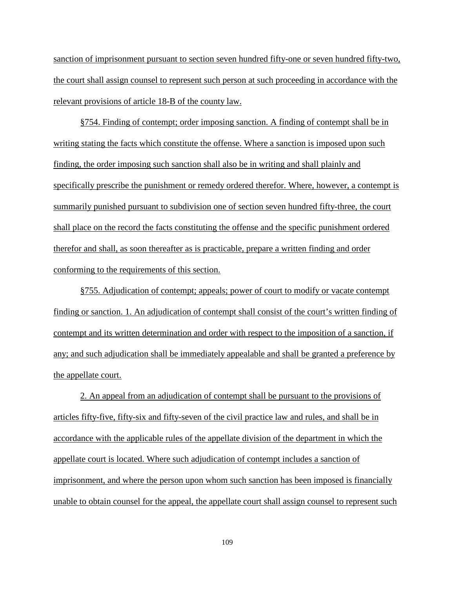sanction of imprisonment pursuant to section seven hundred fifty-one or seven hundred fifty-two, the court shall assign counsel to represent such person at such proceeding in accordance with the relevant provisions of article 18-B of the county law.

§754. Finding of contempt; order imposing sanction. A finding of contempt shall be in writing stating the facts which constitute the offense. Where a sanction is imposed upon such finding, the order imposing such sanction shall also be in writing and shall plainly and specifically prescribe the punishment or remedy ordered therefor. Where, however, a contempt is summarily punished pursuant to subdivision one of section seven hundred fifty-three, the court shall place on the record the facts constituting the offense and the specific punishment ordered therefor and shall, as soon thereafter as is practicable, prepare a written finding and order conforming to the requirements of this section.

§755. Adjudication of contempt; appeals; power of court to modify or vacate contempt finding or sanction. 1. An adjudication of contempt shall consist of the court's written finding of contempt and its written determination and order with respect to the imposition of a sanction, if any; and such adjudication shall be immediately appealable and shall be granted a preference by the appellate court.

2. An appeal from an adjudication of contempt shall be pursuant to the provisions of articles fifty-five, fifty-six and fifty-seven of the civil practice law and rules, and shall be in accordance with the applicable rules of the appellate division of the department in which the appellate court is located. Where such adjudication of contempt includes a sanction of imprisonment, and where the person upon whom such sanction has been imposed is financially unable to obtain counsel for the appeal, the appellate court shall assign counsel to represent such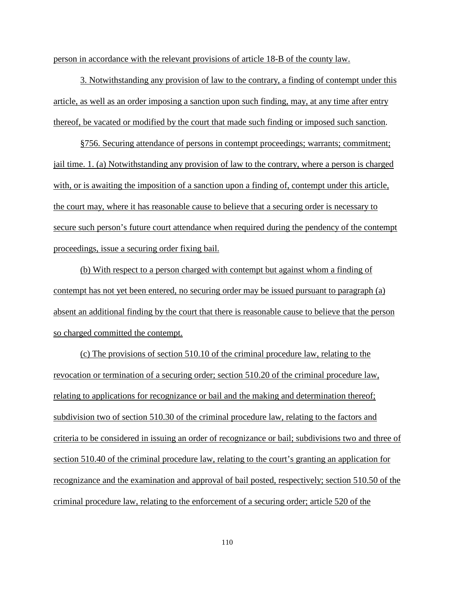person in accordance with the relevant provisions of article 18-B of the county law.

3. Notwithstanding any provision of law to the contrary, a finding of contempt under this article, as well as an order imposing a sanction upon such finding, may, at any time after entry thereof, be vacated or modified by the court that made such finding or imposed such sanction.

§756. Securing attendance of persons in contempt proceedings; warrants; commitment; jail time. 1. (a) Notwithstanding any provision of law to the contrary, where a person is charged with, or is awaiting the imposition of a sanction upon a finding of, contempt under this article, the court may, where it has reasonable cause to believe that a securing order is necessary to secure such person's future court attendance when required during the pendency of the contempt proceedings, issue a securing order fixing bail.

(b) With respect to a person charged with contempt but against whom a finding of contempt has not yet been entered, no securing order may be issued pursuant to paragraph (a) absent an additional finding by the court that there is reasonable cause to believe that the person so charged committed the contempt.

(c) The provisions of section 510.10 of the criminal procedure law, relating to the revocation or termination of a securing order; section 510.20 of the criminal procedure law, relating to applications for recognizance or bail and the making and determination thereof; subdivision two of section 510.30 of the criminal procedure law, relating to the factors and criteria to be considered in issuing an order of recognizance or bail; subdivisions two and three of section 510.40 of the criminal procedure law, relating to the court's granting an application for recognizance and the examination and approval of bail posted, respectively; section 510.50 of the criminal procedure law, relating to the enforcement of a securing order; article 520 of the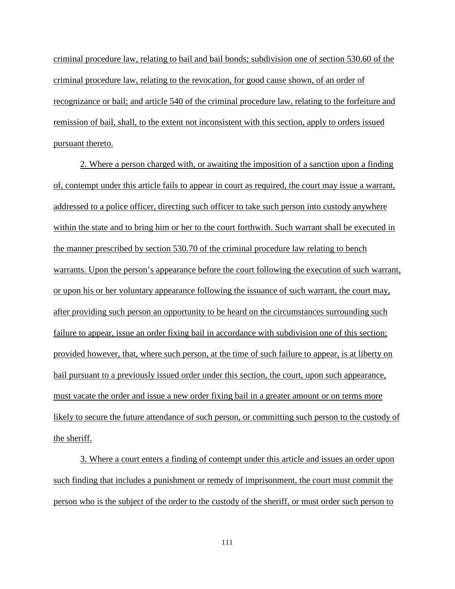criminal procedure law, relating to bail and bail bonds; subdivision one of section 530.60 of the criminal procedure law, relating to the revocation, for good cause shown, of an order of recognizance or bail; and article 540 of the criminal procedure law, relating to the forfeiture and remission of bail, shall, to the extent not inconsistent with this section, apply to orders issued pursuant thereto.

2. Where a person charged with, or awaiting the imposition of a sanction upon a finding of, contempt under this article fails to appear in court as required, the court may issue a warrant, addressed to a police officer, directing such officer to take such person into custody anywhere within the state and to bring him or her to the court forthwith. Such warrant shall be executed in the manner prescribed by section 530.70 of the criminal procedure law relating to bench warrants. Upon the person's appearance before the court following the execution of such warrant, or upon his or her voluntary appearance following the issuance of such warrant, the court may, after providing such person an opportunity to be heard on the circumstances surrounding such failure to appear, issue an order fixing bail in accordance with subdivision one of this section; provided however, that, where such person, at the time of such failure to appear, is at liberty on bail pursuant to a previously issued order under this section, the court, upon such appearance, must vacate the order and issue a new order fixing bail in a greater amount or on terms more likely to secure the future attendance of such person, or committing such person to the custody of the sheriff.

3. Where a court enters a finding of contempt under this article and issues an order upon such finding that includes a punishment or remedy of imprisonment, the court must commit the person who is the subject of the order to the custody of the sheriff, or must order such person to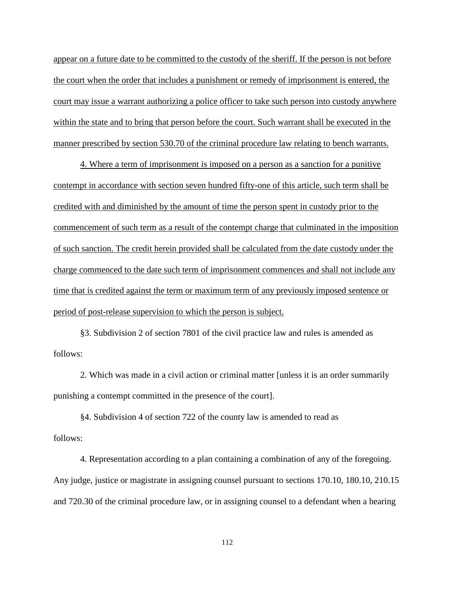appear on a future date to be committed to the custody of the sheriff. If the person is not before the court when the order that includes a punishment or remedy of imprisonment is entered, the court may issue a warrant authorizing a police officer to take such person into custody anywhere within the state and to bring that person before the court. Such warrant shall be executed in the manner prescribed by section 530.70 of the criminal procedure law relating to bench warrants.

4. Where a term of imprisonment is imposed on a person as a sanction for a punitive contempt in accordance with section seven hundred fifty-one of this article, such term shall be credited with and diminished by the amount of time the person spent in custody prior to the commencement of such term as a result of the contempt charge that culminated in the imposition of such sanction. The credit herein provided shall be calculated from the date custody under the charge commenced to the date such term of imprisonment commences and shall not include any time that is credited against the term or maximum term of any previously imposed sentence or period of post-release supervision to which the person is subject.

§3. Subdivision 2 of section 7801 of the civil practice law and rules is amended as follows:

2. Which was made in a civil action or criminal matter [unless it is an order summarily punishing a contempt committed in the presence of the court].

§4. Subdivision 4 of section 722 of the county law is amended to read as follows:

4. Representation according to a plan containing a combination of any of the foregoing. Any judge, justice or magistrate in assigning counsel pursuant to sections 170.10, 180.10, 210.15 and 720.30 of the criminal procedure law, or in assigning counsel to a defendant when a hearing

112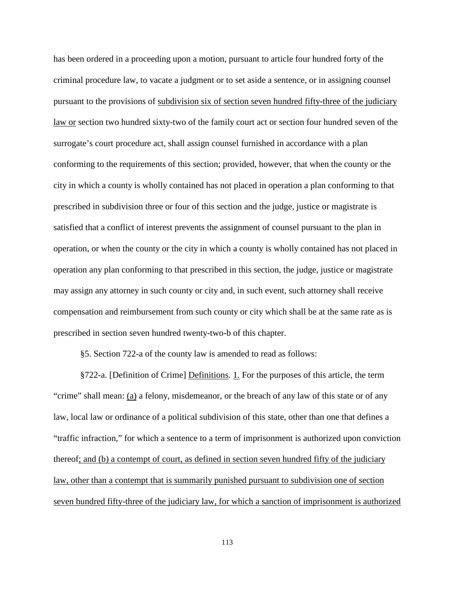has been ordered in a proceeding upon a motion, pursuant to article four hundred forty of the criminal procedure law, to vacate a judgment or to set aside a sentence, or in assigning counsel pursuant to the provisions of subdivision six of section seven hundred fifty-three of the judiciary law or section two hundred sixty-two of the family court act or section four hundred seven of the surrogate's court procedure act, shall assign counsel furnished in accordance with a plan conforming to the requirements of this section; provided, however, that when the county or the city in which a county is wholly contained has not placed in operation a plan conforming to that prescribed in subdivision three or four of this section and the judge, justice or magistrate is satisfied that a conflict of interest prevents the assignment of counsel pursuant to the plan in operation, or when the county or the city in which a county is wholly contained has not placed in operation any plan conforming to that prescribed in this section, the judge, justice or magistrate may assign any attorney in such county or city and, in such event, such attorney shall receive compensation and reimbursement from such county or city which shall be at the same rate as is prescribed in section seven hundred twenty-two-b of this chapter.

§5. Section 722-a of the county law is amended to read as follows:

§722-a. [Definition of Crime] Definitions. 1. For the purposes of this article, the term "crime" shall mean: (a) a felony, misdemeanor, or the breach of any law of this state or of any law, local law or ordinance of a political subdivision of this state, other than one that defines a "traffic infraction," for which a sentence to a term of imprisonment is authorized upon conviction thereof; and (b) a contempt of court, as defined in section seven hundred fifty of the judiciary law, other than a contempt that is summarily punished pursuant to subdivision one of section seven hundred fifty-three of the judiciary law, for which a sanction of imprisonment is authorized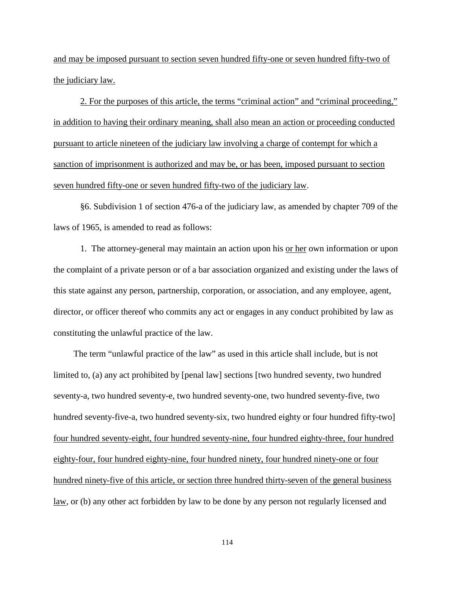and may be imposed pursuant to section seven hundred fifty-one or seven hundred fifty-two of the judiciary law.

2. For the purposes of this article, the terms "criminal action" and "criminal proceeding," in addition to having their ordinary meaning, shall also mean an action or proceeding conducted pursuant to article nineteen of the judiciary law involving a charge of contempt for which a sanction of imprisonment is authorized and may be, or has been, imposed pursuant to section seven hundred fifty-one or seven hundred fifty-two of the judiciary law.

§6. Subdivision 1 of section 476-a of the judiciary law, as amended by chapter 709 of the laws of 1965, is amended to read as follows:

1. The attorney-general may maintain an action upon his or her own information or upon the complaint of a private person or of a bar association organized and existing under the laws of this state against any person, partnership, corporation, or association, and any employee, agent, director, or officer thereof who commits any act or engages in any conduct prohibited by law as constituting the unlawful practice of the law.

 The term "unlawful practice of the law" as used in this article shall include, but is not limited to, (a) any act prohibited by [penal law] sections [two hundred seventy, two hundred seventy-a, two hundred seventy-e, two hundred seventy-one, two hundred seventy-five, two hundred seventy-five-a, two hundred seventy-six, two hundred eighty or four hundred fifty-two] four hundred seventy-eight, four hundred seventy-nine, four hundred eighty-three, four hundred eighty-four, four hundred eighty-nine, four hundred ninety, four hundred ninety-one or four hundred ninety-five of this article, or section three hundred thirty-seven of the general business law, or (b) any other act forbidden by law to be done by any person not regularly licensed and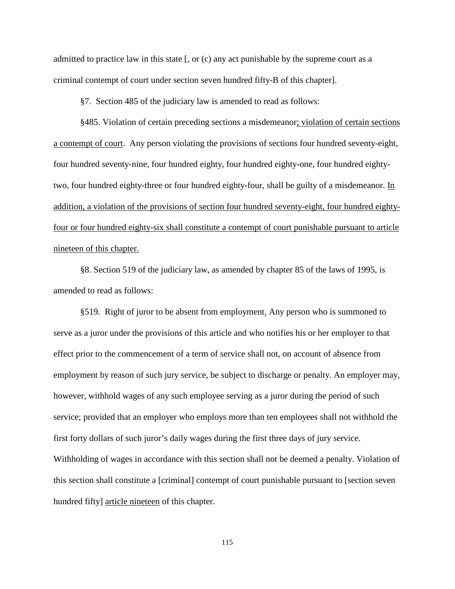admitted to practice law in this state [, or (c) any act punishable by the supreme court as a criminal contempt of court under section seven hundred fifty-B of this chapter].

§7. Section 485 of the judiciary law is amended to read as follows:

§485. Violation of certain preceding sections a misdemeanor; violation of certain sections a contempt of court. Any person violating the provisions of sections four hundred seventy-eight, four hundred seventy-nine, four hundred eighty, four hundred eighty-one, four hundred eightytwo, four hundred eighty-three or four hundred eighty-four, shall be guilty of a misdemeanor. In addition, a violation of the provisions of section four hundred seventy-eight, four hundred eightyfour or four hundred eighty-six shall constitute a contempt of court punishable pursuant to article nineteen of this chapter.

§8. Section 519 of the judiciary law, as amended by chapter 85 of the laws of 1995, is amended to read as follows:

§519. Right of juror to be absent from employment. Any person who is summoned to serve as a juror under the provisions of this article and who notifies his or her employer to that effect prior to the commencement of a term of service shall not, on account of absence from employment by reason of such jury service, be subject to discharge or penalty. An employer may, however, withhold wages of any such employee serving as a juror during the period of such service; provided that an employer who employs more than ten employees shall not withhold the first forty dollars of such juror's daily wages during the first three days of jury service. Withholding of wages in accordance with this section shall not be deemed a penalty. Violation of this section shall constitute a [criminal] contempt of court punishable pursuant to [section seven hundred fifty] article nineteen of this chapter.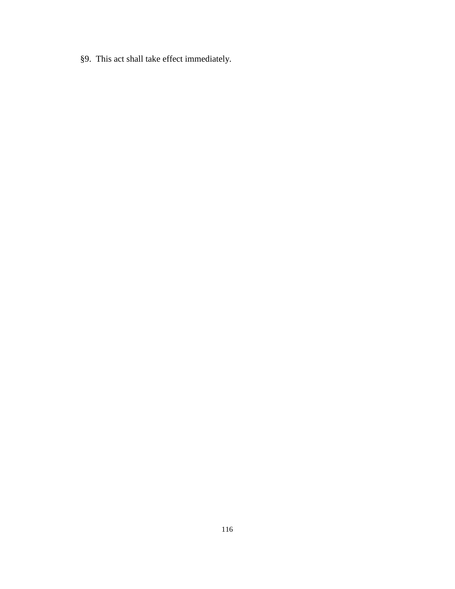§9. This act shall take effect immediately.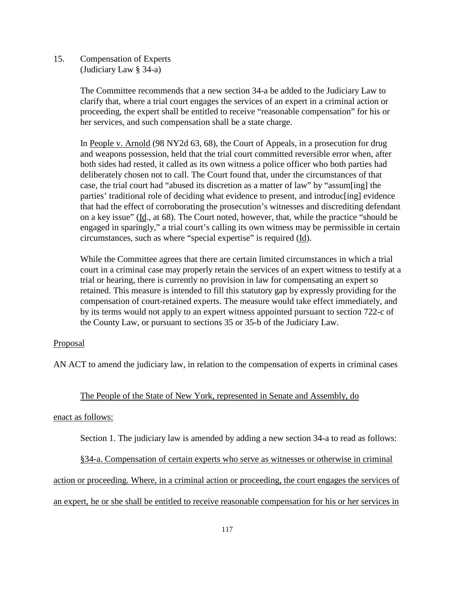15. Compensation of Experts (Judiciary Law § 34-a)

> The Committee recommends that a new section 34-a be added to the Judiciary Law to clarify that, where a trial court engages the services of an expert in a criminal action or proceeding, the expert shall be entitled to receive "reasonable compensation" for his or her services, and such compensation shall be a state charge.

 In People v. Arnold (98 NY2d 63, 68), the Court of Appeals, in a prosecution for drug and weapons possession, held that the trial court committed reversible error when, after both sides had rested, it called as its own witness a police officer who both parties had deliberately chosen not to call. The Court found that, under the circumstances of that case, the trial court had "abused its discretion as a matter of law" by "assum[ing] the parties' traditional role of deciding what evidence to present, and introduc[ing] evidence that had the effect of corroborating the prosecution's witnesses and discrediting defendant on a key issue" (Id., at 68). The Court noted, however, that, while the practice "should be engaged in sparingly," a trial court's calling its own witness may be permissible in certain circumstances, such as where "special expertise" is required (Id).

 While the Committee agrees that there are certain limited circumstances in which a trial court in a criminal case may properly retain the services of an expert witness to testify at a trial or hearing, there is currently no provision in law for compensating an expert so retained. This measure is intended to fill this statutory gap by expressly providing for the compensation of court-retained experts. The measure would take effect immediately, and by its terms would not apply to an expert witness appointed pursuant to section 722-c of the County Law, or pursuant to sections 35 or 35-b of the Judiciary Law.

# **Proposal**

AN ACT to amend the judiciary law, in relation to the compensation of experts in criminal cases

### The People of the State of New York, represented in Senate and Assembly, do

### enact as follows:

Section 1. The judiciary law is amended by adding a new section 34-a to read as follows:

§34-a. Compensation of certain experts who serve as witnesses or otherwise in criminal

action or proceeding. Where, in a criminal action or proceeding, the court engages the services of

an expert, he or she shall be entitled to receive reasonable compensation for his or her services in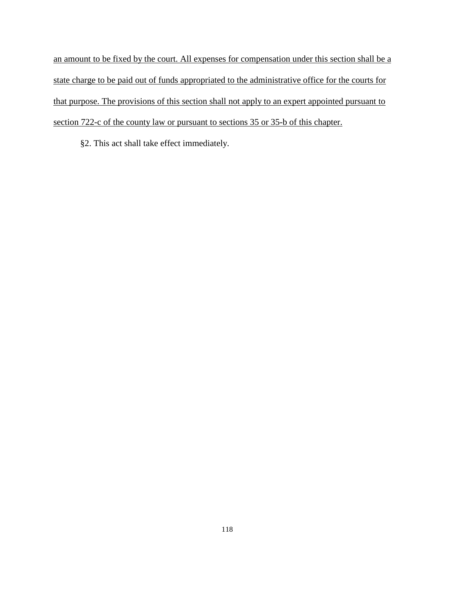an amount to be fixed by the court. All expenses for compensation under this section shall be a state charge to be paid out of funds appropriated to the administrative office for the courts for that purpose. The provisions of this section shall not apply to an expert appointed pursuant to section 722-c of the county law or pursuant to sections 35 or 35-b of this chapter.

§2. This act shall take effect immediately.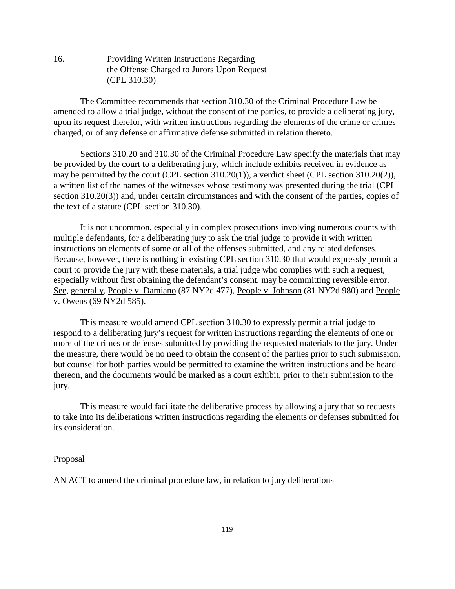16. Providing Written Instructions Regarding the Offense Charged to Jurors Upon Request (CPL 310.30)

The Committee recommends that section 310.30 of the Criminal Procedure Law be amended to allow a trial judge, without the consent of the parties, to provide a deliberating jury, upon its request therefor, with written instructions regarding the elements of the crime or crimes charged, or of any defense or affirmative defense submitted in relation thereto.

Sections 310.20 and 310.30 of the Criminal Procedure Law specify the materials that may be provided by the court to a deliberating jury, which include exhibits received in evidence as may be permitted by the court (CPL section 310.20(1)), a verdict sheet (CPL section 310.20(2)), a written list of the names of the witnesses whose testimony was presented during the trial (CPL section 310.20(3)) and, under certain circumstances and with the consent of the parties, copies of the text of a statute (CPL section 310.30).

It is not uncommon, especially in complex prosecutions involving numerous counts with multiple defendants, for a deliberating jury to ask the trial judge to provide it with written instructions on elements of some or all of the offenses submitted, and any related defenses. Because, however, there is nothing in existing CPL section 310.30 that would expressly permit a court to provide the jury with these materials, a trial judge who complies with such a request, especially without first obtaining the defendant's consent, may be committing reversible error. See, generally, People v. Damiano (87 NY2d 477), People v. Johnson (81 NY2d 980) and People v. Owens (69 NY2d 585).

This measure would amend CPL section 310.30 to expressly permit a trial judge to respond to a deliberating jury's request for written instructions regarding the elements of one or more of the crimes or defenses submitted by providing the requested materials to the jury. Under the measure, there would be no need to obtain the consent of the parties prior to such submission, but counsel for both parties would be permitted to examine the written instructions and be heard thereon, and the documents would be marked as a court exhibit, prior to their submission to the jury.

This measure would facilitate the deliberative process by allowing a jury that so requests to take into its deliberations written instructions regarding the elements or defenses submitted for its consideration.

### Proposal

AN ACT to amend the criminal procedure law, in relation to jury deliberations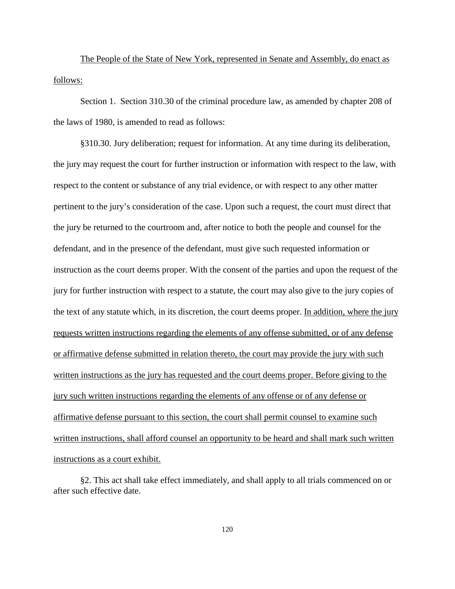The People of the State of New York, represented in Senate and Assembly, do enact as follows:

Section 1. Section 310.30 of the criminal procedure law, as amended by chapter 208 of the laws of 1980, is amended to read as follows:

§310.30. Jury deliberation; request for information. At any time during its deliberation, the jury may request the court for further instruction or information with respect to the law, with respect to the content or substance of any trial evidence, or with respect to any other matter pertinent to the jury's consideration of the case. Upon such a request, the court must direct that the jury be returned to the courtroom and, after notice to both the people and counsel for the defendant, and in the presence of the defendant, must give such requested information or instruction as the court deems proper. With the consent of the parties and upon the request of the jury for further instruction with respect to a statute, the court may also give to the jury copies of the text of any statute which, in its discretion, the court deems proper. In addition, where the jury requests written instructions regarding the elements of any offense submitted, or of any defense or affirmative defense submitted in relation thereto, the court may provide the jury with such written instructions as the jury has requested and the court deems proper. Before giving to the jury such written instructions regarding the elements of any offense or of any defense or affirmative defense pursuant to this section, the court shall permit counsel to examine such written instructions, shall afford counsel an opportunity to be heard and shall mark such written instructions as a court exhibit.

§2. This act shall take effect immediately, and shall apply to all trials commenced on or after such effective date.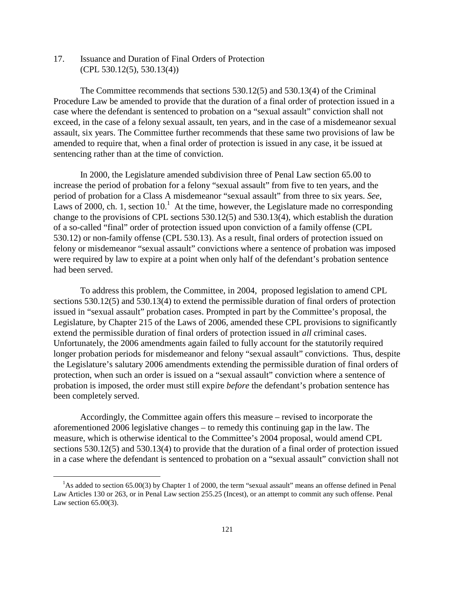17. Issuance and Duration of Final Orders of Protection (CPL 530.12(5), 530.13(4))

The Committee recommends that sections 530.12(5) and 530.13(4) of the Criminal Procedure Law be amended to provide that the duration of a final order of protection issued in a case where the defendant is sentenced to probation on a "sexual assault" conviction shall not exceed, in the case of a felony sexual assault, ten years, and in the case of a misdemeanor sexual assault, six years. The Committee further recommends that these same two provisions of law be amended to require that, when a final order of protection is issued in any case, it be issued at sentencing rather than at the time of conviction.

In 2000, the Legislature amended subdivision three of Penal Law section 65.00 to increase the period of probation for a felony "sexual assault" from five to ten years, and the period of probation for a Class A misdemeanor "sexual assault" from three to six years. *See*, Laws of 2000, ch. 1, section  $10<sup>1</sup>$  At the time, however, the Legislature made no corresponding change to the provisions of CPL sections 530.12(5) and 530.13(4), which establish the duration of a so-called "final" order of protection issued upon conviction of a family offense (CPL 530.12) or non-family offense (CPL 530.13). As a result, final orders of protection issued on felony or misdemeanor "sexual assault" convictions where a sentence of probation was imposed were required by law to expire at a point when only half of the defendant's probation sentence had been served.

To address this problem, the Committee, in 2004, proposed legislation to amend CPL sections 530.12(5) and 530.13(4) to extend the permissible duration of final orders of protection issued in "sexual assault" probation cases. Prompted in part by the Committee's proposal, the Legislature, by Chapter 215 of the Laws of 2006, amended these CPL provisions to significantly extend the permissible duration of final orders of protection issued in *all* criminal cases. Unfortunately, the 2006 amendments again failed to fully account for the statutorily required longer probation periods for misdemeanor and felony "sexual assault" convictions. Thus, despite the Legislature's salutary 2006 amendments extending the permissible duration of final orders of protection, when such an order is issued on a "sexual assault" conviction where a sentence of probation is imposed, the order must still expire *before* the defendant's probation sentence has been completely served.

Accordingly, the Committee again offers this measure – revised to incorporate the aforementioned 2006 legislative changes – to remedy this continuing gap in the law. The measure, which is otherwise identical to the Committee's 2004 proposal, would amend CPL sections 530.12(5) and 530.13(4) to provide that the duration of a final order of protection issued in a case where the defendant is sentenced to probation on a "sexual assault" conviction shall not

<u>.</u>

<sup>&</sup>lt;sup>1</sup>As added to section 65.00(3) by Chapter 1 of 2000, the term "sexual assault" means an offense defined in Penal Law Articles 130 or 263, or in Penal Law section 255.25 (Incest), or an attempt to commit any such offense. Penal Law section 65.00(3).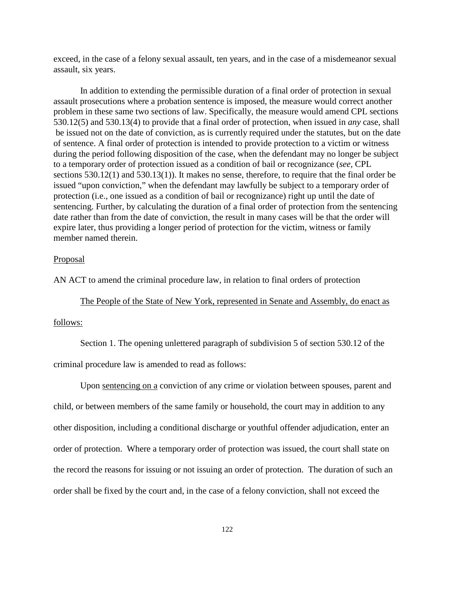exceed, in the case of a felony sexual assault, ten years, and in the case of a misdemeanor sexual assault, six years.

In addition to extending the permissible duration of a final order of protection in sexual assault prosecutions where a probation sentence is imposed, the measure would correct another problem in these same two sections of law. Specifically, the measure would amend CPL sections 530.12(5) and 530.13(4) to provide that a final order of protection, when issued in *any* case, shall be issued not on the date of conviction, as is currently required under the statutes, but on the date of sentence. A final order of protection is intended to provide protection to a victim or witness during the period following disposition of the case, when the defendant may no longer be subject to a temporary order of protection issued as a condition of bail or recognizance (*see,* CPL sections 530.12(1) and 530.13(1)). It makes no sense, therefore, to require that the final order be issued "upon conviction," when the defendant may lawfully be subject to a temporary order of protection (i.e., one issued as a condition of bail or recognizance) right up until the date of sentencing. Further, by calculating the duration of a final order of protection from the sentencing date rather than from the date of conviction, the result in many cases will be that the order will expire later, thus providing a longer period of protection for the victim, witness or family member named therein.

### Proposal

AN ACT to amend the criminal procedure law, in relation to final orders of protection

The People of the State of New York, represented in Senate and Assembly, do enact as

#### follows:

Section 1. The opening unlettered paragraph of subdivision 5 of section 530.12 of the

criminal procedure law is amended to read as follows:

Upon sentencing on a conviction of any crime or violation between spouses, parent and child, or between members of the same family or household, the court may in addition to any other disposition, including a conditional discharge or youthful offender adjudication, enter an order of protection. Where a temporary order of protection was issued, the court shall state on the record the reasons for issuing or not issuing an order of protection. The duration of such an order shall be fixed by the court and, in the case of a felony conviction, shall not exceed the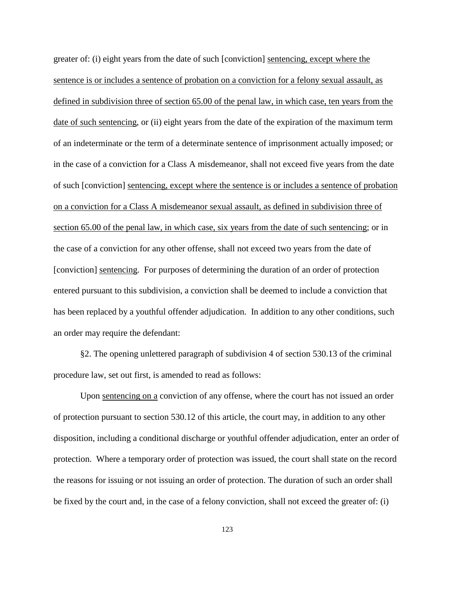greater of: (i) eight years from the date of such [conviction] sentencing, except where the sentence is or includes a sentence of probation on a conviction for a felony sexual assault, as defined in subdivision three of section 65.00 of the penal law, in which case, ten years from the date of such sentencing, or (ii) eight years from the date of the expiration of the maximum term of an indeterminate or the term of a determinate sentence of imprisonment actually imposed; or in the case of a conviction for a Class A misdemeanor, shall not exceed five years from the date of such [conviction] sentencing, except where the sentence is or includes a sentence of probation on a conviction for a Class A misdemeanor sexual assault, as defined in subdivision three of section 65.00 of the penal law, in which case, six years from the date of such sentencing; or in the case of a conviction for any other offense, shall not exceed two years from the date of [conviction] sentencing. For purposes of determining the duration of an order of protection entered pursuant to this subdivision, a conviction shall be deemed to include a conviction that has been replaced by a youthful offender adjudication. In addition to any other conditions, such an order may require the defendant:

§2. The opening unlettered paragraph of subdivision 4 of section 530.13 of the criminal procedure law, set out first, is amended to read as follows:

Upon sentencing on a conviction of any offense, where the court has not issued an order of protection pursuant to section 530.12 of this article, the court may, in addition to any other disposition, including a conditional discharge or youthful offender adjudication, enter an order of protection. Where a temporary order of protection was issued, the court shall state on the record the reasons for issuing or not issuing an order of protection. The duration of such an order shall be fixed by the court and, in the case of a felony conviction, shall not exceed the greater of: (i)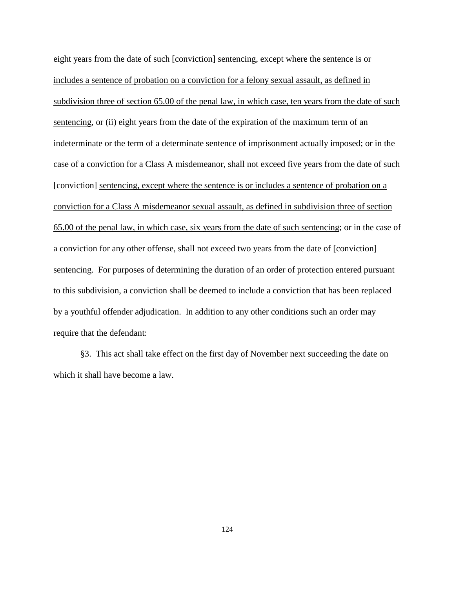eight years from the date of such [conviction] sentencing, except where the sentence is or includes a sentence of probation on a conviction for a felony sexual assault, as defined in subdivision three of section 65.00 of the penal law, in which case, ten years from the date of such sentencing, or (ii) eight years from the date of the expiration of the maximum term of an indeterminate or the term of a determinate sentence of imprisonment actually imposed; or in the case of a conviction for a Class A misdemeanor, shall not exceed five years from the date of such [conviction] sentencing, except where the sentence is or includes a sentence of probation on a conviction for a Class A misdemeanor sexual assault, as defined in subdivision three of section 65.00 of the penal law, in which case, six years from the date of such sentencing; or in the case of a conviction for any other offense, shall not exceed two years from the date of [conviction] sentencing. For purposes of determining the duration of an order of protection entered pursuant to this subdivision, a conviction shall be deemed to include a conviction that has been replaced by a youthful offender adjudication. In addition to any other conditions such an order may require that the defendant:

§3. This act shall take effect on the first day of November next succeeding the date on which it shall have become a law.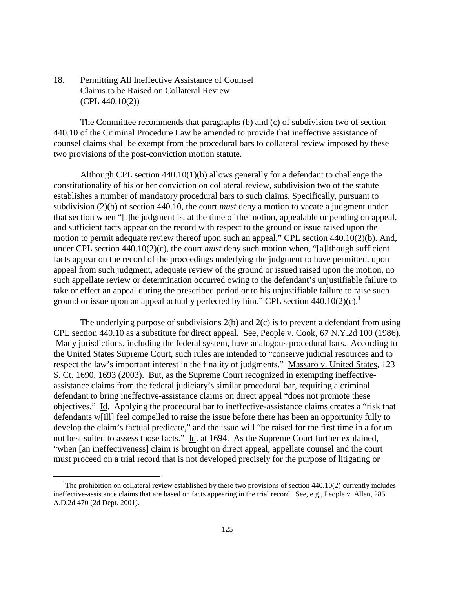18. Permitting All Ineffective Assistance of Counsel Claims to be Raised on Collateral Review (CPL 440.10(2))

The Committee recommends that paragraphs (b) and (c) of subdivision two of section 440.10 of the Criminal Procedure Law be amended to provide that ineffective assistance of counsel claims shall be exempt from the procedural bars to collateral review imposed by these two provisions of the post-conviction motion statute.

Although CPL section  $440.10(1)(h)$  allows generally for a defendant to challenge the constitutionality of his or her conviction on collateral review, subdivision two of the statute establishes a number of mandatory procedural bars to such claims. Specifically, pursuant to subdivision (2)(b) of section 440.10, the court *must* deny a motion to vacate a judgment under that section when "[t]he judgment is, at the time of the motion, appealable or pending on appeal, and sufficient facts appear on the record with respect to the ground or issue raised upon the motion to permit adequate review thereof upon such an appeal." CPL section 440.10(2)(b). And, under CPL section 440.10(2)(c), the court *must* deny such motion when, "[a]lthough sufficient facts appear on the record of the proceedings underlying the judgment to have permitted, upon appeal from such judgment, adequate review of the ground or issued raised upon the motion, no such appellate review or determination occurred owing to the defendant's unjustifiable failure to take or effect an appeal during the prescribed period or to his unjustifiable failure to raise such ground or issue upon an appeal actually perfected by him." CPL section  $440.10(2)(c)$ .<sup>1</sup>

The underlying purpose of subdivisions  $2(b)$  and  $2(c)$  is to prevent a defendant from using CPL section 440.10 as a substitute for direct appeal. See, People v. Cook, 67 N.Y.2d 100 (1986). Many jurisdictions, including the federal system, have analogous procedural bars. According to the United States Supreme Court, such rules are intended to "conserve judicial resources and to respect the law's important interest in the finality of judgments." Massaro v. United States, 123 S. Ct. 1690, 1693 (2003). But, as the Supreme Court recognized in exempting ineffectiveassistance claims from the federal judiciary's similar procedural bar, requiring a criminal defendant to bring ineffective-assistance claims on direct appeal "does not promote these objectives." Id. Applying the procedural bar to ineffective-assistance claims creates a "risk that defendants w[ill] feel compelled to raise the issue before there has been an opportunity fully to develop the claim's factual predicate," and the issue will "be raised for the first time in a forum not best suited to assess those facts." Id. at 1694. As the Supreme Court further explained, "when [an ineffectiveness] claim is brought on direct appeal, appellate counsel and the court must proceed on a trial record that is not developed precisely for the purpose of litigating or

 $\overline{a}$ 

<sup>&</sup>lt;sup>1</sup>The prohibition on collateral review established by these two provisions of section  $440.10(2)$  currently includes ineffective-assistance claims that are based on facts appearing in the trial record. See, e.g., People v. Allen, 285 A.D.2d 470 (2d Dept. 2001).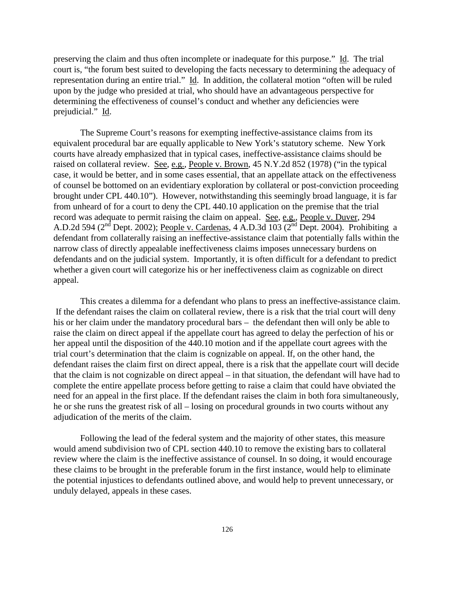preserving the claim and thus often incomplete or inadequate for this purpose." Id. The trial court is, "the forum best suited to developing the facts necessary to determining the adequacy of representation during an entire trial." Id. In addition, the collateral motion "often will be ruled upon by the judge who presided at trial, who should have an advantageous perspective for determining the effectiveness of counsel's conduct and whether any deficiencies were prejudicial." Id.

The Supreme Court's reasons for exempting ineffective-assistance claims from its equivalent procedural bar are equally applicable to New York's statutory scheme. New York courts have already emphasized that in typical cases, ineffective-assistance claims should be raised on collateral review. See, e.g., People v. Brown, 45 N.Y.2d 852 (1978) ("in the typical case, it would be better, and in some cases essential, that an appellate attack on the effectiveness of counsel be bottomed on an evidentiary exploration by collateral or post-conviction proceeding brought under CPL 440.10"). However, notwithstanding this seemingly broad language, it is far from unheard of for a court to deny the CPL 440.10 application on the premise that the trial record was adequate to permit raising the claim on appeal. See, e.g., People v. Duver, 294 A.D.2d 594 ( $2<sup>nd</sup>$  Dept. 2002); People v. Cardenas, 4 A.D.3d 103 ( $2<sup>nd</sup>$  Dept. 2004). Prohibiting a defendant from collaterally raising an ineffective-assistance claim that potentially falls within the narrow class of directly appealable ineffectiveness claims imposes unnecessary burdens on defendants and on the judicial system. Importantly, it is often difficult for a defendant to predict whether a given court will categorize his or her ineffectiveness claim as cognizable on direct appeal.

This creates a dilemma for a defendant who plans to press an ineffective-assistance claim. If the defendant raises the claim on collateral review, there is a risk that the trial court will deny his or her claim under the mandatory procedural bars – the defendant then will only be able to raise the claim on direct appeal if the appellate court has agreed to delay the perfection of his or her appeal until the disposition of the 440.10 motion and if the appellate court agrees with the trial court's determination that the claim is cognizable on appeal. If, on the other hand, the defendant raises the claim first on direct appeal, there is a risk that the appellate court will decide that the claim is not cognizable on direct appeal – in that situation, the defendant will have had to complete the entire appellate process before getting to raise a claim that could have obviated the need for an appeal in the first place. If the defendant raises the claim in both fora simultaneously, he or she runs the greatest risk of all – losing on procedural grounds in two courts without any adjudication of the merits of the claim.

Following the lead of the federal system and the majority of other states, this measure would amend subdivision two of CPL section 440.10 to remove the existing bars to collateral review where the claim is the ineffective assistance of counsel. In so doing, it would encourage these claims to be brought in the preferable forum in the first instance, would help to eliminate the potential injustices to defendants outlined above, and would help to prevent unnecessary, or unduly delayed, appeals in these cases.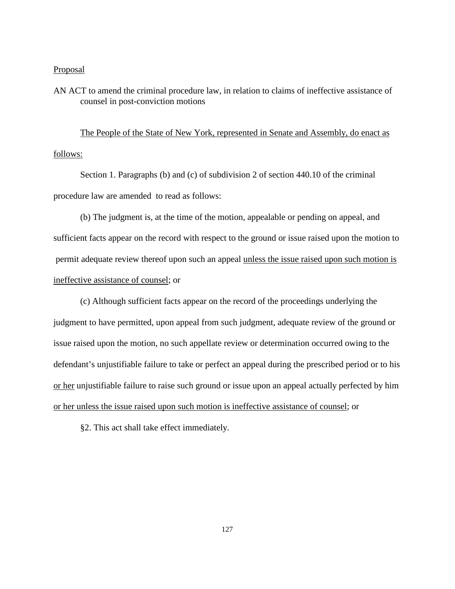### **Proposal**

AN ACT to amend the criminal procedure law, in relation to claims of ineffective assistance of counsel in post-conviction motions

The People of the State of New York, represented in Senate and Assembly, do enact as follows:

Section 1. Paragraphs (b) and (c) of subdivision 2 of section 440.10 of the criminal procedure law are amended to read as follows:

(b) The judgment is, at the time of the motion, appealable or pending on appeal, and sufficient facts appear on the record with respect to the ground or issue raised upon the motion to permit adequate review thereof upon such an appeal unless the issue raised upon such motion is ineffective assistance of counsel; or

(c) Although sufficient facts appear on the record of the proceedings underlying the judgment to have permitted, upon appeal from such judgment, adequate review of the ground or issue raised upon the motion, no such appellate review or determination occurred owing to the defendant's unjustifiable failure to take or perfect an appeal during the prescribed period or to his or her unjustifiable failure to raise such ground or issue upon an appeal actually perfected by him or her unless the issue raised upon such motion is ineffective assistance of counsel; or

§2. This act shall take effect immediately.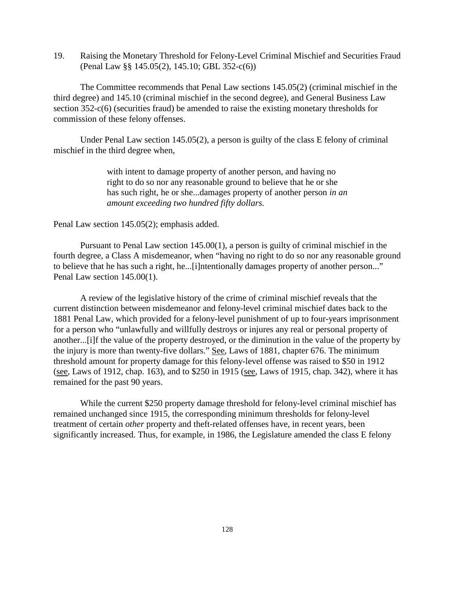19. Raising the Monetary Threshold for Felony-Level Criminal Mischief and Securities Fraud (Penal Law §§ 145.05(2), 145.10; GBL 352-c(6))

The Committee recommends that Penal Law sections 145.05(2) (criminal mischief in the third degree) and 145.10 (criminal mischief in the second degree), and General Business Law section 352-c(6) (securities fraud) be amended to raise the existing monetary thresholds for commission of these felony offenses.

Under Penal Law section 145.05(2), a person is guilty of the class E felony of criminal mischief in the third degree when,

> with intent to damage property of another person, and having no right to do so nor any reasonable ground to believe that he or she has such right, he or she...damages property of another person *in an amount exceeding two hundred fifty dollars.*

Penal Law section 145.05(2); emphasis added.

Pursuant to Penal Law section 145.00(1), a person is guilty of criminal mischief in the fourth degree, a Class A misdemeanor, when "having no right to do so nor any reasonable ground to believe that he has such a right, he...[i]ntentionally damages property of another person..." Penal Law section 145.00(1).

A review of the legislative history of the crime of criminal mischief reveals that the current distinction between misdemeanor and felony-level criminal mischief dates back to the 1881 Penal Law, which provided for a felony-level punishment of up to four-years imprisonment for a person who "unlawfully and willfully destroys or injures any real or personal property of another...[i]f the value of the property destroyed, or the diminution in the value of the property by the injury is more than twenty-five dollars." See, Laws of 1881, chapter 676. The minimum threshold amount for property damage for this felony-level offense was raised to \$50 in 1912 (see, Laws of 1912, chap. 163), and to \$250 in 1915 (see, Laws of 1915, chap. 342), where it has remained for the past 90 years.

While the current \$250 property damage threshold for felony-level criminal mischief has remained unchanged since 1915, the corresponding minimum thresholds for felony-level treatment of certain *other* property and theft-related offenses have, in recent years, been significantly increased. Thus, for example, in 1986, the Legislature amended the class E felony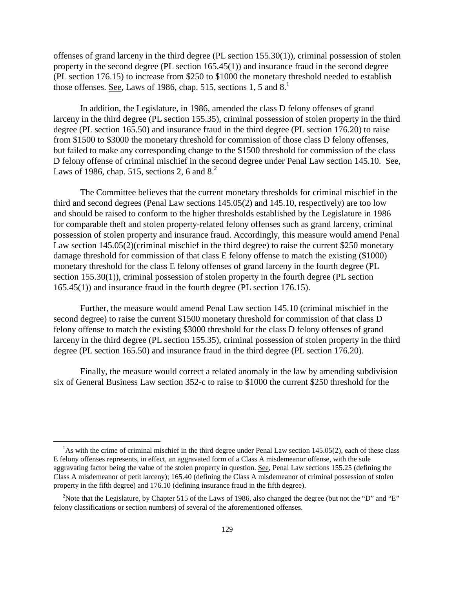offenses of grand larceny in the third degree (PL section 155.30(1)), criminal possession of stolen property in the second degree (PL section 165.45(1)) and insurance fraud in the second degree (PL section 176.15) to increase from \$250 to \$1000 the monetary threshold needed to establish those offenses. <u>See</u>, Laws of 1986, chap. 515, sections 1, 5 and  $8<sup>1</sup>$ .

In addition, the Legislature, in 1986, amended the class D felony offenses of grand larceny in the third degree (PL section 155.35), criminal possession of stolen property in the third degree (PL section 165.50) and insurance fraud in the third degree (PL section 176.20) to raise from \$1500 to \$3000 the monetary threshold for commission of those class D felony offenses, but failed to make any corresponding change to the \$1500 threshold for commission of the class D felony offense of criminal mischief in the second degree under Penal Law section 145.10. See, Laws of 1986, chap. 515, sections 2, 6 and  $8<sup>2</sup>$ .

The Committee believes that the current monetary thresholds for criminal mischief in the third and second degrees (Penal Law sections 145.05(2) and 145.10, respectively) are too low and should be raised to conform to the higher thresholds established by the Legislature in 1986 for comparable theft and stolen property-related felony offenses such as grand larceny, criminal possession of stolen property and insurance fraud. Accordingly, this measure would amend Penal Law section 145.05(2)(criminal mischief in the third degree) to raise the current \$250 monetary damage threshold for commission of that class E felony offense to match the existing (\$1000) monetary threshold for the class E felony offenses of grand larceny in the fourth degree (PL section 155.30(1)), criminal possession of stolen property in the fourth degree (PL section 165.45(1)) and insurance fraud in the fourth degree (PL section 176.15).

Further, the measure would amend Penal Law section 145.10 (criminal mischief in the second degree) to raise the current \$1500 monetary threshold for commission of that class D felony offense to match the existing \$3000 threshold for the class D felony offenses of grand larceny in the third degree (PL section 155.35), criminal possession of stolen property in the third degree (PL section 165.50) and insurance fraud in the third degree (PL section 176.20).

Finally, the measure would correct a related anomaly in the law by amending subdivision six of General Business Law section 352-c to raise to \$1000 the current \$250 threshold for the

<u>.</u>

 $<sup>1</sup>$ As with the crime of criminal mischief in the third degree under Penal Law section 145.05(2), each of these class</sup> E felony offenses represents, in effect, an aggravated form of a Class A misdemeanor offense, with the sole aggravating factor being the value of the stolen property in question. See, Penal Law sections 155.25 (defining the Class A misdemeanor of petit larceny); 165.40 (defining the Class A misdemeanor of criminal possession of stolen property in the fifth degree) and 176.10 (defining insurance fraud in the fifth degree).

<sup>&</sup>lt;sup>2</sup>Note that the Legislature, by Chapter 515 of the Laws of 1986, also changed the degree (but not the "D" and "E" felony classifications or section numbers) of several of the aforementioned offenses.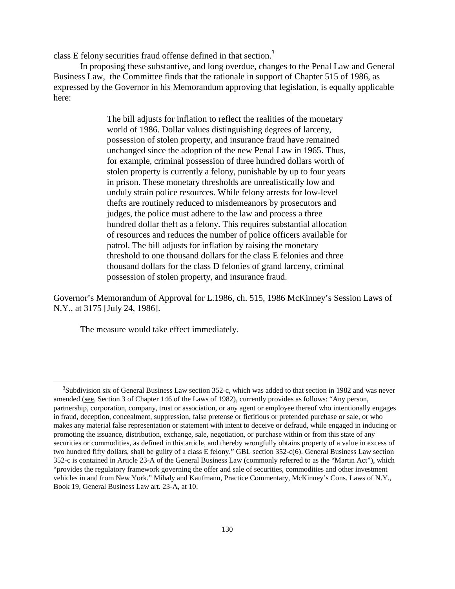class E felony securities fraud offense defined in that section.<sup>3</sup>

In proposing these substantive, and long overdue, changes to the Penal Law and General Business Law, the Committee finds that the rationale in support of Chapter 515 of 1986, as expressed by the Governor in his Memorandum approving that legislation, is equally applicable here:

> The bill adjusts for inflation to reflect the realities of the monetary world of 1986. Dollar values distinguishing degrees of larceny, possession of stolen property, and insurance fraud have remained unchanged since the adoption of the new Penal Law in 1965. Thus, for example, criminal possession of three hundred dollars worth of stolen property is currently a felony, punishable by up to four years in prison. These monetary thresholds are unrealistically low and unduly strain police resources. While felony arrests for low-level thefts are routinely reduced to misdemeanors by prosecutors and judges, the police must adhere to the law and process a three hundred dollar theft as a felony. This requires substantial allocation of resources and reduces the number of police officers available for patrol. The bill adjusts for inflation by raising the monetary threshold to one thousand dollars for the class E felonies and three thousand dollars for the class D felonies of grand larceny, criminal possession of stolen property, and insurance fraud.

Governor's Memorandum of Approval for L.1986, ch. 515, 1986 McKinney's Session Laws of N.Y., at 3175 [July 24, 1986].

The measure would take effect immediately.

<u>.</u>

<sup>&</sup>lt;sup>3</sup>Subdivision six of General Business Law section 352-c, which was added to that section in 1982 and was never amended (see, Section 3 of Chapter 146 of the Laws of 1982), currently provides as follows: "Any person, partnership, corporation, company, trust or association, or any agent or employee thereof who intentionally engages in fraud, deception, concealment, suppression, false pretense or fictitious or pretended purchase or sale, or who makes any material false representation or statement with intent to deceive or defraud, while engaged in inducing or promoting the issuance, distribution, exchange, sale, negotiation, or purchase within or from this state of any securities or commodities, as defined in this article, and thereby wrongfully obtains property of a value in excess of two hundred fifty dollars, shall be guilty of a class E felony." GBL section 352-c(6). General Business Law section 352-c is contained in Article 23-A of the General Business Law (commonly referred to as the "Martin Act"), which "provides the regulatory framework governing the offer and sale of securities, commodities and other investment vehicles in and from New York." Mihaly and Kaufmann, Practice Commentary, McKinney's Cons. Laws of N.Y., Book 19, General Business Law art. 23-A, at 10.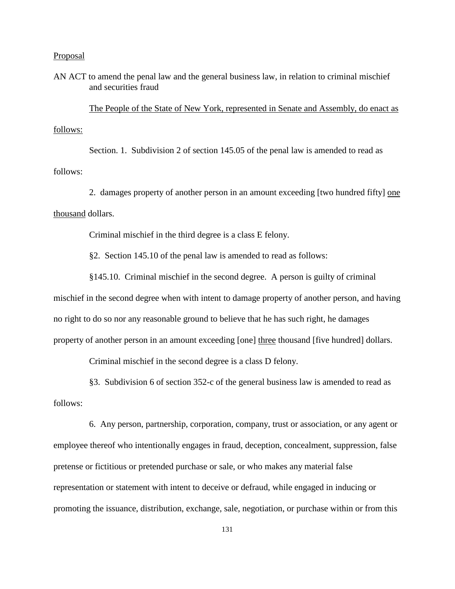### Proposal

AN ACT to amend the penal law and the general business law, in relation to criminal mischief and securities fraud

 The People of the State of New York, represented in Senate and Assembly, do enact as follows:

 Section. 1. Subdivision 2 of section 145.05 of the penal law is amended to read as follows:

 2. damages property of another person in an amount exceeding [two hundred fifty] one thousand dollars.

Criminal mischief in the third degree is a class E felony.

§2. Section 145.10 of the penal law is amended to read as follows:

 §145.10. Criminal mischief in the second degree. A person is guilty of criminal mischief in the second degree when with intent to damage property of another person, and having no right to do so nor any reasonable ground to believe that he has such right, he damages property of another person in an amount exceeding [one] three thousand [five hundred] dollars.

Criminal mischief in the second degree is a class D felony.

 §3. Subdivision 6 of section 352-c of the general business law is amended to read as follows:

 6. Any person, partnership, corporation, company, trust or association, or any agent or employee thereof who intentionally engages in fraud, deception, concealment, suppression, false pretense or fictitious or pretended purchase or sale, or who makes any material false representation or statement with intent to deceive or defraud, while engaged in inducing or promoting the issuance, distribution, exchange, sale, negotiation, or purchase within or from this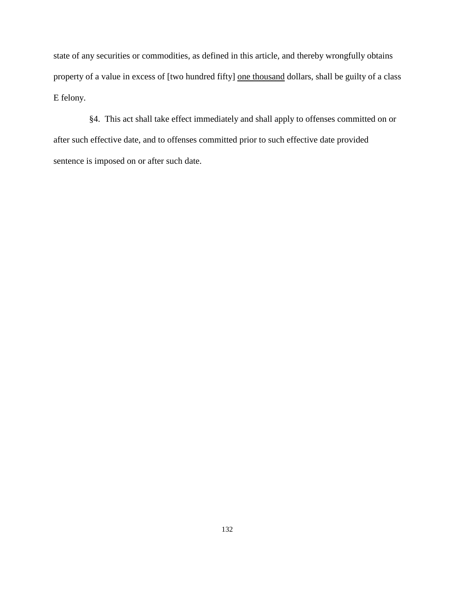state of any securities or commodities, as defined in this article, and thereby wrongfully obtains property of a value in excess of [two hundred fifty] one thousand dollars, shall be guilty of a class E felony.

 §4. This act shall take effect immediately and shall apply to offenses committed on or after such effective date, and to offenses committed prior to such effective date provided sentence is imposed on or after such date.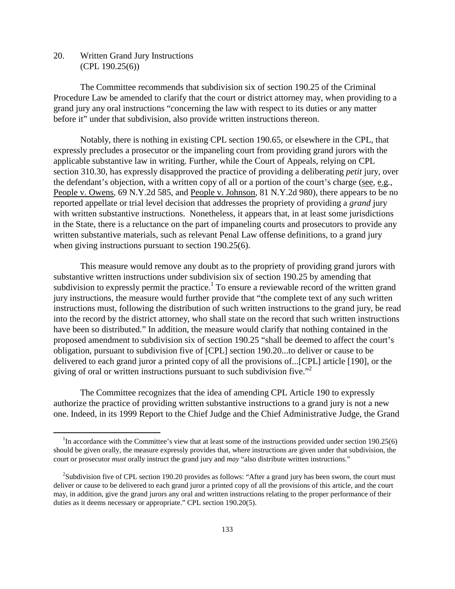20. Written Grand Jury Instructions (CPL 190.25(6))

<u>.</u>

The Committee recommends that subdivision six of section 190.25 of the Criminal Procedure Law be amended to clarify that the court or district attorney may, when providing to a grand jury any oral instructions "concerning the law with respect to its duties or any matter before it" under that subdivision, also provide written instructions thereon.

Notably, there is nothing in existing CPL section 190.65, or elsewhere in the CPL, that expressly precludes a prosecutor or the impaneling court from providing grand jurors with the applicable substantive law in writing. Further, while the Court of Appeals, relying on CPL section 310.30, has expressly disapproved the practice of providing a deliberating *petit* jury, over the defendant's objection, with a written copy of all or a portion of the court's charge (see, e.g*.*, People v. Owens, 69 N.Y.2d 585, and People v. Johnson, 81 N.Y.2d 980), there appears to be no reported appellate or trial level decision that addresses the propriety of providing a *grand* jury with written substantive instructions. Nonetheless, it appears that, in at least some jurisdictions in the State, there is a reluctance on the part of impaneling courts and prosecutors to provide any written substantive materials, such as relevant Penal Law offense definitions, to a grand jury when giving instructions pursuant to section 190.25(6).

This measure would remove any doubt as to the propriety of providing grand jurors with substantive written instructions under subdivision six of section 190.25 by amending that subdivision to expressly permit the practice.<sup>1</sup> To ensure a reviewable record of the written grand jury instructions, the measure would further provide that "the complete text of any such written instructions must, following the distribution of such written instructions to the grand jury, be read into the record by the district attorney, who shall state on the record that such written instructions have been so distributed." In addition, the measure would clarify that nothing contained in the proposed amendment to subdivision six of section 190.25 "shall be deemed to affect the court's obligation, pursuant to subdivision five of [CPL] section 190.20...to deliver or cause to be delivered to each grand juror a printed copy of all the provisions of...[CPL] article [190], or the giving of oral or written instructions pursuant to such subdivision five."<sup>2</sup>

The Committee recognizes that the idea of amending CPL Article 190 to expressly authorize the practice of providing written substantive instructions to a grand jury is not a new one. Indeed, in its 1999 Report to the Chief Judge and the Chief Administrative Judge, the Grand

<sup>&</sup>lt;sup>1</sup>In accordance with the Committee's view that at least some of the instructions provided under section 190.25(6) should be given orally, the measure expressly provides that, where instructions are given under that subdivision, the court or prosecutor *must* orally instruct the grand jury and *may* "also distribute written instructions."

<sup>&</sup>lt;sup>2</sup>Subdivision five of CPL section 190.20 provides as follows: "After a grand jury has been sworn, the court must deliver or cause to be delivered to each grand juror a printed copy of all the provisions of this article, and the court may, in addition, give the grand jurors any oral and written instructions relating to the proper performance of their duties as it deems necessary or appropriate." CPL section 190.20(5).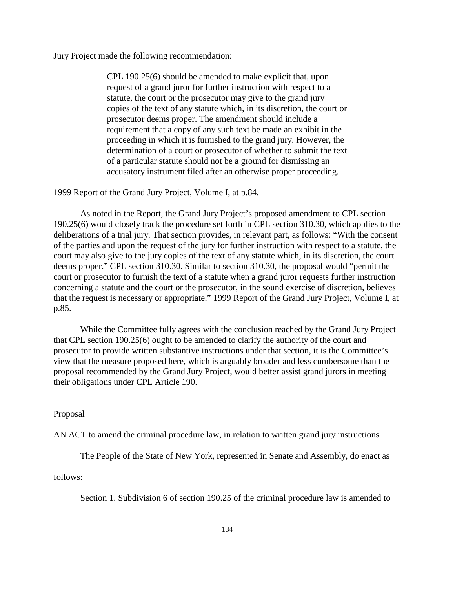Jury Project made the following recommendation:

CPL 190.25(6) should be amended to make explicit that, upon request of a grand juror for further instruction with respect to a statute, the court or the prosecutor may give to the grand jury copies of the text of any statute which, in its discretion, the court or prosecutor deems proper. The amendment should include a requirement that a copy of any such text be made an exhibit in the proceeding in which it is furnished to the grand jury. However, the determination of a court or prosecutor of whether to submit the text of a particular statute should not be a ground for dismissing an accusatory instrument filed after an otherwise proper proceeding.

1999 Report of the Grand Jury Project, Volume I, at p.84.

As noted in the Report, the Grand Jury Project's proposed amendment to CPL section 190.25(6) would closely track the procedure set forth in CPL section 310.30, which applies to the deliberations of a trial jury. That section provides, in relevant part, as follows: "With the consent of the parties and upon the request of the jury for further instruction with respect to a statute, the court may also give to the jury copies of the text of any statute which, in its discretion, the court deems proper." CPL section 310.30. Similar to section 310.30, the proposal would "permit the court or prosecutor to furnish the text of a statute when a grand juror requests further instruction concerning a statute and the court or the prosecutor, in the sound exercise of discretion, believes that the request is necessary or appropriate." 1999 Report of the Grand Jury Project, Volume I, at p.85.

While the Committee fully agrees with the conclusion reached by the Grand Jury Project that CPL section 190.25(6) ought to be amended to clarify the authority of the court and prosecutor to provide written substantive instructions under that section, it is the Committee's view that the measure proposed here, which is arguably broader and less cumbersome than the proposal recommended by the Grand Jury Project, would better assist grand jurors in meeting their obligations under CPL Article 190.

### Proposal

AN ACT to amend the criminal procedure law, in relation to written grand jury instructions

The People of the State of New York, represented in Senate and Assembly, do enact as

#### follows:

Section 1. Subdivision 6 of section 190.25 of the criminal procedure law is amended to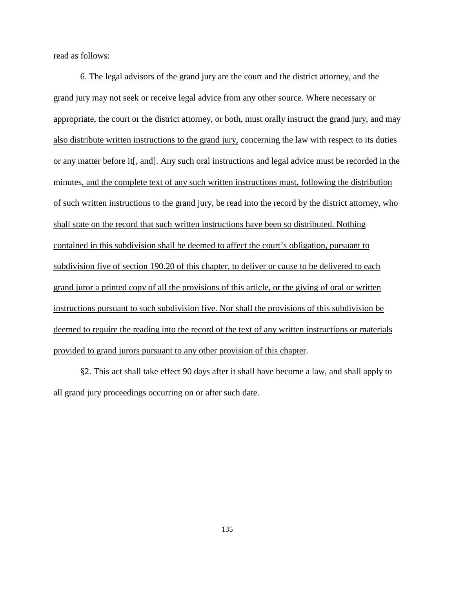read as follows:

6. The legal advisors of the grand jury are the court and the district attorney, and the grand jury may not seek or receive legal advice from any other source. Where necessary or appropriate, the court or the district attorney, or both, must orally instruct the grand jury, and may also distribute written instructions to the grand jury, concerning the law with respect to its duties or any matter before it[, and]. Any such oral instructions and legal advice must be recorded in the minutes, and the complete text of any such written instructions must, following the distribution of such written instructions to the grand jury, be read into the record by the district attorney, who shall state on the record that such written instructions have been so distributed. Nothing contained in this subdivision shall be deemed to affect the court's obligation, pursuant to subdivision five of section 190.20 of this chapter, to deliver or cause to be delivered to each grand juror a printed copy of all the provisions of this article, or the giving of oral or written instructions pursuant to such subdivision five. Nor shall the provisions of this subdivision be deemed to require the reading into the record of the text of any written instructions or materials provided to grand jurors pursuant to any other provision of this chapter.

§2. This act shall take effect 90 days after it shall have become a law, and shall apply to all grand jury proceedings occurring on or after such date.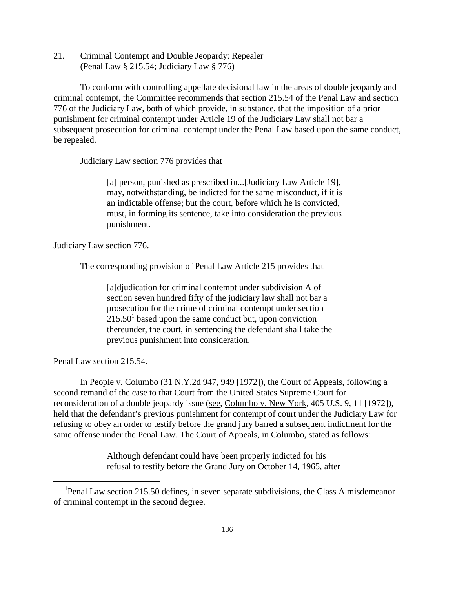21. Criminal Contempt and Double Jeopardy: Repealer (Penal Law § 215.54; Judiciary Law § 776)

 To conform with controlling appellate decisional law in the areas of double jeopardy and criminal contempt, the Committee recommends that section 215.54 of the Penal Law and section 776 of the Judiciary Law, both of which provide, in substance, that the imposition of a prior punishment for criminal contempt under Article 19 of the Judiciary Law shall not bar a subsequent prosecution for criminal contempt under the Penal Law based upon the same conduct, be repealed.

Judiciary Law section 776 provides that

[a] person, punished as prescribed in...[Judiciary Law Article 19], may, notwithstanding, be indicted for the same misconduct, if it is an indictable offense; but the court, before which he is convicted, must, in forming its sentence, take into consideration the previous punishment.

Judiciary Law section 776.

The corresponding provision of Penal Law Article 215 provides that

[a]djudication for criminal contempt under subdivision A of section seven hundred fifty of the judiciary law shall not bar a prosecution for the crime of criminal contempt under section  $215.50<sup>1</sup>$  based upon the same conduct but, upon conviction thereunder, the court, in sentencing the defendant shall take the previous punishment into consideration.

Penal Law section 215.54.

<u>.</u>

 In People v. Columbo (31 N.Y.2d 947, 949 [1972]), the Court of Appeals, following a second remand of the case to that Court from the United States Supreme Court for reconsideration of a double jeopardy issue (see, Columbo v. New York, 405 U.S. 9, 11 [1972]), held that the defendant's previous punishment for contempt of court under the Judiciary Law for refusing to obey an order to testify before the grand jury barred a subsequent indictment for the same offense under the Penal Law. The Court of Appeals, in Columbo, stated as follows:

> Although defendant could have been properly indicted for his refusal to testify before the Grand Jury on October 14, 1965, after

<sup>&</sup>lt;sup>1</sup>Penal Law section 215.50 defines, in seven separate subdivisions, the Class A misdemeanor of criminal contempt in the second degree.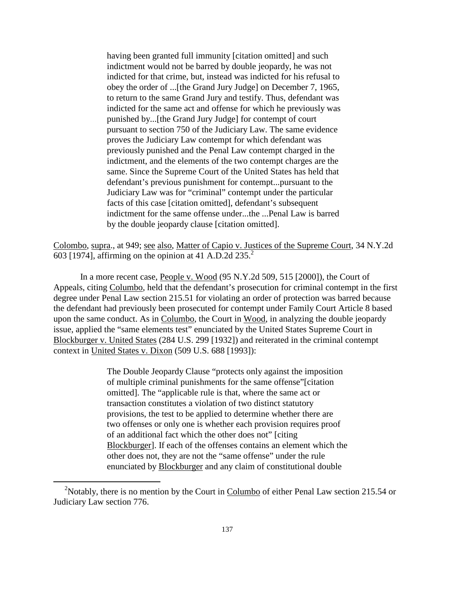having been granted full immunity [citation omitted] and such indictment would not be barred by double jeopardy, he was not indicted for that crime, but, instead was indicted for his refusal to obey the order of ...[the Grand Jury Judge] on December 7, 1965, to return to the same Grand Jury and testify. Thus, defendant was indicted for the same act and offense for which he previously was punished by...[the Grand Jury Judge] for contempt of court pursuant to section 750 of the Judiciary Law. The same evidence proves the Judiciary Law contempt for which defendant was previously punished and the Penal Law contempt charged in the indictment, and the elements of the two contempt charges are the same. Since the Supreme Court of the United States has held that defendant's previous punishment for contempt...pursuant to the Judiciary Law was for "criminal" contempt under the particular facts of this case [citation omitted], defendant's subsequent indictment for the same offense under...the ...Penal Law is barred by the double jeopardy clause [citation omitted].

Colombo, supra., at 949; see also, Matter of Capio v. Justices of the Supreme Court, 34 N.Y.2d 603 [1974], affirming on the opinion at 41 A.D.2d  $235.<sup>2</sup>$ 

 In a more recent case, People v. Wood (95 N.Y.2d 509, 515 [2000]), the Court of Appeals, citing Columbo, held that the defendant's prosecution for criminal contempt in the first degree under Penal Law section 215.51 for violating an order of protection was barred because the defendant had previously been prosecuted for contempt under Family Court Article 8 based upon the same conduct. As in Columbo, the Court in Wood, in analyzing the double jeopardy issue, applied the "same elements test" enunciated by the United States Supreme Court in Blockburger v. United States (284 U.S. 299 [1932]) and reiterated in the criminal contempt context in United States v. Dixon (509 U.S. 688 [1993]):

> The Double Jeopardy Clause "protects only against the imposition of multiple criminal punishments for the same offense"[citation omitted]. The "applicable rule is that, where the same act or transaction constitutes a violation of two distinct statutory provisions, the test to be applied to determine whether there are two offenses or only one is whether each provision requires proof of an additional fact which the other does not" [citing Blockburger]. If each of the offenses contains an element which the other does not, they are not the "same offense" under the rule enunciated by Blockburger and any claim of constitutional double

<u>.</u>

<sup>&</sup>lt;sup>2</sup>Notably, there is no mention by the Court in Columbo of either Penal Law section 215.54 or Judiciary Law section 776.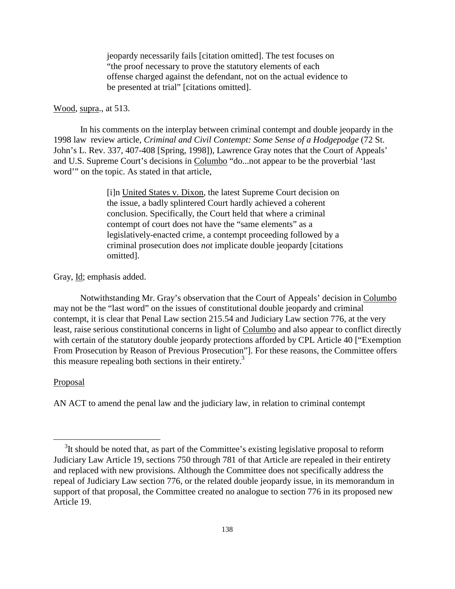jeopardy necessarily fails [citation omitted]. The test focuses on "the proof necessary to prove the statutory elements of each offense charged against the defendant, not on the actual evidence to be presented at trial" [citations omitted].

#### Wood, supra., at 513.

 In his comments on the interplay between criminal contempt and double jeopardy in the 1998 law review article, *Criminal and Civil Contempt: Some Sense of a Hodgepodge* (72 St. John's L. Rev. 337, 407-408 [Spring, 1998]), Lawrence Gray notes that the Court of Appeals' and U.S. Supreme Court's decisions in Columbo "do...not appear to be the proverbial 'last word'" on the topic. As stated in that article,

> [i]n United States v. Dixon, the latest Supreme Court decision on the issue, a badly splintered Court hardly achieved a coherent conclusion. Specifically, the Court held that where a criminal contempt of court does not have the "same elements" as a legislatively-enacted crime, a contempt proceeding followed by a criminal prosecution does *not* implicate double jeopardy [citations omitted].

Gray, <u>Id</u>; emphasis added.

 Notwithstanding Mr. Gray's observation that the Court of Appeals' decision in Columbo may not be the "last word" on the issues of constitutional double jeopardy and criminal contempt, it is clear that Penal Law section 215.54 and Judiciary Law section 776, at the very least, raise serious constitutional concerns in light of Columbo and also appear to conflict directly with certain of the statutory double jeopardy protections afforded by CPL Article 40 ["Exemption"] From Prosecution by Reason of Previous Prosecution"]. For these reasons, the Committee offers this measure repealing both sections in their entirety.<sup>3</sup>

## Proposal

-

AN ACT to amend the penal law and the judiciary law, in relation to criminal contempt

 $3$ It should be noted that, as part of the Committee's existing legislative proposal to reform Judiciary Law Article 19, sections 750 through 781 of that Article are repealed in their entirety and replaced with new provisions. Although the Committee does not specifically address the repeal of Judiciary Law section 776, or the related double jeopardy issue, in its memorandum in support of that proposal, the Committee created no analogue to section 776 in its proposed new Article 19.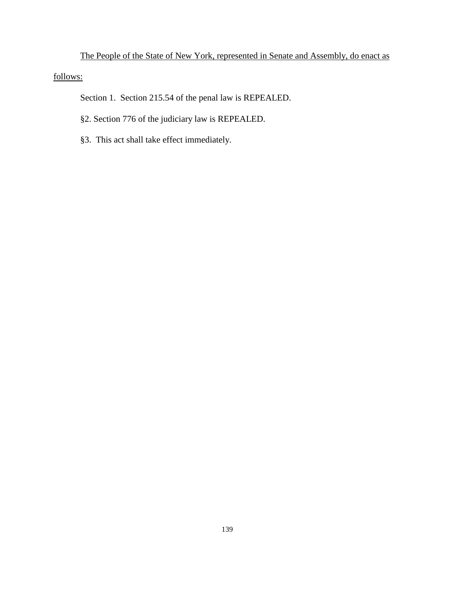The People of the State of New York, represented in Senate and Assembly, do enact as follows:

Section 1. Section 215.54 of the penal law is REPEALED.

- §2. Section 776 of the judiciary law is REPEALED.
- §3. This act shall take effect immediately.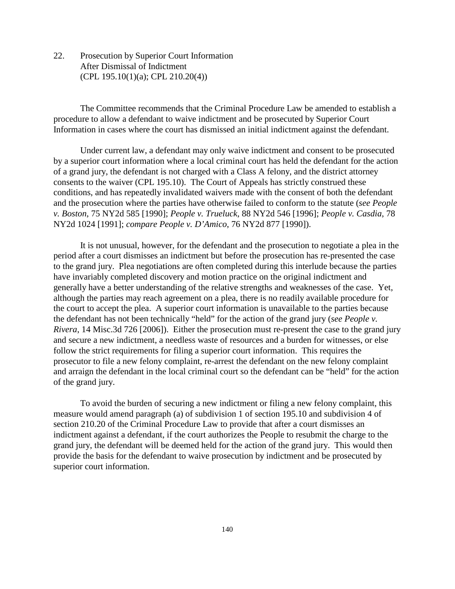22. Prosecution by Superior Court Information After Dismissal of Indictment (CPL 195.10(1)(a); CPL 210.20(4))

The Committee recommends that the Criminal Procedure Law be amended to establish a procedure to allow a defendant to waive indictment and be prosecuted by Superior Court Information in cases where the court has dismissed an initial indictment against the defendant.

Under current law, a defendant may only waive indictment and consent to be prosecuted by a superior court information where a local criminal court has held the defendant for the action of a grand jury, the defendant is not charged with a Class A felony, and the district attorney consents to the waiver (CPL 195.10). The Court of Appeals has strictly construed these conditions, and has repeatedly invalidated waivers made with the consent of both the defendant and the prosecution where the parties have otherwise failed to conform to the statute (*see People v. Boston*, 75 NY2d 585 [1990]; *People v. Trueluck*, 88 NY2d 546 [1996]; *People v. Casdia*, 78 NY2d 1024 [1991]; *compare People v. D'Amico*, 76 NY2d 877 [1990]).

It is not unusual, however, for the defendant and the prosecution to negotiate a plea in the period after a court dismisses an indictment but before the prosecution has re-presented the case to the grand jury. Plea negotiations are often completed during this interlude because the parties have invariably completed discovery and motion practice on the original indictment and generally have a better understanding of the relative strengths and weaknesses of the case. Yet, although the parties may reach agreement on a plea, there is no readily available procedure for the court to accept the plea. A superior court information is unavailable to the parties because the defendant has not been technically "held" for the action of the grand jury (*see People v. Rivera*, 14 Misc.3d 726 [2006]). Either the prosecution must re-present the case to the grand jury and secure a new indictment, a needless waste of resources and a burden for witnesses, or else follow the strict requirements for filing a superior court information. This requires the prosecutor to file a new felony complaint, re-arrest the defendant on the new felony complaint and arraign the defendant in the local criminal court so the defendant can be "held" for the action of the grand jury.

To avoid the burden of securing a new indictment or filing a new felony complaint, this measure would amend paragraph (a) of subdivision 1 of section 195.10 and subdivision 4 of section 210.20 of the Criminal Procedure Law to provide that after a court dismisses an indictment against a defendant, if the court authorizes the People to resubmit the charge to the grand jury, the defendant will be deemed held for the action of the grand jury. This would then provide the basis for the defendant to waive prosecution by indictment and be prosecuted by superior court information.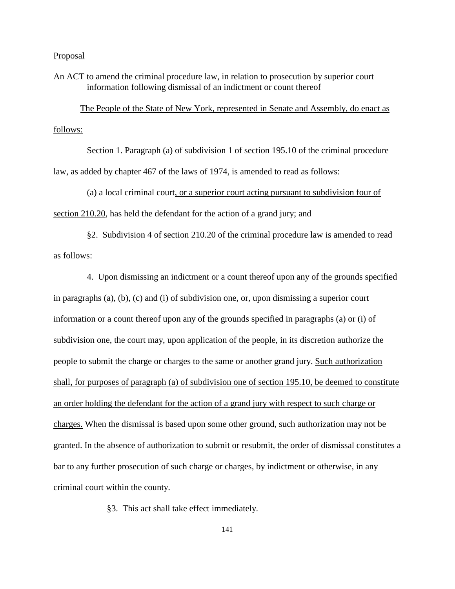## Proposal

An ACT to amend the criminal procedure law, in relation to prosecution by superior court information following dismissal of an indictment or count thereof

The People of the State of New York, represented in Senate and Assembly, do enact as follows:

 Section 1. Paragraph (a) of subdivision 1 of section 195.10 of the criminal procedure law, as added by chapter 467 of the laws of 1974, is amended to read as follows:

 (a) a local criminal court, or a superior court acting pursuant to subdivision four of section 210.20, has held the defendant for the action of a grand jury; and

 §2. Subdivision 4 of section 210.20 of the criminal procedure law is amended to read as follows:

 4. Upon dismissing an indictment or a count thereof upon any of the grounds specified in paragraphs (a), (b), (c) and (i) of subdivision one, or, upon dismissing a superior court information or a count thereof upon any of the grounds specified in paragraphs (a) or (i) of subdivision one, the court may, upon application of the people, in its discretion authorize the people to submit the charge or charges to the same or another grand jury. Such authorization shall, for purposes of paragraph (a) of subdivision one of section 195.10, be deemed to constitute an order holding the defendant for the action of a grand jury with respect to such charge or charges. When the dismissal is based upon some other ground, such authorization may not be granted. In the absence of authorization to submit or resubmit, the order of dismissal constitutes a bar to any further prosecution of such charge or charges, by indictment or otherwise, in any criminal court within the county.

§3. This act shall take effect immediately.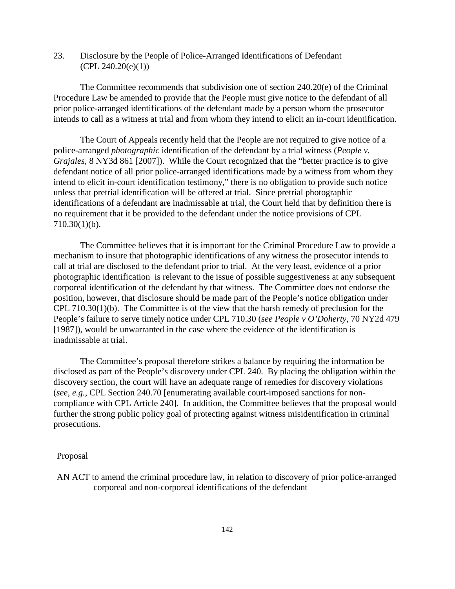23. Disclosure by the People of Police-Arranged Identifications of Defendant  $(CPL 240.20(e)(1))$ 

 The Committee recommends that subdivision one of section 240.20(e) of the Criminal Procedure Law be amended to provide that the People must give notice to the defendant of all prior police-arranged identifications of the defendant made by a person whom the prosecutor intends to call as a witness at trial and from whom they intend to elicit an in-court identification.

 The Court of Appeals recently held that the People are not required to give notice of a police-arranged *photographic* identification of the defendant by a trial witness (*People v. Grajales*, 8 NY3d 861 [2007]). While the Court recognized that the "better practice is to give defendant notice of all prior police-arranged identifications made by a witness from whom they intend to elicit in-court identification testimony," there is no obligation to provide such notice unless that pretrial identification will be offered at trial. Since pretrial photographic identifications of a defendant are inadmissable at trial, the Court held that by definition there is no requirement that it be provided to the defendant under the notice provisions of CPL 710.30(1)(b).

 The Committee believes that it is important for the Criminal Procedure Law to provide a mechanism to insure that photographic identifications of any witness the prosecutor intends to call at trial are disclosed to the defendant prior to trial. At the very least, evidence of a prior photographic identification is relevant to the issue of possible suggestiveness at any subsequent corporeal identification of the defendant by that witness. The Committee does not endorse the position, however, that disclosure should be made part of the People's notice obligation under CPL 710.30(1)(b). The Committee is of the view that the harsh remedy of preclusion for the People's failure to serve timely notice under CPL 710.30 (*see People v O'Doherty*, 70 NY2d 479 [1987]), would be unwarranted in the case where the evidence of the identification is inadmissable at trial.

The Committee's proposal therefore strikes a balance by requiring the information be disclosed as part of the People's discovery under CPL 240. By placing the obligation within the discovery section, the court will have an adequate range of remedies for discovery violations (*see, e.g.*, CPL Section 240.70 [enumerating available court-imposed sanctions for noncompliance with CPL Article 240]. In addition, the Committee believes that the proposal would further the strong public policy goal of protecting against witness misidentification in criminal prosecutions.

#### **Proposal**

AN ACT to amend the criminal procedure law, in relation to discovery of prior police-arranged corporeal and non-corporeal identifications of the defendant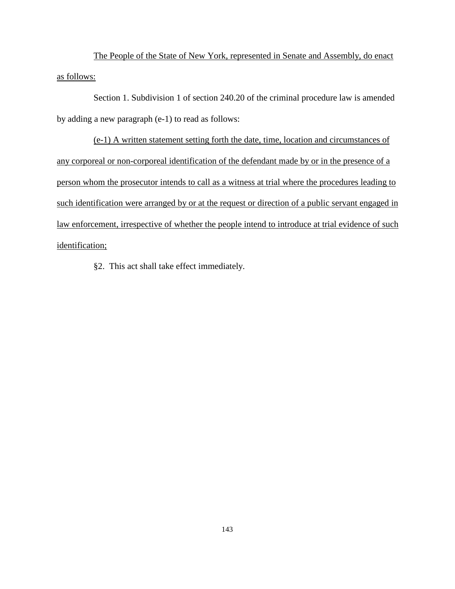The People of the State of New York, represented in Senate and Assembly, do enact as follows:

 Section 1. Subdivision 1 of section 240.20 of the criminal procedure law is amended by adding a new paragraph (e-1) to read as follows:

 (e-1) A written statement setting forth the date, time, location and circumstances of any corporeal or non-corporeal identification of the defendant made by or in the presence of a person whom the prosecutor intends to call as a witness at trial where the procedures leading to such identification were arranged by or at the request or direction of a public servant engaged in law enforcement, irrespective of whether the people intend to introduce at trial evidence of such identification;

§2. This act shall take effect immediately.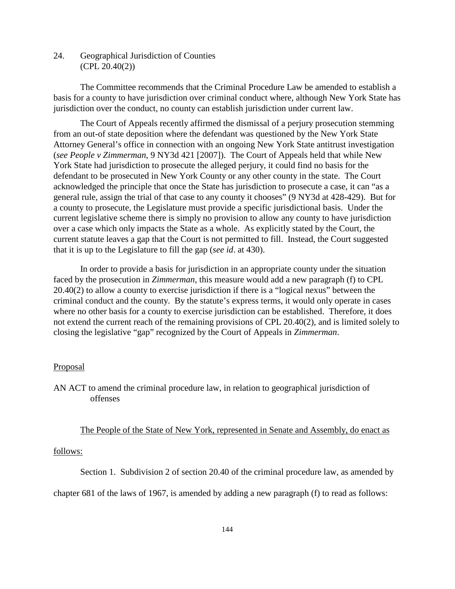24. Geographical Jurisdiction of Counties (CPL 20.40(2))

The Committee recommends that the Criminal Procedure Law be amended to establish a basis for a county to have jurisdiction over criminal conduct where, although New York State has jurisdiction over the conduct, no county can establish jurisdiction under current law.

The Court of Appeals recently affirmed the dismissal of a perjury prosecution stemming from an out-of state deposition where the defendant was questioned by the New York State Attorney General's office in connection with an ongoing New York State antitrust investigation (*see People v Zimmerman*, 9 NY3d 421 [2007]). The Court of Appeals held that while New York State had jurisdiction to prosecute the alleged perjury, it could find no basis for the defendant to be prosecuted in New York County or any other county in the state. The Court acknowledged the principle that once the State has jurisdiction to prosecute a case, it can "as a general rule, assign the trial of that case to any county it chooses" (9 NY3d at 428-429). But for a county to prosecute, the Legislature must provide a specific jurisdictional basis. Under the current legislative scheme there is simply no provision to allow any county to have jurisdiction over a case which only impacts the State as a whole. As explicitly stated by the Court, the current statute leaves a gap that the Court is not permitted to fill. Instead, the Court suggested that it is up to the Legislature to fill the gap (*see id*. at 430).

In order to provide a basis for jurisdiction in an appropriate county under the situation faced by the prosecution in *Zimmerman*, this measure would add a new paragraph (f) to CPL 20.40(2) to allow a county to exercise jurisdiction if there is a "logical nexus" between the criminal conduct and the county. By the statute's express terms, it would only operate in cases where no other basis for a county to exercise jurisdiction can be established. Therefore, it does not extend the current reach of the remaining provisions of CPL 20.40(2), and is limited solely to closing the legislative "gap" recognized by the Court of Appeals in *Zimmerman*.

#### **Proposal**

AN ACT to amend the criminal procedure law, in relation to geographical jurisdiction of offenses

# The People of the State of New York, represented in Senate and Assembly, do enact as

#### follows:

Section 1. Subdivision 2 of section 20.40 of the criminal procedure law, as amended by

chapter 681 of the laws of 1967, is amended by adding a new paragraph (f) to read as follows: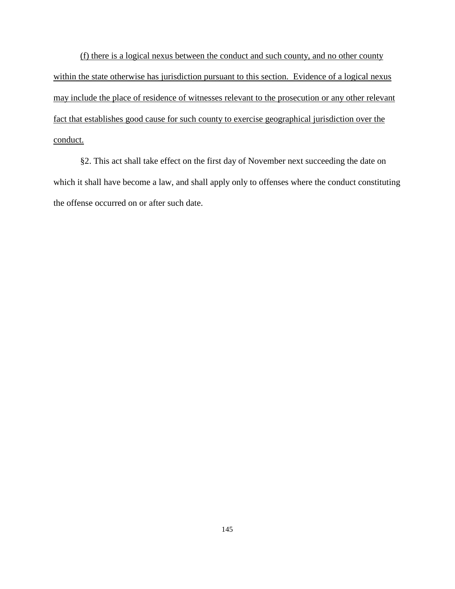(f) there is a logical nexus between the conduct and such county, and no other county within the state otherwise has jurisdiction pursuant to this section. Evidence of a logical nexus may include the place of residence of witnesses relevant to the prosecution or any other relevant fact that establishes good cause for such county to exercise geographical jurisdiction over the conduct.

§2. This act shall take effect on the first day of November next succeeding the date on which it shall have become a law, and shall apply only to offenses where the conduct constituting the offense occurred on or after such date.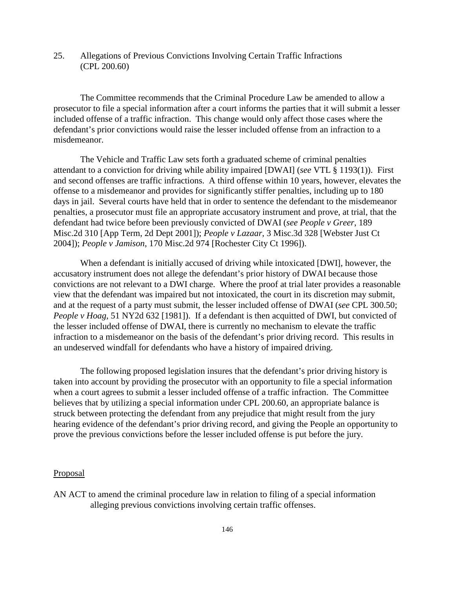# 25. Allegations of Previous Convictions Involving Certain Traffic Infractions (CPL 200.60)

The Committee recommends that the Criminal Procedure Law be amended to allow a prosecutor to file a special information after a court informs the parties that it will submit a lesser included offense of a traffic infraction. This change would only affect those cases where the defendant's prior convictions would raise the lesser included offense from an infraction to a misdemeanor.

The Vehicle and Traffic Law sets forth a graduated scheme of criminal penalties attendant to a conviction for driving while ability impaired [DWAI] (*see* VTL § 1193(1)). First and second offenses are traffic infractions. A third offense within 10 years, however, elevates the offense to a misdemeanor and provides for significantly stiffer penalties, including up to 180 days in jail. Several courts have held that in order to sentence the defendant to the misdemeanor penalties, a prosecutor must file an appropriate accusatory instrument and prove, at trial, that the defendant had twice before been previously convicted of DWAI (*see People v Greer*, 189 Misc.2d 310 [App Term, 2d Dept 2001]); *People v Lazaar*, 3 Misc.3d 328 [Webster Just Ct 2004]); *People v Jamison*, 170 Misc.2d 974 [Rochester City Ct 1996]).

When a defendant is initially accused of driving while intoxicated [DWI], however, the accusatory instrument does not allege the defendant's prior history of DWAI because those convictions are not relevant to a DWI charge. Where the proof at trial later provides a reasonable view that the defendant was impaired but not intoxicated, the court in its discretion may submit, and at the request of a party must submit, the lesser included offense of DWAI (*see* CPL 300.50; *People v Hoag*, 51 NY2d 632 [1981]). If a defendant is then acquitted of DWI, but convicted of the lesser included offense of DWAI, there is currently no mechanism to elevate the traffic infraction to a misdemeanor on the basis of the defendant's prior driving record. This results in an undeserved windfall for defendants who have a history of impaired driving.

The following proposed legislation insures that the defendant's prior driving history is taken into account by providing the prosecutor with an opportunity to file a special information when a court agrees to submit a lesser included offense of a traffic infraction. The Committee believes that by utilizing a special information under CPL 200.60, an appropriate balance is struck between protecting the defendant from any prejudice that might result from the jury hearing evidence of the defendant's prior driving record, and giving the People an opportunity to prove the previous convictions before the lesser included offense is put before the jury.

#### **Proposal**

AN ACT to amend the criminal procedure law in relation to filing of a special information alleging previous convictions involving certain traffic offenses.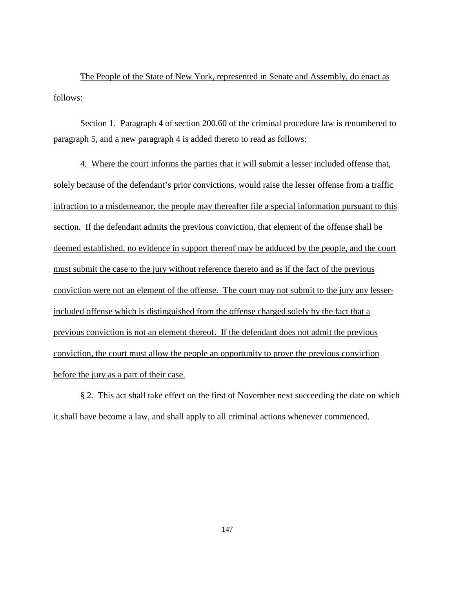The People of the State of New York, represented in Senate and Assembly, do enact as follows:

Section 1. Paragraph 4 of section 200.60 of the criminal procedure law is renumbered to paragraph 5, and a new paragraph 4 is added thereto to read as follows:

4. Where the court informs the parties that it will submit a lesser included offense that, solely because of the defendant's prior convictions, would raise the lesser offense from a traffic infraction to a misdemeanor, the people may thereafter file a special information pursuant to this section. If the defendant admits the previous conviction, that element of the offense shall be deemed established, no evidence in support thereof may be adduced by the people, and the court must submit the case to the jury without reference thereto and as if the fact of the previous conviction were not an element of the offense. The court may not submit to the jury any lesserincluded offense which is distinguished from the offense charged solely by the fact that a previous conviction is not an element thereof. If the defendant does not admit the previous conviction, the court must allow the people an opportunity to prove the previous conviction before the jury as a part of their case.

§ 2. This act shall take effect on the first of November next succeeding the date on which it shall have become a law, and shall apply to all criminal actions whenever commenced.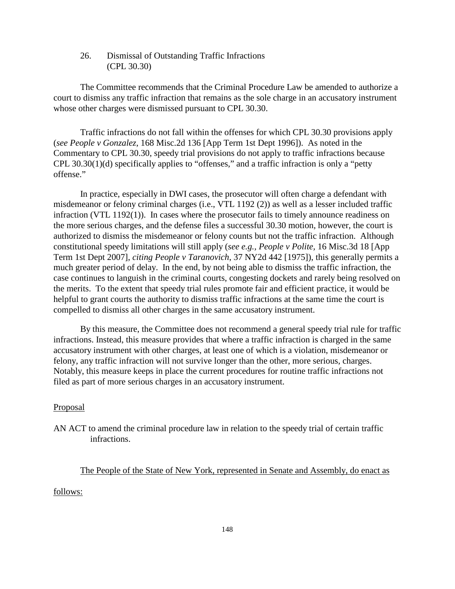26. Dismissal of Outstanding Traffic Infractions (CPL 30.30)

The Committee recommends that the Criminal Procedure Law be amended to authorize a court to dismiss any traffic infraction that remains as the sole charge in an accusatory instrument whose other charges were dismissed pursuant to CPL 30.30.

Traffic infractions do not fall within the offenses for which CPL 30.30 provisions apply (*see People v Gonzalez*, 168 Misc.2d 136 [App Term 1st Dept 1996]). As noted in the Commentary to CPL 30.30, speedy trial provisions do not apply to traffic infractions because CPL 30.30(1)(d) specifically applies to "offenses," and a traffic infraction is only a "petty offense."

In practice, especially in DWI cases, the prosecutor will often charge a defendant with misdemeanor or felony criminal charges (i.e., VTL 1192 (2)) as well as a lesser included traffic infraction (VTL 1192(1)). In cases where the prosecutor fails to timely announce readiness on the more serious charges, and the defense files a successful 30.30 motion, however, the court is authorized to dismiss the misdemeanor or felony counts but not the traffic infraction. Although constitutional speedy limitations will still apply (*see e.g., People v Polite,* 16 Misc.3d 18 [App Term 1st Dept 2007], *citing People v Taranovich*, 37 NY2d 442 [1975]), this generally permits a much greater period of delay. In the end, by not being able to dismiss the traffic infraction, the case continues to languish in the criminal courts, congesting dockets and rarely being resolved on the merits. To the extent that speedy trial rules promote fair and efficient practice, it would be helpful to grant courts the authority to dismiss traffic infractions at the same time the court is compelled to dismiss all other charges in the same accusatory instrument.

By this measure, the Committee does not recommend a general speedy trial rule for traffic infractions. Instead, this measure provides that where a traffic infraction is charged in the same accusatory instrument with other charges, at least one of which is a violation, misdemeanor or felony, any traffic infraction will not survive longer than the other, more serious, charges. Notably, this measure keeps in place the current procedures for routine traffic infractions not filed as part of more serious charges in an accusatory instrument.

# Proposal

AN ACT to amend the criminal procedure law in relation to the speedy trial of certain traffic infractions.

The People of the State of New York, represented in Senate and Assembly, do enact as

# follows: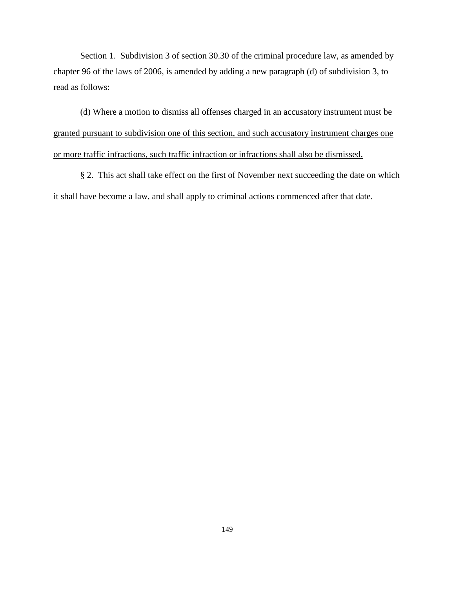Section 1. Subdivision 3 of section 30.30 of the criminal procedure law, as amended by chapter 96 of the laws of 2006, is amended by adding a new paragraph (d) of subdivision 3, to read as follows:

(d) Where a motion to dismiss all offenses charged in an accusatory instrument must be granted pursuant to subdivision one of this section, and such accusatory instrument charges one or more traffic infractions, such traffic infraction or infractions shall also be dismissed.

§ 2. This act shall take effect on the first of November next succeeding the date on which it shall have become a law, and shall apply to criminal actions commenced after that date.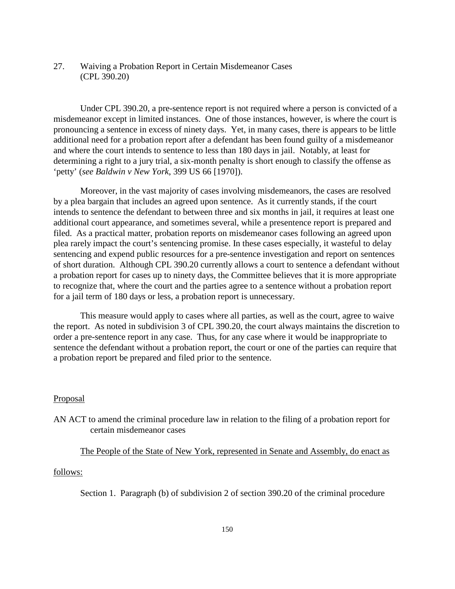# 27. Waiving a Probation Report in Certain Misdemeanor Cases (CPL 390.20)

Under CPL 390.20, a pre-sentence report is not required where a person is convicted of a misdemeanor except in limited instances. One of those instances, however, is where the court is pronouncing a sentence in excess of ninety days. Yet, in many cases, there is appears to be little additional need for a probation report after a defendant has been found guilty of a misdemeanor and where the court intends to sentence to less than 180 days in jail. Notably, at least for determining a right to a jury trial, a six-month penalty is short enough to classify the offense as 'petty' (*see Baldwin v New York*, 399 US 66 [1970]).

Moreover, in the vast majority of cases involving misdemeanors, the cases are resolved by a plea bargain that includes an agreed upon sentence. As it currently stands, if the court intends to sentence the defendant to between three and six months in jail, it requires at least one additional court appearance, and sometimes several, while a presentence report is prepared and filed. As a practical matter, probation reports on misdemeanor cases following an agreed upon plea rarely impact the court's sentencing promise. In these cases especially, it wasteful to delay sentencing and expend public resources for a pre-sentence investigation and report on sentences of short duration. Although CPL 390.20 currently allows a court to sentence a defendant without a probation report for cases up to ninety days, the Committee believes that it is more appropriate to recognize that, where the court and the parties agree to a sentence without a probation report for a jail term of 180 days or less, a probation report is unnecessary.

This measure would apply to cases where all parties, as well as the court, agree to waive the report. As noted in subdivision 3 of CPL 390.20, the court always maintains the discretion to order a pre-sentence report in any case. Thus, for any case where it would be inappropriate to sentence the defendant without a probation report, the court or one of the parties can require that a probation report be prepared and filed prior to the sentence.

## Proposal

AN ACT to amend the criminal procedure law in relation to the filing of a probation report for certain misdemeanor cases

# The People of the State of New York, represented in Senate and Assembly, do enact as

### follows:

Section 1. Paragraph (b) of subdivision 2 of section 390.20 of the criminal procedure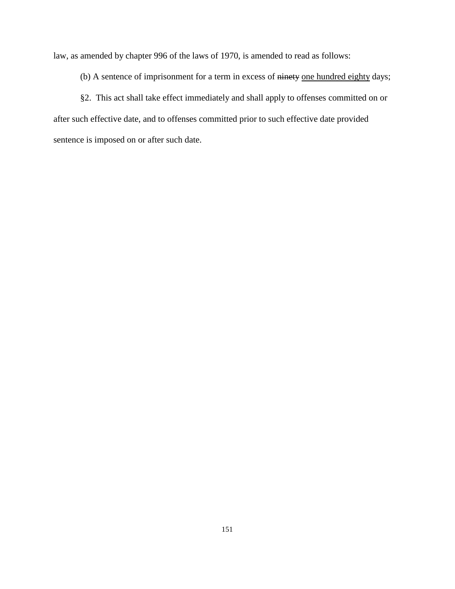law, as amended by chapter 996 of the laws of 1970, is amended to read as follows:

(b) A sentence of imprisonment for a term in excess of ninety one hundred eighty days;

§2. This act shall take effect immediately and shall apply to offenses committed on or after such effective date, and to offenses committed prior to such effective date provided sentence is imposed on or after such date.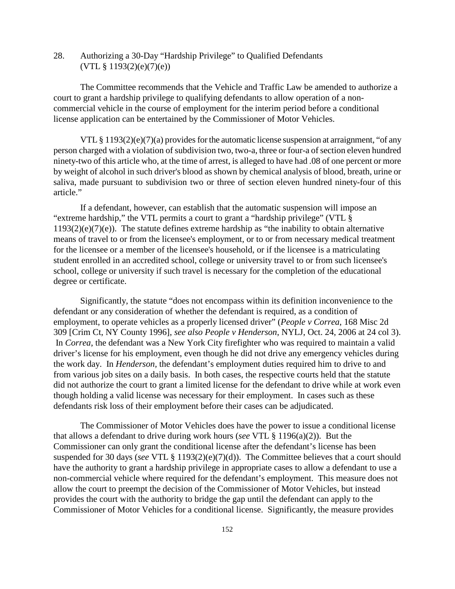28. Authorizing a 30-Day "Hardship Privilege" to Qualified Defendants  $(VTL \S 1193(2)(e)(7)(e))$ 

The Committee recommends that the Vehicle and Traffic Law be amended to authorize a court to grant a hardship privilege to qualifying defendants to allow operation of a noncommercial vehicle in the course of employment for the interim period before a conditional license application can be entertained by the Commissioner of Motor Vehicles.

VTL § 1193(2)(e)(7)(a) provides for the automatic license suspension at arraignment, "of any person charged with a violation of subdivision two, two-a, three or four-a of section eleven hundred ninety-two of this article who, at the time of arrest, is alleged to have had .08 of one percent or more by weight of alcohol in such driver's blood as shown by chemical analysis of blood, breath, urine or saliva, made pursuant to subdivision two or three of section eleven hundred ninety-four of this article."

If a defendant, however, can establish that the automatic suspension will impose an "extreme hardship," the VTL permits a court to grant a "hardship privilege" (VTL §  $1193(2)(e)(7)(e)$ ). The statute defines extreme hardship as "the inability to obtain alternative means of travel to or from the licensee's employment, or to or from necessary medical treatment for the licensee or a member of the licensee's household, or if the licensee is a matriculating student enrolled in an accredited school, college or university travel to or from such licensee's school, college or university if such travel is necessary for the completion of the educational degree or certificate.

Significantly, the statute "does not encompass within its definition inconvenience to the defendant or any consideration of whether the defendant is required, as a condition of employment, to operate vehicles as a properly licensed driver" (*People v Correa*, 168 Misc 2d 309 [Crim Ct, NY County 1996], *see also People v Henderson*, NYLJ, Oct. 24, 2006 at 24 col 3). In *Correa*, the defendant was a New York City firefighter who was required to maintain a valid driver's license for his employment, even though he did not drive any emergency vehicles during the work day. In *Henderson,* the defendant's employment duties required him to drive to and from various job sites on a daily basis. In both cases, the respective courts held that the statute did not authorize the court to grant a limited license for the defendant to drive while at work even though holding a valid license was necessary for their employment. In cases such as these defendants risk loss of their employment before their cases can be adjudicated.

The Commissioner of Motor Vehicles does have the power to issue a conditional license that allows a defendant to drive during work hours (*see* VTL § 1196(a)(2)). But the Commissioner can only grant the conditional license after the defendant's license has been suspended for 30 days (*see* VTL § 1193(2)(e)(7)(d)). The Committee believes that a court should have the authority to grant a hardship privilege in appropriate cases to allow a defendant to use a non-commercial vehicle where required for the defendant's employment. This measure does not allow the court to preempt the decision of the Commissioner of Motor Vehicles, but instead provides the court with the authority to bridge the gap until the defendant can apply to the Commissioner of Motor Vehicles for a conditional license. Significantly, the measure provides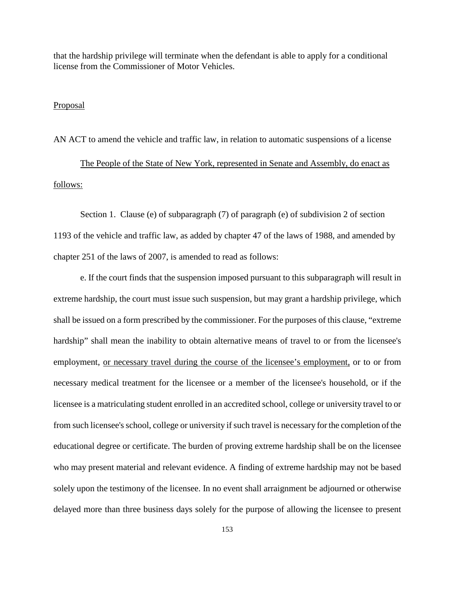that the hardship privilege will terminate when the defendant is able to apply for a conditional license from the Commissioner of Motor Vehicles.

## Proposal

AN ACT to amend the vehicle and traffic law, in relation to automatic suspensions of a license

The People of the State of New York, represented in Senate and Assembly, do enact as follows:

Section 1. Clause (e) of subparagraph (7) of paragraph (e) of subdivision 2 of section 1193 of the vehicle and traffic law, as added by chapter 47 of the laws of 1988, and amended by chapter 251 of the laws of 2007, is amended to read as follows:

e. If the court finds that the suspension imposed pursuant to this subparagraph will result in extreme hardship, the court must issue such suspension, but may grant a hardship privilege, which shall be issued on a form prescribed by the commissioner. For the purposes of this clause, "extreme hardship" shall mean the inability to obtain alternative means of travel to or from the licensee's employment, or necessary travel during the course of the licensee's employment, or to or from necessary medical treatment for the licensee or a member of the licensee's household, or if the licensee is a matriculating student enrolled in an accredited school, college or university travel to or from such licensee's school, college or university if such travel is necessary for the completion of the educational degree or certificate. The burden of proving extreme hardship shall be on the licensee who may present material and relevant evidence. A finding of extreme hardship may not be based solely upon the testimony of the licensee. In no event shall arraignment be adjourned or otherwise delayed more than three business days solely for the purpose of allowing the licensee to present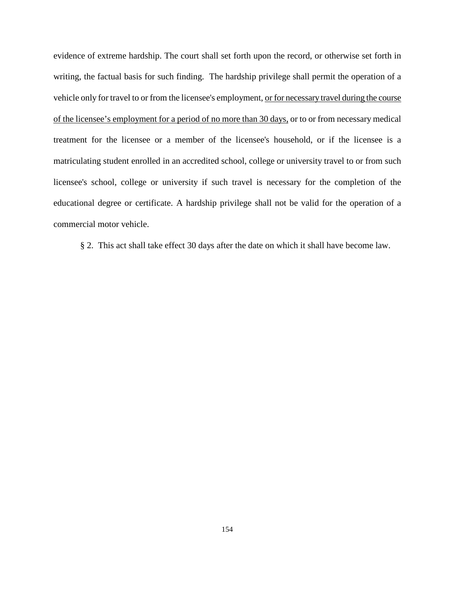evidence of extreme hardship. The court shall set forth upon the record, or otherwise set forth in writing, the factual basis for such finding. The hardship privilege shall permit the operation of a vehicle only for travel to or from the licensee's employment, or for necessary travel during the course of the licensee's employment for a period of no more than 30 days, or to or from necessary medical treatment for the licensee or a member of the licensee's household, or if the licensee is a matriculating student enrolled in an accredited school, college or university travel to or from such licensee's school, college or university if such travel is necessary for the completion of the educational degree or certificate. A hardship privilege shall not be valid for the operation of a commercial motor vehicle.

§ 2. This act shall take effect 30 days after the date on which it shall have become law.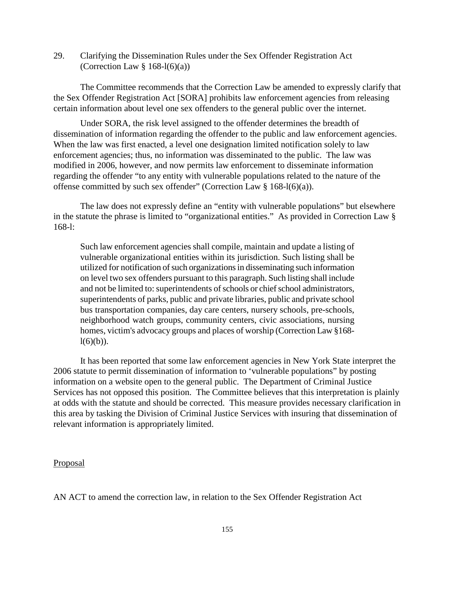29. Clarifying the Dissemination Rules under the Sex Offender Registration Act (Correction Law  $\S 168-l(6)(a)$ )

The Committee recommends that the Correction Law be amended to expressly clarify that the Sex Offender Registration Act [SORA] prohibits law enforcement agencies from releasing certain information about level one sex offenders to the general public over the internet.

Under SORA, the risk level assigned to the offender determines the breadth of dissemination of information regarding the offender to the public and law enforcement agencies. When the law was first enacted, a level one designation limited notification solely to law enforcement agencies; thus, no information was disseminated to the public. The law was modified in 2006, however, and now permits law enforcement to disseminate information regarding the offender "to any entity with vulnerable populations related to the nature of the offense committed by such sex offender" (Correction Law § 168-l(6)(a)).

The law does not expressly define an "entity with vulnerable populations" but elsewhere in the statute the phrase is limited to "organizational entities." As provided in Correction Law § 168-l:

Such law enforcement agencies shall compile, maintain and update a listing of vulnerable organizational entities within its jurisdiction. Such listing shall be utilized for notification of such organizations in disseminating such information on level two sex offenders pursuant to this paragraph. Such listing shall include and not be limited to: superintendents of schools or chief school administrators, superintendents of parks, public and private libraries, public and private school bus transportation companies, day care centers, nursery schools, pre-schools, neighborhood watch groups, community centers, civic associations, nursing homes, victim's advocacy groups and places of worship (Correction Law §168  $l(6)(b)$ ).

It has been reported that some law enforcement agencies in New York State interpret the 2006 statute to permit dissemination of information to 'vulnerable populations" by posting information on a website open to the general public. The Department of Criminal Justice Services has not opposed this position. The Committee believes that this interpretation is plainly at odds with the statute and should be corrected. This measure provides necessary clarification in this area by tasking the Division of Criminal Justice Services with insuring that dissemination of relevant information is appropriately limited.

### Proposal

AN ACT to amend the correction law, in relation to the Sex Offender Registration Act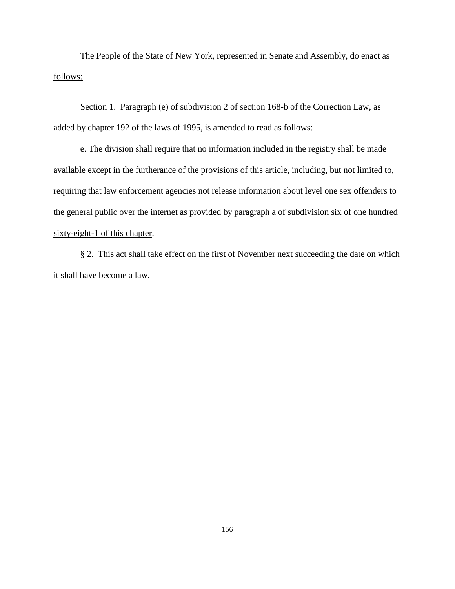The People of the State of New York, represented in Senate and Assembly, do enact as follows:

Section 1. Paragraph (e) of subdivision 2 of section 168-b of the Correction Law, as added by chapter 192 of the laws of 1995, is amended to read as follows:

e. The division shall require that no information included in the registry shall be made available except in the furtherance of the provisions of this article, including, but not limited to, requiring that law enforcement agencies not release information about level one sex offenders to the general public over the internet as provided by paragraph a of subdivision six of one hundred sixty-eight-1 of this chapter.

§ 2. This act shall take effect on the first of November next succeeding the date on which it shall have become a law.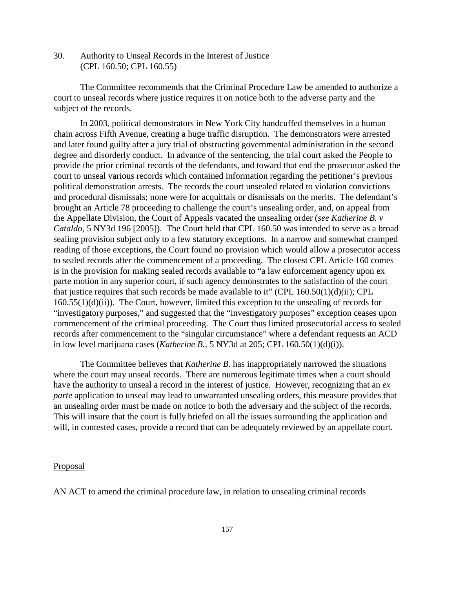30. Authority to Unseal Records in the Interest of Justice (CPL 160.50; CPL 160.55)

The Committee recommends that the Criminal Procedure Law be amended to authorize a court to unseal records where justice requires it on notice both to the adverse party and the subject of the records.

In 2003, political demonstrators in New York City handcuffed themselves in a human chain across Fifth Avenue, creating a huge traffic disruption. The demonstrators were arrested and later found guilty after a jury trial of obstructing governmental administration in the second degree and disorderly conduct. In advance of the sentencing, the trial court asked the People to provide the prior criminal records of the defendants, and toward that end the prosecutor asked the court to unseal various records which contained information regarding the petitioner's previous political demonstration arrests. The records the court unsealed related to violation convictions and procedural dismissals; none were for acquittals or dismissals on the merits. The defendant's brought an Article 78 proceeding to challenge the court's unsealing order, and, on appeal from the Appellate Division, the Court of Appeals vacated the unsealing order (*see Katherine B. v Cataldo,* 5 NY3d 196 [2005]). The Court held that CPL 160.50 was intended to serve as a broad sealing provision subject only to a few statutory exceptions. In a narrow and somewhat cramped reading of those exceptions, the Court found no provision which would allow a prosecutor access to sealed records after the commencement of a proceeding. The closest CPL Article 160 comes is in the provision for making sealed records available to "a law enforcement agency upon ex parte motion in any superior court, if such agency demonstrates to the satisfaction of the court that justice requires that such records be made available to it" (CPL  $160.50(1)(d)(ii)$ ; CPL 160.55(1)(d)(ii)). The Court, however, limited this exception to the unsealing of records for "investigatory purposes," and suggested that the "investigatory purposes" exception ceases upon commencement of the criminal proceeding. The Court thus limited prosecutorial access to sealed records after commencement to the "singular circumstance" where a defendant requests an ACD in low level marijuana cases (*Katherine B.,* 5 NY3d at 205; CPL 160.50(1)(d)(i)).

The Committee believes that *Katherine B*. has inappropriately narrowed the situations where the court may unseal records. There are numerous legitimate times when a court should have the authority to unseal a record in the interest of justice. However, recognizing that an *ex parte* application to unseal may lead to unwarranted unsealing orders, this measure provides that an unsealing order must be made on notice to both the adversary and the subject of the records. This will insure that the court is fully briefed on all the issues surrounding the application and will, in contested cases, provide a record that can be adequately reviewed by an appellate court.

## **Proposal**

AN ACT to amend the criminal procedure law, in relation to unsealing criminal records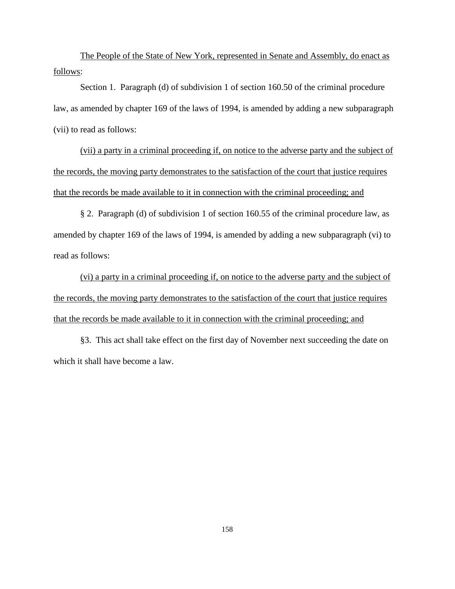The People of the State of New York, represented in Senate and Assembly, do enact as follows:

Section 1. Paragraph (d) of subdivision 1 of section 160.50 of the criminal procedure law, as amended by chapter 169 of the laws of 1994, is amended by adding a new subparagraph (vii) to read as follows:

(vii) a party in a criminal proceeding if, on notice to the adverse party and the subject of the records, the moving party demonstrates to the satisfaction of the court that justice requires that the records be made available to it in connection with the criminal proceeding; and

§ 2. Paragraph (d) of subdivision 1 of section 160.55 of the criminal procedure law, as amended by chapter 169 of the laws of 1994, is amended by adding a new subparagraph (vi) to read as follows:

(vi) a party in a criminal proceeding if, on notice to the adverse party and the subject of the records, the moving party demonstrates to the satisfaction of the court that justice requires that the records be made available to it in connection with the criminal proceeding; and

§3. This act shall take effect on the first day of November next succeeding the date on which it shall have become a law.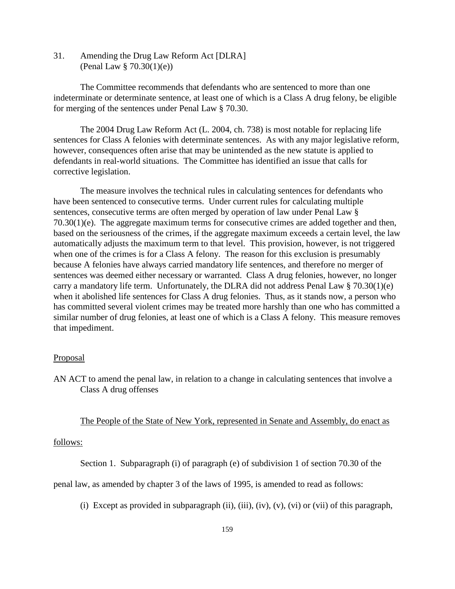31. Amending the Drug Law Reform Act [DLRA] (Penal Law § 70.30(1)(e))

The Committee recommends that defendants who are sentenced to more than one indeterminate or determinate sentence, at least one of which is a Class A drug felony, be eligible for merging of the sentences under Penal Law § 70.30.

The 2004 Drug Law Reform Act (L. 2004, ch. 738) is most notable for replacing life sentences for Class A felonies with determinate sentences. As with any major legislative reform, however, consequences often arise that may be unintended as the new statute is applied to defendants in real-world situations. The Committee has identified an issue that calls for corrective legislation.

The measure involves the technical rules in calculating sentences for defendants who have been sentenced to consecutive terms. Under current rules for calculating multiple sentences, consecutive terms are often merged by operation of law under Penal Law §  $70.30(1)(e)$ . The aggregate maximum terms for consecutive crimes are added together and then, based on the seriousness of the crimes, if the aggregate maximum exceeds a certain level, the law automatically adjusts the maximum term to that level. This provision, however, is not triggered when one of the crimes is for a Class A felony. The reason for this exclusion is presumably because A felonies have always carried mandatory life sentences, and therefore no merger of sentences was deemed either necessary or warranted. Class A drug felonies, however, no longer carry a mandatory life term. Unfortunately, the DLRA did not address Penal Law  $\S$  70.30(1)(e) when it abolished life sentences for Class A drug felonies. Thus, as it stands now, a person who has committed several violent crimes may be treated more harshly than one who has committed a similar number of drug felonies, at least one of which is a Class A felony. This measure removes that impediment.

#### Proposal

AN ACT to amend the penal law, in relation to a change in calculating sentences that involve a Class A drug offenses

## The People of the State of New York, represented in Senate and Assembly, do enact as

### follows:

Section 1. Subparagraph (i) of paragraph (e) of subdivision 1 of section 70.30 of the

penal law, as amended by chapter 3 of the laws of 1995, is amended to read as follows:

(i) Except as provided in subparagraph (ii), (iii), (iv), (v), (vi) or (vii) of this paragraph,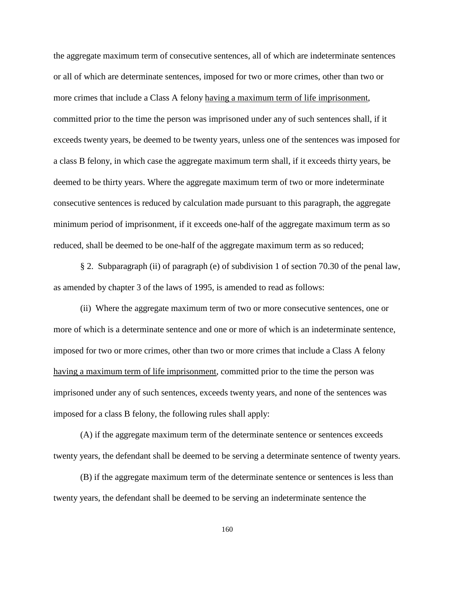the aggregate maximum term of consecutive sentences, all of which are indeterminate sentences or all of which are determinate sentences, imposed for two or more crimes, other than two or more crimes that include a Class A felony having a maximum term of life imprisonment, committed prior to the time the person was imprisoned under any of such sentences shall, if it exceeds twenty years, be deemed to be twenty years, unless one of the sentences was imposed for a class B felony, in which case the aggregate maximum term shall, if it exceeds thirty years, be deemed to be thirty years. Where the aggregate maximum term of two or more indeterminate consecutive sentences is reduced by calculation made pursuant to this paragraph, the aggregate minimum period of imprisonment, if it exceeds one-half of the aggregate maximum term as so reduced, shall be deemed to be one-half of the aggregate maximum term as so reduced;

 § 2. Subparagraph (ii) of paragraph (e) of subdivision 1 of section 70.30 of the penal law, as amended by chapter 3 of the laws of 1995, is amended to read as follows:

(ii) Where the aggregate maximum term of two or more consecutive sentences, one or more of which is a determinate sentence and one or more of which is an indeterminate sentence, imposed for two or more crimes, other than two or more crimes that include a Class A felony having a maximum term of life imprisonment, committed prior to the time the person was imprisoned under any of such sentences, exceeds twenty years, and none of the sentences was imposed for a class B felony, the following rules shall apply:

(A) if the aggregate maximum term of the determinate sentence or sentences exceeds twenty years, the defendant shall be deemed to be serving a determinate sentence of twenty years.

(B) if the aggregate maximum term of the determinate sentence or sentences is less than twenty years, the defendant shall be deemed to be serving an indeterminate sentence the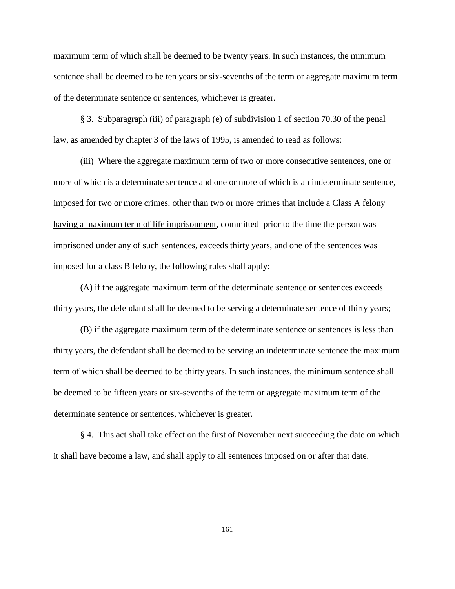maximum term of which shall be deemed to be twenty years. In such instances, the minimum sentence shall be deemed to be ten years or six-sevenths of the term or aggregate maximum term of the determinate sentence or sentences, whichever is greater.

 § 3. Subparagraph (iii) of paragraph (e) of subdivision 1 of section 70.30 of the penal law, as amended by chapter 3 of the laws of 1995, is amended to read as follows:

(iii) Where the aggregate maximum term of two or more consecutive sentences, one or more of which is a determinate sentence and one or more of which is an indeterminate sentence, imposed for two or more crimes, other than two or more crimes that include a Class A felony having a maximum term of life imprisonment, committed prior to the time the person was imprisoned under any of such sentences, exceeds thirty years, and one of the sentences was imposed for a class B felony, the following rules shall apply:

(A) if the aggregate maximum term of the determinate sentence or sentences exceeds thirty years, the defendant shall be deemed to be serving a determinate sentence of thirty years;

(B) if the aggregate maximum term of the determinate sentence or sentences is less than thirty years, the defendant shall be deemed to be serving an indeterminate sentence the maximum term of which shall be deemed to be thirty years. In such instances, the minimum sentence shall be deemed to be fifteen years or six-sevenths of the term or aggregate maximum term of the determinate sentence or sentences, whichever is greater.

§ 4. This act shall take effect on the first of November next succeeding the date on which it shall have become a law, and shall apply to all sentences imposed on or after that date.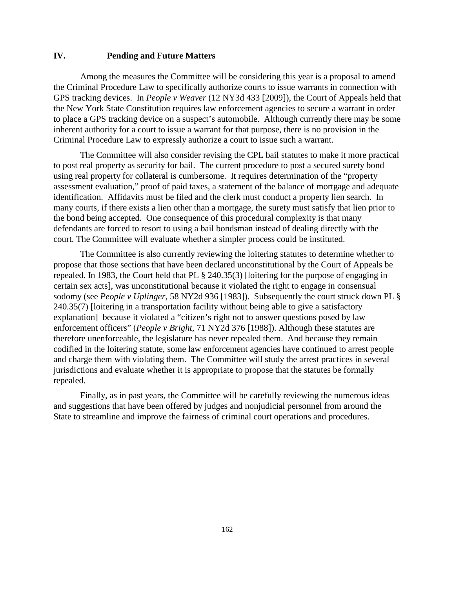## **IV. Pending and Future Matters**

Among the measures the Committee will be considering this year is a proposal to amend the Criminal Procedure Law to specifically authorize courts to issue warrants in connection with GPS tracking devices. In *People v Weaver* (12 NY3d 433 [2009]), the Court of Appeals held that the New York State Constitution requires law enforcement agencies to secure a warrant in order to place a GPS tracking device on a suspect's automobile. Although currently there may be some inherent authority for a court to issue a warrant for that purpose, there is no provision in the Criminal Procedure Law to expressly authorize a court to issue such a warrant.

The Committee will also consider revising the CPL bail statutes to make it more practical to post real property as security for bail. The current procedure to post a secured surety bond using real property for collateral is cumbersome. It requires determination of the "property assessment evaluation," proof of paid taxes, a statement of the balance of mortgage and adequate identification. Affidavits must be filed and the clerk must conduct a property lien search. In many courts, if there exists a lien other than a mortgage, the surety must satisfy that lien prior to the bond being accepted. One consequence of this procedural complexity is that many defendants are forced to resort to using a bail bondsman instead of dealing directly with the court. The Committee will evaluate whether a simpler process could be instituted.

The Committee is also currently reviewing the loitering statutes to determine whether to propose that those sections that have been declared unconstitutional by the Court of Appeals be repealed. In 1983, the Court held that PL § 240.35(3) [loitering for the purpose of engaging in certain sex acts], was unconstitutional because it violated the right to engage in consensual sodomy (see *People v Uplinger*, 58 NY2d 936 [1983]). Subsequently the court struck down PL § 240.35(7) [loitering in a transportation facility without being able to give a satisfactory explanation] because it violated a "citizen's right not to answer questions posed by law enforcement officers" (*People v Bright*, 71 NY2d 376 [1988]). Although these statutes are therefore unenforceable, the legislature has never repealed them. And because they remain codified in the loitering statute, some law enforcement agencies have continued to arrest people and charge them with violating them. The Committee will study the arrest practices in several jurisdictions and evaluate whether it is appropriate to propose that the statutes be formally repealed.

Finally, as in past years, the Committee will be carefully reviewing the numerous ideas and suggestions that have been offered by judges and nonjudicial personnel from around the State to streamline and improve the fairness of criminal court operations and procedures.